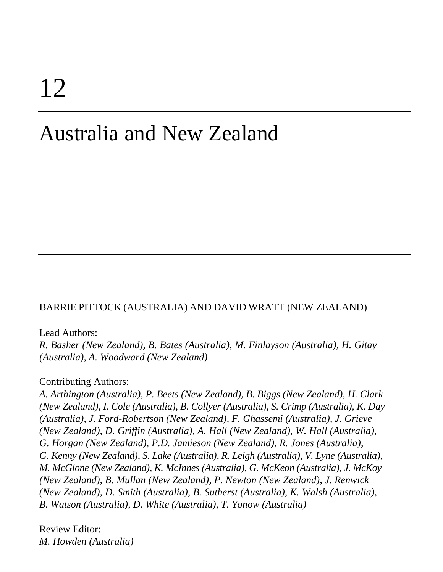# Australia and New Zealand

## BARRIE PITTOCK (AUSTRALIA) AND DAVID WRATT (NEW ZEALAND)

Lead Authors:

*R. Basher (New Zealand), B. Bates (Australia), M. Finlayson (Australia), H. Gitay (Australia), A. Woodward (New Zealand)*

### Contributing Authors:

*A. A rthington (Australia), P. Beets (New Zealand), B. Biggs (New Zealand), H. Clark (New Zealand), I. Cole (Australia), B. Collyer (Australia), S. Crimp (Australia), K. Day (Australia), J. Ford-Robertson (New Zealand), F. Ghassemi (Australia), J. Grieve (New Zealand), D. Griffin (Australia), A. Hall (New Zealand), W. Hall (Australia), G. Horgan (New Zealand), P.D. Jamieson (New Zealand), R. Jones (Australia), G. Kenny (New Zealand), S. Lake (Australia), R. Leigh (Australia), V. Lyne (Australia), M. McGlone (New Zealand), K. McInnes (Australia), G. McKeon (Australia), J. McKoy (New Zealand), B. Mullan (New Zealand), P. Newton (New Zealand), J. Renwick (New Zealand), D. Smith (Australia), B. Sutherst (Australia), K. Walsh (Australia), B. Watson (Australia), D. White (Australia), T. Yonow (Australia)*

Review Editor: *M. Howden (Australia)*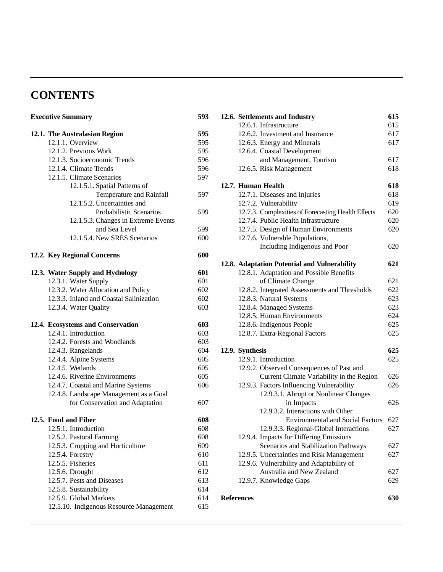# **CONTENTS**

| <b>Executive Summary</b>                                                  |     |  |  |  |  |  |  |
|---------------------------------------------------------------------------|-----|--|--|--|--|--|--|
| 595<br>12.1. The Australasian Region                                      |     |  |  |  |  |  |  |
| 12.1.1. Overview                                                          | 595 |  |  |  |  |  |  |
| 12.1.2. Previous Work                                                     | 595 |  |  |  |  |  |  |
| 12.1.3. Socioeconomic Trends                                              | 596 |  |  |  |  |  |  |
| 12.1.4. Climate Trends                                                    | 596 |  |  |  |  |  |  |
| 12.1.5. Climate Scenarios                                                 | 597 |  |  |  |  |  |  |
| 12.1.5.1. Spatial Patterns of                                             |     |  |  |  |  |  |  |
| Temperature and Rainfall                                                  | 597 |  |  |  |  |  |  |
| 12.1.5.2. Uncertainties and                                               |     |  |  |  |  |  |  |
| Probabilistic Scenarios                                                   | 599 |  |  |  |  |  |  |
| 12.1.5.3. Changes in Extreme Events                                       |     |  |  |  |  |  |  |
| and Sea Level                                                             | 599 |  |  |  |  |  |  |
| 12.1.5.4. New SRES Scenarios                                              | 600 |  |  |  |  |  |  |
| 12.2. Key Regional Concerns                                               | 600 |  |  |  |  |  |  |
| 12.3. Water Supply and Hydrology                                          | 601 |  |  |  |  |  |  |
| 12.3.1. Water Supply                                                      | 601 |  |  |  |  |  |  |
| 12.3.2. Water Allocation and Policy                                       | 602 |  |  |  |  |  |  |
| 12.3.3. Inland and Coastal Salinization                                   | 602 |  |  |  |  |  |  |
| 12.3.4. Water Quality                                                     | 603 |  |  |  |  |  |  |
|                                                                           |     |  |  |  |  |  |  |
| 12.4. Ecosystems and Conservation                                         | 603 |  |  |  |  |  |  |
| 12.4.1. Introduction                                                      | 603 |  |  |  |  |  |  |
| 12.4.2. Forests and Woodlands                                             | 603 |  |  |  |  |  |  |
| 12.4.3. Rangelands                                                        | 604 |  |  |  |  |  |  |
| 12.4.4. Alpine Systems                                                    | 605 |  |  |  |  |  |  |
| 12.4.5. Wetlands                                                          | 605 |  |  |  |  |  |  |
| 12.4.6. Riverine Environments                                             | 605 |  |  |  |  |  |  |
| 12.4.7. Coastal and Marine Systems                                        | 606 |  |  |  |  |  |  |
| 12.4.8. Landscape Management as a Goal<br>for Conservation and Adaptation | 607 |  |  |  |  |  |  |
|                                                                           |     |  |  |  |  |  |  |
| 12.5. Food and Fiber                                                      | 608 |  |  |  |  |  |  |
| 12.5.1. Introduction                                                      | 608 |  |  |  |  |  |  |
| 12.5.2. Pastoral Farming                                                  | 608 |  |  |  |  |  |  |
| 12.5.3. Cropping and Horticulture                                         | 609 |  |  |  |  |  |  |
| 12.5.4. Forestry                                                          | 610 |  |  |  |  |  |  |
| 12.5.5. Fisheries                                                         | 611 |  |  |  |  |  |  |
| 12.5.6. Drought                                                           | 612 |  |  |  |  |  |  |
| 12.5.7. Pests and Diseases                                                | 613 |  |  |  |  |  |  |
| 12.5.8. Sustainability                                                    | 614 |  |  |  |  |  |  |
| 12.5.9. Global Markets                                                    | 614 |  |  |  |  |  |  |
| 12.5.10. Indigenous Resource Management                                   | 615 |  |  |  |  |  |  |

| 12.6. Settlements and Industry                     | 615 |
|----------------------------------------------------|-----|
| 12.6.1. Infrastructure                             | 615 |
| 12.6.2. Investment and Insurance                   | 617 |
| 12.6.3. Energy and Minerals                        | 617 |
| 12.6.4. Coastal Development                        |     |
| and Management, Tourism                            | 617 |
| 12.6.5. Risk Management                            | 618 |
| 12.7. Human Health                                 | 618 |
| 12.7.1. Diseases and Injuries                      | 618 |
| 12.7.2. Vulnerability                              | 619 |
| 12.7.3. Complexities of Forecasting Health Effects | 620 |
| 12.7.4. Public Health Infrastructure               | 620 |
| 12.7.5. Design of Human Environments               | 620 |
| 12.7.6. Vulnerable Populations,                    |     |
| Including Indigenous and Poor                      | 620 |
| 12.8. Adaptation Potential and Vulnerability       | 621 |
| 12.8.1. Adaptation and Possible Benefits           |     |
| of Climate Change                                  | 621 |
| 12.8.2. Integrated Assessments and Thresholds      | 622 |
| 12.8.3. Natural Systems                            | 623 |
| 12.8.4. Managed Systems                            | 623 |
| 12.8.5. Human Environments                         | 624 |
| 12.8.6. Indigenous People                          | 625 |
| 12.8.7. Extra-Regional Factors                     | 625 |
| 12.9. Synthesis                                    | 625 |
| 12.9.1. Introduction                               | 625 |
| 12.9.2. Observed Consequences of Past and          |     |
| Current Climate Variability in the Region          | 626 |
| 12.9.3. Factors Influencing Vulnerability          | 626 |
| 12.9.3.1. Abrupt or Nonlinear Changes              |     |
| in Impacts                                         | 626 |
| 12.9.3.2. Interactions with Other                  |     |
| <b>Environmental and Social Factors</b>            | 627 |
| 12.9.3.3. Regional-Global Interactions             | 627 |
| 12.9.4. Impacts for Differing Emissions            |     |
| Scenarios and Stabilization Pathways               | 627 |
| 12.9.5. Uncertainties and Risk Management          | 627 |
| 12.9.6. Vulnerability and Adaptability of          |     |
| Australia and New Zealand                          | 627 |
| 12.9.7. Knowledge Gaps                             | 629 |
| <b>References</b>                                  | 630 |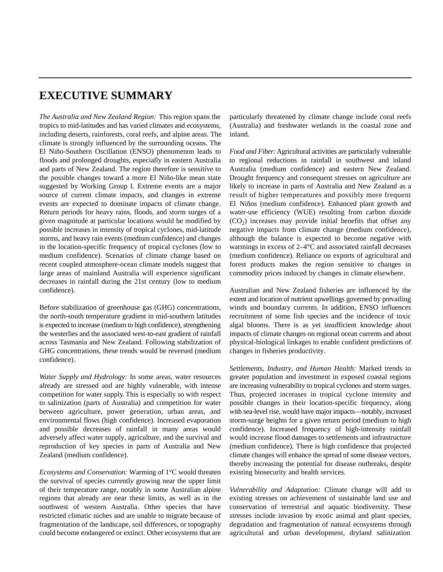# **EXECUTIVE SUMMARY**

*The Australia and New Zealand Region:* This region spans the tropics to mid-latitudes and has varied climates and ecosystems, including deserts, rainforests, coral reefs, and alpine areas. The climate is strongly influenced by the surrounding oceans. The El Niño-Southern Oscillation (ENSO) phenomenon leads to floods and prolonged droughts, especially in eastern Australia and parts of New Zealand. The region therefore is sensitive to the possible changes toward a more El Niño-like mean state suggested by Working Group I. Extreme events are a major source of current climate impacts, and changes in extreme events are expected to dominate impacts of climate change. Return periods for heavy rains, floods, and storm surges of a given magnitude at particular locations would be modified by possible increases in intensity of tropical cyclones, mid-latitude storms, and heavy rain events (medium confidence) and changes in the location-specific frequency of tropical cyclones (low to medium confidence). Scenarios of climate change based on recent coupled atmosphere-ocean climate models suggest that large areas of mainland Australia will experience significant decreases in rainfall during the 21st century (low to medium confidence).

Before stabilization of greenhouse gas (GHG) concentrations, the north-south temperature gradient in mid-southern latitudes is expected to increase (medium to high confidence), strengthening the westerlies and the associated west-to-east gradient of rainfall across Tasmania and New Zealand. Following stabilization of GHG concentrations, these trends would be reversed (medium confidence).

*Water Supply and Hydrology:* In some areas, water resources already are stressed and are highly vulnerable, with intense competition for water supply. This is especially so with respect to salinization (parts of Australia) and competition for water between agriculture, power generation, urban areas, and environmental flows (high confidence). Increased evaporation and possible decreases of rainfall in many areas would adversely affect water supply, agriculture, and the survival and reproduction of key species in parts of Australia and New Zealand (medium confidence).

*Ecosystems and Conservation:* Warming of 1°C would threaten the survival of species currently growing near the upper limit of their temperature range, notably in some Australian alpine regions that already are near these limits, as well as in the southwest of western Australia. Other species that have restricted climatic niches and are unable to migrate because of fragmentation of the landscape, soil differences, or topography could become endangered or extinct. Other ecosystems that are

particularly threatened by climate change include coral reefs (Australia) and freshwater wetlands in the coastal zone and inland.

*Food and Fiber:*Agricultural activities are particularly vulnerable to regional reductions in rainfall in southwest and inland Australia (medium confidence) and eastern New Zealand. Drought frequency and consequent stresses on agriculture are likely to increase in parts of Australia and New Zealand as a result of higher temperatures and possibly more frequent El Niños (medium confidence). Enhanced plant growth and water-use efficiency (WUE) resulting from carbon dioxide  $(CO<sub>2</sub>)$  increases may provide initial benefits that offset any negative impacts from climate change (medium confidence), although the balance is expected to become negative with warmings in excess of 2–4°C and associated rainfall decreases (medium confidence). Reliance on exports of agricultural and forest products makes the region sensitive to changes in commodity prices induced by changes in climate elsewhere.

Australian and New Zealand fisheries are influenced by the extent and location of nutrient upwellings governed by prevailing winds and boundary currents. In addition, ENSO influences recruitment of some fish species and the incidence of toxic algal blooms. There is as yet insufficient knowledge about impacts of climate changes on regional ocean currents and about physical-biological linkages to enable confident predictions of changes in fisheries productivity.

*Settlements, Industry, and Human Health:* Marked trends to greater population and investment in exposed coastal regions are increasing vulnerability to tropical cyclones and storm surges. Thus, projected increases in tropical cyclone intensity and possible changes in their location-specific frequency, along with sea-level rise, would have major impacts—notably, increased storm-surge heights for a given return period (medium to high confidence). Increased frequency of high-intensity rainfall would increase flood damages to settlements and infrastructure (medium confidence). There is high confidence that projected climate changes will enhance the spread of some disease vectors, thereby increasing the potential for disease outbreaks, despite existing biosecurity and health services.

*Vulnerability and Adaptation:* Climate change will add to existing stresses on achievement of sustainable land use and conservation of terrestrial and aquatic biodiversity. These stresses include invasion by exotic animal and plant species, degradation and fragmentation of natural ecosystems through agricultural and urban development, dryland salinization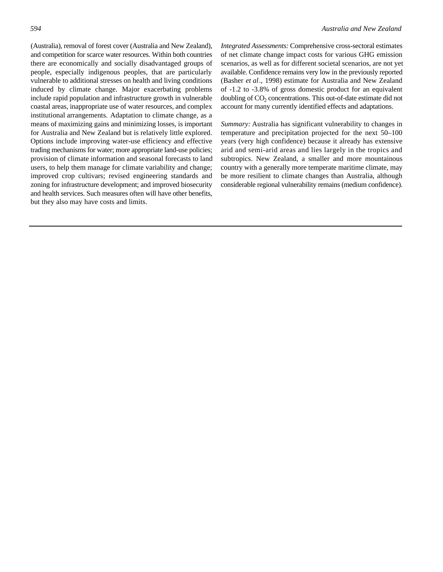(Australia), removal of forest cover (Australia and New Zealand), and competition for scarce water resources. Within both countries there are economically and socially disadvantaged groups of people, especially indigenous peoples, that are particularly vulnerable to additional stresses on health and living conditions induced by climate change. Major exacerbating problems include rapid population and infrastructure growth in vulnerable coastal areas, inappropriate use of water resources, and complex institutional arrangements. Adaptation to climate change, as a means of maximizing gains and minimizing losses, is important for Australia and New Zealand but is relatively little explored. Options include improving water-use efficiency and effective trading mechanisms for water; more appropriate land-use policies; provision of climate information and seasonal forecasts to land users, to help them manage for climate variability and change; improved crop cultivars; revised engineering standards and zoning for infrastructure development; and improved biosecurity and health services. Such measures often will have other benefits, but they also may have costs and limits.

*Integrated Assessments:* Comprehensive cross-sectoral estimates of net climate change impact costs for various GHG emission scenarios, as well as for different societal scenarios, are not yet available. Confidence remains very low in the previously reported (Basher *et al*., 1998) estimate for Australia and New Zealand of -1.2 to -3.8% of gross domestic product for an equivalent doubling of  $CO_2$  concentrations. This out-of-date estimate did not account for many currently identified effects and adaptations.

*Summary:* Australia has significant vulnerability to changes in temperature and precipitation projected for the next 50–100 years (very high confidence) because it already has extensive arid and semi-arid areas and lies largely in the tropics and subtropics. New Zealand, a smaller and more mountainous country with a generally more temperate maritime climate, may be more resilient to climate changes than Australia, although considerable regional vulnerability remains (medium confidence).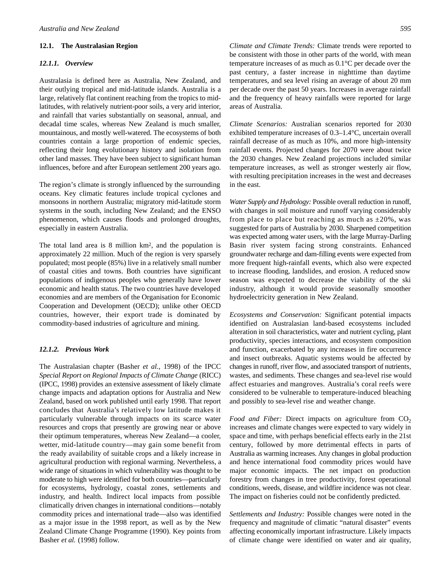#### **12.1. The Australasian Region**

#### *12.1.1. Overview*

Australasia is defined here as Australia, New Zealand, and their outlying tropical and mid-latitude islands. Australia is a large, relatively flat continent reaching from the tropics to midlatitudes, with relatively nutrient-poor soils, a very arid interior, and rainfall that varies substantially on seasonal, annual, and decadal time scales, whereas New Zealand is much smaller, mountainous, and mostly well-watered. The ecosystems of both countries contain a large proportion of endemic species, reflecting their long evolutionary history and isolation from other land masses. They have been subject to significant human influences, before and after European settlement 200 years ago.

The region's climate is strongly influenced by the surrounding oceans. Key climatic features include tropical cyclones and monsoons in northern Australia; migratory mid-latitude storm systems in the south, including New Zealand; and the ENSO phenomenon, which causes floods and prolonged droughts, especially in eastern Australia.

The total land area is 8 million km2, and the population is approximately 22 million. Much of the region is very sparsely populated; most people (85%) live in a relatively small number of coastal cities and towns. Both countries have significant populations of indigenous peoples who generally have lower economic and health status. The two countries have developed economies and are members of the Organisation for Economic Cooperation and Development (OECD); unlike other OECD countries, however, their export trade is dominated by commodity-based industries of agriculture and mining.

#### *12.1.2. Previous Work*

The Australasian chapter (Basher *et al.*, 1998) of the IPCC *Special Report on Regional Impacts of Climate Change* (RICC) (IPCC, 1998) provides an extensive assessment of likely climate change impacts and adaptation options for Australia and New Zealand, based on work published until early 1998. That report concludes that Australia's relatively low latitude makes it particularly vulnerable through impacts on its scarce water resources and crops that presently are growing near or above their optimum temperatures, whereas New Zealand—a cooler, wetter, mid-latitude country—may gain some benefit from the ready availability of suitable crops and a likely increase in agricultural production with regional warming. Nevertheless, a wide range of situations in which vulnerability was thought to be moderate to high were identified for both countries—particularly for ecosystems, hydrology, coastal zones, settlements and industry, and health. Indirect local impacts from possible climatically driven changes in international conditions—notably commodity prices and international trade—also was identified as a major issue in the 1998 report, as well as by the New Zealand Climate Change Programme (1990). Key points from Basher *et al.* (1998) follow.

*Climate and Climate Trends:* Climate trends were reported to be consistent with those in other parts of the world, with mean temperature increases of as much as 0.1°C per decade over the past century, a faster increase in nighttime than daytime temperatures, and sea level rising an average of about 20 mm per decade over the past 50 years. Increases in average rainfall and the frequency of heavy rainfalls were reported for large areas of Australia.

*Climate Scenarios:* Australian scenarios reported for 2030 exhibited temperature increases of 0.3–1.4°C, uncertain overall rainfall decrease of as much as 10%, and more high-intensity rainfall events. Projected changes for 2070 were about twice the 2030 changes. New Zealand projections included similar temperature increases, as well as stronger westerly air flow, with resulting precipitation increases in the west and decreases in the east.

*Water Supply and Hydrology: Possible overall reduction in runoff,* with changes in soil moisture and runoff varying considerably from place to place but reaching as much as  $\pm 20\%$ , was suggested for parts of Australia by 2030. Sharpened competition was expected among water users, with the large Murray-Darling Basin river system facing strong constraints. Enhanced groundwater recharge and dam-filling events were expected from more frequent high-rainfall events, which also were expected to increase flooding, landslides, and erosion. A reduced snow season was expected to decrease the viability of the ski industry, although it would provide seasonally smoother hydroelectricity generation in New Zealand.

*Ecosystems and Conservation:* Significant potential impacts identified on Australasian land-based ecosystems included alteration in soil characteristics, water and nutrient cycling, plant productivity, species interactions, and ecosystem composition and function, exacerbated by any increases in fire occurrence and insect outbreaks. Aquatic systems would be affected by changes in runoff, river flow, and associated transport of nutrients, wastes, and sediments. These changes and sea-level rise would affect estuaries and mangroves. Australia's coral reefs were considered to be vulnerable to temperature-induced bleaching and possibly to sea-level rise and weather change.

*Food and Fiber:* Direct impacts on agriculture from CO<sub>2</sub> increases and climate changes were expected to vary widely in space and time, with perhaps beneficial effects early in the 21st century, followed by more detrimental effects in parts of Australia as warming increases. Any changes in global production and hence international food commodity prices would have major economic impacts. The net impact on production forestry from changes in tree productivity, forest operational conditions, weeds, disease, and wildfire incidence was not clear. The impact on fisheries could not be confidently predicted.

*Settlements and Industry:* Possible changes were noted in the frequency and magnitude of climatic "natural disaster" events a ffecting economically important infrastructure. Likely impacts of climate change were identified on water and air quality,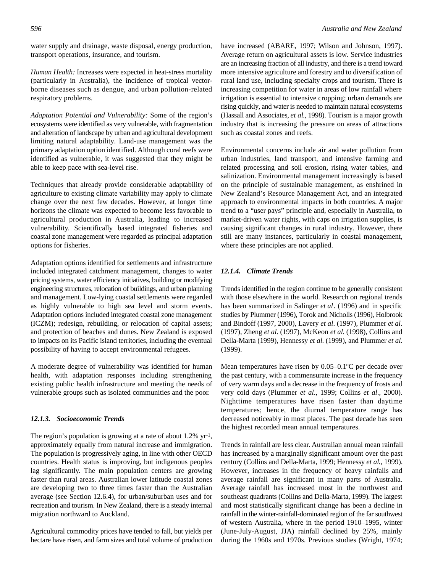water supply and drainage, waste disposal, energy production, transport operations, insurance, and tourism.

*Human Health:* Increases were expected in heat-stress mortality (particularly in Australia), the incidence of tropical vectorborne diseases such as dengue, and urban pollution-related respiratory problems.

*Adaptation Potential and Vulnerability:* Some of the region's ecosystems were identified as very vulnerable, with fragmentation and alteration of landscape by urban and agricultural development limiting natural adaptability. Land-use management was the primary adaptation option identified. Although coral reefs were identified as vulnerable, it was suggested that they might be able to keep pace with sea-level rise.

Techniques that already provide considerable adaptability of agriculture to existing climate variability may apply to climate change over the next few decades. However, at longer time horizons the climate was expected to become less favorable to agricultural production in Australia, leading to increased vulnerability. Scientifically based integrated fisheries and coastal zone management were regarded as principal adaptation options for fisheries.

Adaptation options identified for settlements and infrastructure included integrated catchment management, changes to water pricing systems, water efficiency initiatives, building or modifying engineering structures, relocation of buildings, and urban planning and management. Low-lying coastal settlements were regarded as highly vulnerable to high sea level and storm events. Adaptation options included integrated coastal zone management (ICZM); redesign, rebuilding, or relocation of capital assets; and protection of beaches and dunes. New Zealand is exposed to impacts on its Pacific island territories, including the eventual possibility of having to accept environmental refugees.

A moderate degree of vulnerability was identified for human health, with adaptation responses including strengthening existing public health infrastructure and meeting the needs of vulnerable groups such as isolated communities and the poor.

#### *12.1.3. Socioeconomic Trends*

The region's population is growing at a rate of about  $1.2\%$  yr<sup>-1</sup>, approximately equally from natural increase and immigration. The population is progressively aging, in line with other OECD countries. Health status is improving, but indigenous peoples lag significantly. The main population centers are growing faster than rural areas. Australian lower latitude coastal zones are developing two to three times faster than the Australian average (see Section 12.6.4), for urban/suburban uses and for recreation and tourism. In New Zealand, there is a steady internal migration northward to Auckland.

Agricultural commodity prices have tended to fall, but yields per hectare have risen, and farm sizes and total volume of production have increased (ABARE, 1997; Wilson and Johnson, 1997). Average return on agricultural assets is low. Service industries are an increasing fraction of all industry, and there is a trend toward more intensive agriculture and forestry and to diversification of rural land use, including specialty crops and tourism. There is increasing competition for water in areas of low rainfall where irrigation is essential to intensive cropping; urban demands are rising quickly, and water is needed to maintain natural ecosystems (Hassall and Associates, *et al*., 1998). Tourism is a major growth industry that is increasing the pressure on areas of attractions such as coastal zones and reefs.

Environmental concerns include air and water pollution from urban industries, land transport, and intensive farming and related processing and soil erosion, rising water tables, and salinization. Environmental management increasingly is based on the principle of sustainable management, as enshrined in New Zealand's Resource Management Act, and an integrated approach to environmental impacts in both countries. A major trend to a "user pays" principle and, especially in Australia, to market-driven water rights, with caps on irrigation supplies, is causing significant changes in rural industry. However, there still are many instances, particularly in coastal management, where these principles are not applied.

#### *12.1.4. Climate Trends*

Trends identified in the region continue to be generally consistent with those elsewhere in the world. Research on regional trends has been summarized in Salinger *et al*. (1996) and in specific studies by Plummer (1996), Torok and Nicholls (1996), Holbrook and Bindoff (1997, 2000), Lavery *et al*. (1997), Plummer *et al*. (1997), Zheng *et al*. (1997), McKeon *et al*. (1998)*,* Collins and Della-Marta (1999), Hennessy *et al*. (1999), and Plummer *et al*. (1999).

Mean temperatures have risen by 0.05–0.1ºC per decade over the past century, with a commensurate increase in the frequency of very warm days and a decrease in the frequency of frosts and very cold days (Plummer *et al*., 1999; Collins *et al*., 2000). Nighttime temperatures have risen faster than daytime temperatures; hence, the diurnal temperature range has decreased noticeably in most places. The past decade has seen the highest recorded mean annual temperatures.

Trends in rainfall are less clear. Australian annual mean rainfall has increased by a marginally significant amount over the past century (Collins and Della-Marta, 1999; Hennessy *et al*., 1999). However, increases in the frequency of heavy rainfalls and average rainfall are significant in many parts of Australia. Average rainfall has increased most in the northwest and southeast quadrants (Collins and Della-Marta, 1999). The largest and most statistically significant change has been a decline in rainfall in the winter-rainfall-dominated region of the far southwest of western Australia, where in the period 1910–1995, winter (June-July-August, JJA) rainfall declined by 25%, mainly during the 1960s and 1970s. Previous studies (Wright, 1974;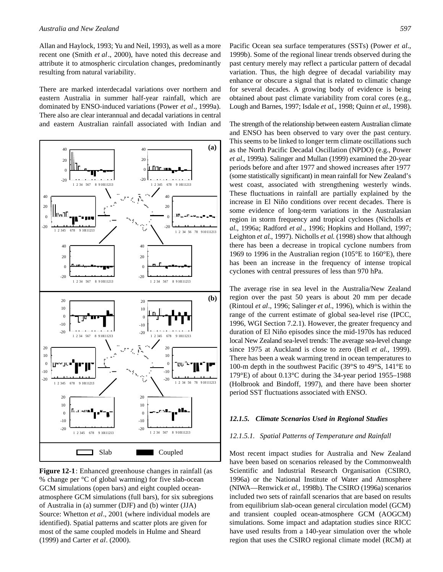Allan and Haylock, 1993; Yu and Neil, 1993), as well as a more recent one (Smith *et al*., 2000), have noted this decrease and attribute it to atmospheric circulation changes, predominantly resulting from natural variability.

There are marked interdecadal variations over northern and eastern Australia in summer half-year rainfall, which are dominated by ENSO-induced variations (Power *et al.*, 1999a). There also are clear interannual and decadal variations in central and eastern Australian rainfall associated with Indian and



**Figure 12-1**: Enhanced greenhouse changes in rainfall (as % change per °C of global warming) for five slab-ocean GCM simulations (open bars) and eight coupled oceanatmosphere GCM simulations (full bars), for six subregions of Australia in (a) summer (DJF) and (b) winter (JJA) Source: Whetton *et al*., 2001 (where individual models are identified). Spatial patterns and scatter plots are given for most of the same coupled models in Hulme and Sheard (1999) and Carter *et al*. (2000).

Lough and Barnes, 1997; Isdale *et al*., 1998; Quinn *et al*., 1998).

The strength of the relationship between eastern Australian climate and ENSO has been observed to vary over the past century. This seems to be linked to longer term climate oscillations such as the North Pacific Decadal Oscillation (NPDO) (e.g., Power *et al.*, 1999a). Salinger and Mullan (1999) examined the 20-year periods before and after 1977 and showed increases after 1977 (some statistically significant) in mean rainfall for New Zealand's west coast, associated with strengthening westerly winds. These fluctuations in rainfall are partially explained by the increase in El Niño conditions over recent decades. There is some evidence of long-term variations in the Australasian region in storm frequency and tropical cyclones (Nicholls *et al*., 1996a; Radford *et al*., 1996; Hopkins and Holland, 1997; Leighton *et al*., 1997). Nicholls *et al*. (1998) show that although there has been a decrease in tropical cyclone numbers from 1969 to 1996 in the Australian region (105°E to 160°E), there has been an increase in the frequency of intense tropical cyclones with central pressures of less than 970 hPa.

The average rise in sea level in the Australia/New Zealand region over the past 50 years is about 20 mm per decade (Rintoul *et al*., 1996; Salinger *et al*., 1996), which is within the range of the current estimate of global sea-level rise (IPCC, 1996, WGI Section 7.2.1). However, the greater frequency and duration of El Niño episodes since the mid-1970s has reduced local New Zealand sea-level trends: The average sea-level change since 1975 at Auckland is close to zero (Bell *et al.*, 1999). There has been a weak warming trend in ocean temperatures to 100-m depth in the southwest Pacific (39°S to 49°S, 141°E to 179°E) of about 0.13°C during the 34-year period 1955–1988 (Holbrook and Bindoff, 1997), and there have been shorter period SST fluctuations associated with ENSO.

#### *12.1.5. Climate Scenarios Used in Regional Studies*

#### *12.1.5.1. Spatial Patterns of Temperature and Rainfall*

Most recent impact studies for Australia and New Zealand have been based on scenarios released by the Commonwealth Scientific and Industrial Research Organisation (CSIRO, 1996a) or the National Institute of Water and Atmosphere (NIWA—Renwick et al., 1998b). The CSIRO (1996a) scenarios included two sets of rainfall scenarios that are based on results from equilibrium slab-ocean general circulation model (GCM) and transient coupled ocean-atmosphere GCM (AOGCM) simulations. Some impact and adaptation studies since RICC have used results from a 140-year simulation over the whole region that uses the CSIRO regional climate model (RCM) at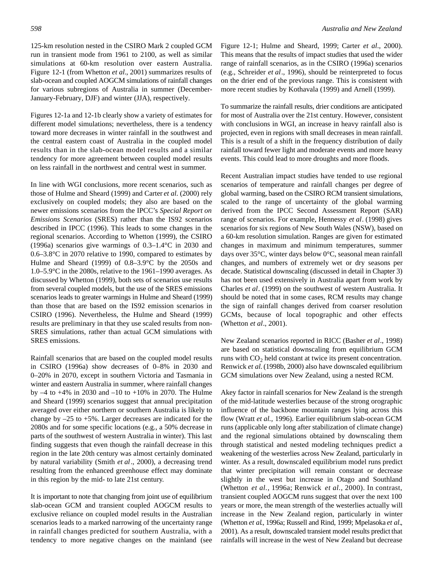125-km resolution nested in the CSIRO Mark 2 coupled GCM run in transient mode from 1961 to 2100, as well as similar simulations at 60-km resolution over eastern Australia. Figure 12-1 (from Whetton *et al*., 2001) summarizes results of slab-ocean and coupled AOGCM simulations of rainfall changes for various subregions of Australia in summer (December-January-February, DJF) and winter (JJA), respectively.

Figures 12-1a and 12-1b clearly show a variety of estimates for different model simulations; nevertheless, there is a tendency toward more decreases in winter rainfall in the southwest and the central eastern coast of Australia in the coupled model results than in the slab-ocean model results and a similar tendency for more agreement between coupled model results on less rainfall in the northwest and central west in summer.

In line with WGI conclusions, more recent scenarios, such as those of Hulme and Sheard (1999) and Carter *et al*. (2000) rely exclusively on coupled models; they also are based on the newer emissions scenarios from the IPCC's *Special Report on Emissions Scenarios* (SRES) rather than the IS92 scenarios described in IPCC (1996). This leads to some changes in the regional scenarios. According to Whetton (1999), the CSIRO (1996a) scenarios give warmings of 0.3–1.4°C in 2030 and 0.6–3.8°C in 2070 relative to 1990, compared to estimates by Hulme and Sheard (1999) of 0.8–3.9°C by the 2050s and 1.0–5.9°C in the 2080s, relative to the 1961–1990 averages. As discussed by Whetton (1999), both sets of scenarios use results from several coupled models, but the use of the SRES emissions scenarios leads to greater warmings in Hulme and Sheard (1999) than those that are based on the IS92 emission scenarios in CSIRO (1996). Nevertheless, the Hulme and Sheard (1999) results are preliminary in that they use scaled results from non-SRES simulations, rather than actual GCM simulations with SRES emissions.

Rainfall scenarios that are based on the coupled model results in CSIRO (1996a) show decreases of 0–8% in 2030 and 0–20% in 2070, except in southern Victoria and Tasmania in winter and eastern Australia in summer, where rainfall changes by –4 to +4% in 2030 and –10 to +10% in 2070. The Hulme and Sheard (1999) scenarios suggest that annual precipitation averaged over either northern or southern Australia is likely to change by  $-25$  to  $+5\%$ . Larger decreases are indicated for the 2080s and for some specific locations (e.g., a 50% decrease in parts of the southwest of western Australia in winter). This last finding suggests that even though the rainfall decrease in this region in the late 20th century was almost certainly dominated by natural variability (Smith *et al*., 2000), a decreasing trend resulting from the enhanced greenhouse effect may dominate in this region by the mid- to late 21st century.

It is important to note that changing from joint use of equilibrium slab-ocean GCM and transient coupled AOGCM results to exclusive reliance on coupled model results in the Australian scenarios leads to a marked narrowing of the uncertainty range in rainfall changes predicted for southern Australia, with a tendency to more negative changes on the mainland (see Figure 12-1; Hulme and Sheard, 1999; Carter *et al*., 2000). This means that the results of impact studies that used the wider range of rainfall scenarios, as in the CSIRO (1996a) scenarios (e.g., Schreider *et al*., 1996), should be reinterpreted to focus on the drier end of the previous range. This is consistent with more recent studies by Kothavala (1999) and Arnell (1999).

To summarize the rainfall results, drier conditions are anticipated for most of Australia over the 21st century. However, consistent with conclusions in WGI, an increase in heavy rainfall also is projected, even in regions with small decreases in mean rainfall. This is a result of a shift in the frequency distribution of daily rainfall toward fewer light and moderate events and more heavy events. This could lead to more droughts and more floods.

Recent Australian impact studies have tended to use regional scenarios of temperature and rainfall changes per degree of global warming, based on the CSIRO RCM transient simulations, scaled to the range of uncertainty of the global warming derived from the IPCC Second Assessment Report (SAR) range of scenarios. For example, Hennessy *et al*. (1998) gives scenarios for six regions of New South Wales (NSW), based on a 60-km resolution simulation. Ranges are given for estimated changes in maximum and minimum temperatures, summer days over 35°C, winter days below 0°C, seasonal mean rainfall changes, and numbers of extremely wet or dry seasons per decade. Statistical downscaling (discussed in detail in Chapter 3) has not been used extensively in Australia apart from work by Charles *et al*. (1999) on the southwest of western Australia. It should be noted that in some cases, RCM results may change the sign of rainfall changes derived from coarser resolution GCMs, because of local topographic and other effects (Whetton *et al*., 2001).

New Zealand scenarios reported in RICC (Basher *et al*., 1998) are based on statistical downscaling from equilibrium GCM runs with  $CO<sub>2</sub>$  held constant at twice its present concentration. Renwick *et al.*(1998b, 2000) also have downscaled equilibrium GCM simulations over New Zealand, using a nested RCM.

Akey factor in rainfall scenarios for New Zealand is the strength of the mid-latitude westerlies because of the strong orographic influence of the backbone mountain ranges lying across this flow (Wratt *et al.,* 1996)*.* Earlier equilibrium slab-ocean GCM runs (applicable only long after stabilization of climate change) and the regional simulations obtained by downscaling them through statistical and nested modeling techniques predict a weakening of the westerlies across New Zealand, particularly in winter. As a result, downscaled equilibrium model runs predict that winter precipitation will remain constant or decrease slightly in the west but increase in Otago and Southland (Whetton *et al.*, 1996a; Renwick *et al.*, 2000). In contrast, transient coupled AOGCM runs suggest that over the next 100 years or more, the mean strength of the westerlies actually will increase in the New Zealand region, particularly in winter (Whetton *et al*., 1996a; Russell and Rind, 1999; Mpelasoka *et al.*, 2001). As a result, downscaled transient model results predict that rainfalls will increase in the west of New Zealand but decrease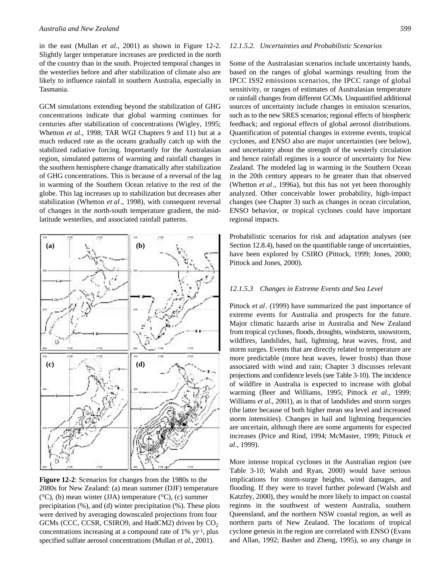in the east (Mullan *et al.*, 2001) as shown in Figure 12-2. Slightly larger temperature increases are predicted in the north of the country than in the south. Projected temporal changes in the westerlies before and after stabilization of climate also are likely to influence rainfall in southern Australia, especially in Tasmania.

GCM simulations extending beyond the stabilization of GHG concentrations indicate that global warming continues for centuries after stabilization of concentrations (Wigley, 1995; Whetton *et al*., 1998; TAR WGI Chapters 9 and 11) but at a much reduced rate as the oceans gradually catch up with the stabilized radiative forcing. Importantly for the Australasian region, simulated patterns of warming and rainfall changes in the southern hemisphere change dramatically after stabilization of GHG concentrations. This is because of a reversal of the lag in warming of the Southern Ocean relative to the rest of the globe. This lag increases up to stabilization but decreases after stabilization (Whetton *et al*., 1998), with consequent reversal of changes in the north-south temperature gradient, the midlatitude westerlies, and associated rainfall patterns.



**Figure 12-2**: Scenarios for changes from the 1980s to the 2080s for New Zealand: (a) mean summer (DJF) temperature  $({}^{\circ}C)$ , (b) mean winter (JJA) temperature  $({}^{\circ}C)$ , (c) summer precipitation (%), and (d) winter precipitation (%). These plots were derived by averaging downscaled projections from four GCMs (CCC, CCSR, CSIRO9, and HadCM2) driven by  $CO<sub>2</sub>$ concentrations increasing at a compound rate of 1% yr-1, plus specified sulfate aerosol concentrations (Mullan *et al*., 2001).

#### *12.1.5.2. Uncertainties and Probabilistic Scenarios*

Some of the Australasian scenarios include uncertainty bands, based on the ranges of global warmings resulting from the IPCC IS92 emissions scenarios, the IPCC range of global sensitivity, or ranges of estimates of Australasian temperature or rainfall changes from different GCMs. Unquantified additional sources of uncertainty include changes in emission scenarios, such as to the new SRES scenarios; regional effects of biospheric feedback; and regional effects of global aerosol distributions. Quantification of potential changes in extreme events, tropical cyclones, and ENSO also are major uncertainties (see below), and uncertainty about the strength of the westerly circulation and hence rainfall regimes is a source of uncertainty for New Zealand. The modeled lag in warming in the Southern Ocean in the 20th century appears to be greater than that observed (Whetton *et al*., 1996a), but this has not yet been thoroughly analyzed. Other conceivable lower probability, high-impact changes (see Chapter 3) such as changes in ocean circulation, ENSO behavior, or tropical cyclones could have important regional impacts.

Probabilistic scenarios for risk and adaptation analyses (see Section 12.8.4), based on the quantifiable range of uncertainties, have been explored by CSIRO (Pittock, 1999; Jones, 2000; Pittock and Jones, 2000).

#### *12.1.5.3 Changes in Extreme Events and Sea Level*

Pittock *et al*. (1999) have summarized the past importance of extreme events for Australia and prospects for the future. Major climatic hazards arise in Australia and New Zealand from tropical cyclones, floods, droughts, windstorm, snowstorm, wildfires, landslides, hail, lightning, heat waves, frost, and storm surges. Events that are directly related to temperature are more predictable (more heat waves, fewer frosts) than those associated with wind and rain; Chapter 3 discusses relevant projections and confidence levels (see Table 3-10). The incidence of wildfire in Australia is expected to increase with global warming (Beer and Williams, 1995; Pittock *et al*., 1999; Williams *et al*., 2001), as is that of landslides and storm surges (the latter because of both higher mean sea level and increased storm intensities). Changes in hail and lightning frequencies are uncertain, although there are some arguments for expected increases (Price and Rind, 1994; McMaster, 1999; Pittock *et al*., 1999).

More intense tropical cyclones in the Australian region (see Table 3-10; Walsh and Ryan, 2000) would have serious implications for storm-surge heights, wind damages, and flooding. If they were to travel further poleward (Walsh and Katzfey, 2000), they would be more likely to impact on coastal regions in the southwest of western Australia, southern Queensland, and the northern NSW coastal region, as well as northern parts of New Zealand. The locations of tropical cyclone genesis in the region are correlated with ENSO (Evans and Allan, 1992; Basher and Zheng, 1995), so any change in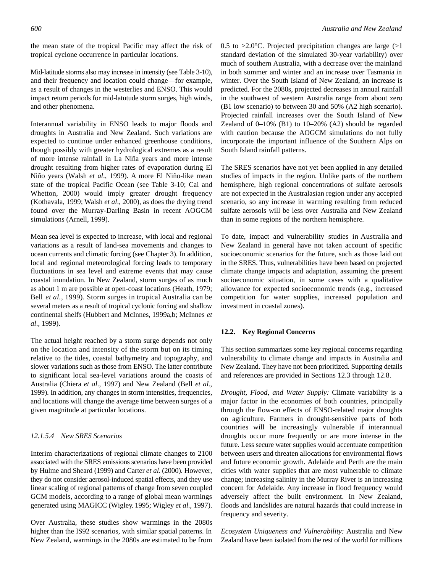the mean state of the tropical Pacific may affect the risk of tropical cyclone occurrence in particular locations.

Mid-latitude storms also may increase in intensity (see Table 3-10), and their frequency and location could change—for example, as a result of changes in the westerlies and ENSO. This would impact return periods for mid-latutude storm surges, high winds, and other phenomena.

Interannual variability in ENSO leads to major floods and droughts in Australia and New Zealand. Such variations are expected to continue under enhanced greenhouse conditions, though possibly with greater hydrological extremes as a result of more intense rainfall in La Niña years and more intense drought resulting from higher rates of evaporation during El Niño years (Walsh *et al*., 1999). A more El Niño-like mean state of the tropical Pacific Ocean (see Table 3-10; Cai and Whetton, 2000) would imply greater drought frequency (Kothavala, 1999; Walsh *et al*., 2000), as does the drying trend found over the Murray-Darling Basin in recent AOGCM simulations (Arnell, 1999).

Mean sea level is expected to increase, with local and regional variations as a result of land-sea movements and changes to ocean currents and climatic forcing (see Chapter 3). In addition, local and regional meteorological forcing leads to temporary fluctuations in sea level and extreme events that may cause coastal inundation. In New Zealand, storm surges of as much as about 1 m are possible at open-coast locations (Heath, 1979; Bell *et al.*, 1999). Storm surges in tropical Australia can be several meters as a result of tropical cyclonic forcing and shallow continental shelfs (Hubbert and McInnes, 1999a,b; McInnes *et al*., 1999).

The actual height reached by a storm surge depends not only on the location and intensity of the storm but on its timing relative to the tides, coastal bathymetry and topography, and slower variations such as those from ENSO. The latter contribute to significant local sea-level variations around the coasts of Australia (Chiera *et al*., 1997) and New Zealand (Bell *et al*., 1999). In addition, any changes in storm intensities, frequencies, and locations will change the average time between surges of a given magnitude at particular locations.

#### *12.1.5.4 New SRES Scenarios*

Interim characterizations of regional climate changes to 2100 associated with the SRES emissions scenarios have been provided by Hulme and Sheard (1999) and Carter *et al*. (2000). However, they do not consider aerosol-induced spatial effects, and they use linear scaling of regional patterns of change from seven coupled GCM models, according to a range of global mean warmings generated using MAGICC (Wigley, 1995; Wigley *et al*., 1997).

Over Australia, these studies show warmings in the 2080s higher than the IS92 scenarios, with similar spatial patterns. In New Zealand, warmings in the 2080s are estimated to be from 0.5 to  $>2.0$ °C. Projected precipitation changes are large ( $>1$ ) standard deviation of the simulated 30-year variability) over much of southern Australia, with a decrease over the mainland in both summer and winter and an increase over Tasmania in winter. Over the South Island of New Zealand, an increase is predicted. For the 2080s, projected decreases in annual rainfall in the southwest of western Australia range from about zero (B1 low scenario) to between 30 and 50% (A2 high scenario). Projected rainfall increases over the South Island of New Zealand of 0–10% (B1) to 10–20% (A2) should be regarded with caution because the AOGCM simulations do not fully incorporate the important influence of the Southern Alps on South Island rainfall patterns.

The SRES scenarios have not yet been applied in any detailed studies of impacts in the region. Unlike parts of the northern hemisphere, high regional concentrations of sulfate aerosols are not expected in the Australasian region under any accepted scenario, so any increase in warming resulting from reduced sulfate aerosols will be less over Australia and New Zealand than in some regions of the northern hemisphere.

To date, impact and vulnerability studies in Australia and New Zealand in general have not taken account of specific socioeconomic scenarios for the future, such as those laid out in the SRES. Thus, vulnerabilities have been based on projected climate change impacts and adaptation, assuming the present socioeconomic situation, in some cases with a qualitative allowance for expected socioeconomic trends (e.g., increased competition for water supplies, increased population and investment in coastal zones).

#### **12.2. Key Regional Concerns**

This section summarizes some key regional concerns regarding vulnerability to climate change and impacts in Australia and New Zealand. They have not been prioritized. Supporting details and references are provided in Sections 12.3 through 12.8.

*Drought, Flood, and Water Supply:* Climate variability is a major factor in the economies of both countries, principally through the flow-on effects of ENSO-related major droughts on agriculture. Farmers in drought-sensitive parts of both countries will be increasingly vulnerable if interannual droughts occur more frequently or are more intense in the future. Less secure water supplies would accentuate competition between users and threaten allocations for environmental flows and future economic growth. Adelaide and Perth are the main cities with water supplies that are most vulnerable to climate change; increasing salinity in the Murray River is an increasing concern for Adelaide. Any increase in flood frequency would adversely affect the built environment. In New Zealand, floods and landslides are natural hazards that could increase in frequency and severity.

*Ecosystem Uniqueness and Vulnerability:* Australia and New Zealand have been isolated from the rest of the world for millions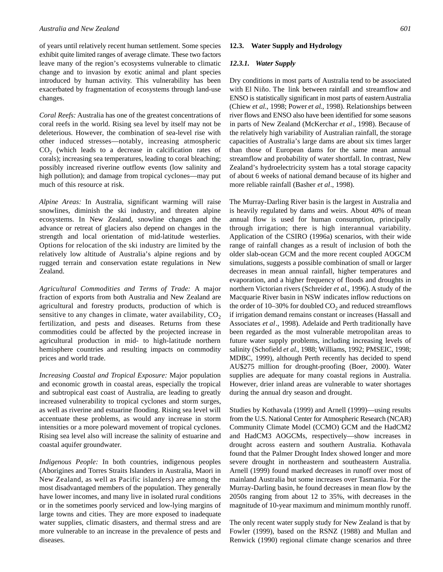of years until relatively recent human settlement. Some species exhibit quite limited ranges of average climate. These two factors leave many of the region's ecosystems vulnerable to climatic change and to invasion by exotic animal and plant species introduced by human activity. This vulnerability has been exacerbated by fragmentation of ecosystems through land-use changes.

*Coral Reefs:* Australia has one of the greatest concentrations of coral reefs in the world. Rising sea level by itself may not be deleterious. However, the combination of sea-level rise with other induced stresses—notably, increasing atmospheric  $CO<sub>2</sub>$  (which leads to a decrease in calcification rates of corals); increasing sea temperatures, leading to coral bleaching; possibly increased riverine outflow events (low salinity and high pollution); and damage from tropical cyclones—may put much of this resource at risk.

*Alpine Areas:* In Australia, significant warming will raise snowlines, diminish the ski industry, and threaten alpine ecosystems. In New Zealand, snowline changes and the advance or retreat of glaciers also depend on changes in the strength and local orientation of mid-latitude westerlies. Options for relocation of the ski industry are limited by the relatively low altitude of Australia's alpine regions and by rugged terrain and conservation estate regulations in New Zealand.

Agricultural Commodities and Terms of Trade: A major fraction of exports from both Australia and New Zealand are agricultural and forestry products, production of which is sensitive to any changes in climate, water availability,  $CO<sub>2</sub>$ fertilization, and pests and diseases. Returns from these commodities could be affected by the projected increase in agricultural production in mid- to high-latitude northern he misphere countries and resulting impacts on commodity prices and world trade.

*Increasing Coastal and Tropical Exposure:* Major population and economic growth in coastal areas, especially the tropical and subtropical east coast of Australia, are leading to greatly increased vulnerability to tropical cyclones and storm surges, as well as riverine and estuarine flooding. Rising sea level will accentuate these problems, as would any increase in storm intensities or a more poleward movement of tropical cyclones. Rising sea level also will increase the salinity of estuarine and coastal aquifer groundwater.

*Indigenous People:* In both countries, indigenous peoples (Aborigines and Torres Straits Islanders in Australia, Maori in New Zealand, as well as Pacific islanders) are among the most disadvantaged members of the population. They generally have lower incomes, and many live in isolated rural conditions or in the sometimes poorly serviced and low-lying margins of large towns and cities. They are more exposed to inadequate water supplies, climatic disasters, and thermal stress and are more vulnerable to an increase in the prevalence of pests and diseases.

#### **12.3. Water Supply and Hydrology**

#### *12.3.1. Water Supply*

Dry conditions in most parts of Australia tend to be associated with El Niño. The link between rainfall and streamflow and ENSO is statistically significant in most parts of eastern Australia (Chiew *et al.*, 1998; Power *et al*., 1998). Relationships between river flows and ENSO also have been identified for some seasons in parts of New Zealand (McKerchar *et al*., 1998). Because of the relatively high variability of Australian rainfall, the storage capacities of Australia's large dams are about six times larger than those of European dams for the same mean annual streamflow and probability of water shortfall. In contrast, New Zealand's hydroelectricity system has a total storage capacity of about 6 weeks of national demand because of its higher and more reliable rainfall (Basher *et al*., 1998).

The Murray-Darling River basin is the largest in Australia and is heavily regulated by dams and weirs. About 40% of mean annual flow is used for human consumption, principally through irrigation; there is high interannual variability. Application of the CSIRO (1996a) scenarios, with their wide range of rainfall changes as a result of inclusion of both the older slab-ocean GCM and the more recent coupled AOGCM simulations, suggests a possible combination of small or larger decreases in mean annual rainfall, higher temperatures and evaporation, and a higher frequency of floods and droughts in northern Victorian rivers (Schreider *et al*., 1996). A study of the Macquarie River basin in NSW indicates inflow reductions on the order of 10–30% for doubled  $CO_2$  and reduced streamflows if irrigation demand remains constant or increases (Hassall and Associates *et al*., 1998). Adelaide and Perth traditionally have been regarded as the most vulnerable metropolitan areas to future water supply problems, including increasing levels of salinity (Schofield *et al*., 1988; Williams, 1992; PMSEIC, 1998; MDBC, 1999), although Perth recently has decided to spend AU\$275 million for drought-proofing (Boer, 2000). Water supplies are adequate for many coastal regions in Australia. However, drier inland areas are vulnerable to water shortages during the annual dry season and drought.

Studies by Kothavala (1999) and Arnell (1999)—using results from the U.S. National Center for Atmospheric Research (NCAR) Community Climate Model (CCMO) GCM and the HadCM2 and HadCM3 AOGCMs, respectively—show increases in drought across eastern and southern Australia. Kothavala found that the Palmer Drought Index showed longer and more severe drought in northeastern and southeastern Australia. Arnell (1999) found marked decreases in runoff over most of mainland Australia but some increases over Tasmania. For the Murray-Darling basin, he found decreases in mean flow by the 2050s ranging from about 12 to 35%, with decreases in the magnitude of 10-year maximum and minimum monthly runoff.

The only recent water supply study for New Zealand is that by Fowler (1999), based on the RSNZ (1988) and Mullan and Renwick (1990) regional climate change scenarios and three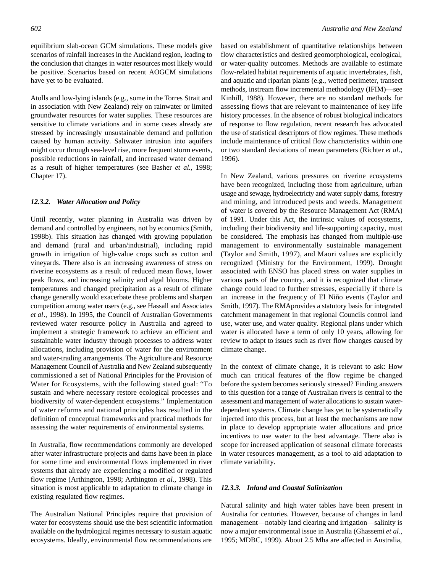equilibrium slab-ocean GCM simulations. These models give scenarios of rainfall increases in the Auckland region, leading to the conclusion that changes in water resources most likely would be positive. Scenarios based on recent AOGCM simulations have yet to be evaluated.

Atolls and low-lying islands (e.g., some in the Torres Strait and in association with New Zealand) rely on rainwater or limited groundwater resources for water supplies. These resources are sensitive to climate variations and in some cases already are stressed by increasingly unsustainable demand and pollution caused by human activity. Saltwater intrusion into aquifers might occur through sea-level rise, more frequent storm events, possible reductions in rainfall, and increased water demand as a result of higher temperatures (see Basher *et al*., 1998; Chapter 17).

#### *12.3.2. Water Allocation and Policy*

Until recently, water planning in Australia was driven by demand and controlled by engineers, not by economics (Smith, 1998b). This situation has changed with growing population and demand (rural and urban/industrial), including rapid growth in irrigation of high-value crops such as cotton and vineyards. There also is an increasing awareness of stress on riverine ecosystems as a result of reduced mean flows, lower peak flows, and increasing salinity and algal blooms. Higher temperatures and changed precipitation as a result of climate change generally would exacerbate these problems and sharpen competition among water users (e.g., see Hassall and Associates *et al*., 1998). In 1995, the Council of Australian Governments reviewed water resource policy in Australia and agreed to implement a strategic framework to achieve an efficient and sustainable water industry through processes to address water allocations, including provision of water for the environment and water-trading arrangements. The Agriculture and Resource Management Council of Australia and New Zealand subsequently commissioned a set of National Principles for the Provision of Water for Ecosystems, with the following stated goal: "To sustain and where necessary restore ecological processes and biodiversity of water-dependent ecosystems." Implementation of water reforms and national principles has resulted in the definition of conceptual frameworks and practical methods for assessing the water requirements of environmental systems.

In Australia, flow recommendations commonly are developed after water infrastructure projects and dams have been in place for some time and environmental flows implemented in river systems that already are experiencing a modified or regulated flow regime (Arthington, 1998; Arthington *et al.,* 1998). This situation is most applicable to adaptation to climate change in existing regulated flow regimes.

The Australian National Principles require that provision of water for ecosystems should use the best scientific information available on the hydrological regimes necessary to sustain aquatic ecosystems. Ideally, environmental flow recommendations are

based on establishment of quantitative relationships between flow characteristics and desired geomorphological, ecological, or water-quality outcomes. Methods are available to estimate flow-related habitat requirements of aquatic invertebrates, fish, and aquatic and riparian plants (e.g., wetted perimeter, transect methods, instream flow incremental methodology (IFIM)—see Kinhill, 1988). However, there are no standard methods for assessing flows that are relevant to maintenance of key life history processes. In the absence of robust biological indicators of response to flow regulation, recent research has advocated the use of statistical descriptors of flow regimes. These methods include maintenance of critical flow characteristics within one or two standard deviations of mean parameters (Richter *et al*., 1996).

In New Zealand, various pressures on riverine ecosystems have been recognized, including those from agriculture, urban usage and sewage, hydroelectricty and water supply dams, forestry and mining, and introduced pests and weeds. Management of water is covered by the Resource Management Act (RMA) of 1991. Under this Act, the intrinsic values of ecosystems, including their biodiversity and life-supporting capacity, must be considered. The emphasis has changed from multiple-use management to environmentally sustainable management ( Taylor and Smith, 1997), and Maori values are explicitly recognized (Ministry for the Environment, 1999). Drought associated with ENSO has placed stress on water supplies in various parts of the country, and it is recognized that climate change could lead to further stresses, especially if there is an increase in the frequency of El Niño events (Taylor and Smith, 1997). The RMAprovides a statutory basis for integrated catchment management in that regional Councils control land use, water use, and water quality. Regional plans under which water is allocated have a term of only 10 years, allowing for review to adapt to issues such as river flow changes caused by climate change.

In the context of climate change, it is relevant to ask: How much can critical features of the flow regime be changed before the system becomes seriously stressed? Finding answers to this question for a range of Australian rivers is central to the assessment and management of water allocations to sustain waterdependent systems. Climate change has yet to be systematically injected into this process, but at least the mechanisms are now in place to develop appropriate water allocations and price incentives to use water to the best advantage. There also is scope for increased application of seasonal climate forecasts in water resources management, as a tool to aid adaptation to climate variability.

#### *12.3.3. Inland and Coastal Salinization*

Natural salinity and high water tables have been present in Australia for centuries. However, because of changes in land management—notably land clearing and irrigation—salinity is now a major environmental issue in Australia (Ghassemi *et al*., 1995; MDBC, 1999). About 2.5 Mha are affected in Australia,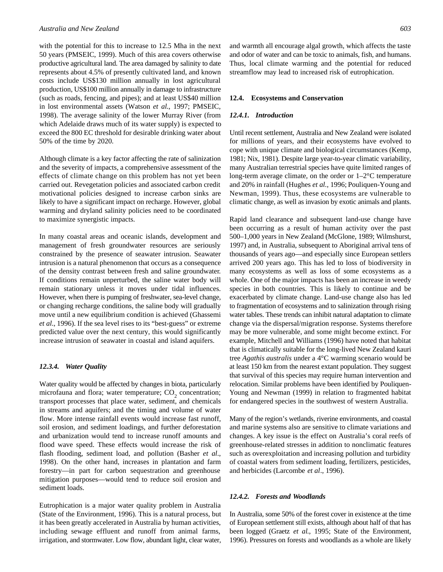with the potential for this to increase to 12.5 Mha in the next 50 years (PMSEIC, 1999). Much of this area covers otherwise productive agricultural land. The area damaged by salinity to date represents about 4.5% of presently cultivated land, and known costs include US\$130 million annually in lost agricultural production, US\$100 million annually in damage to infrastructure (such as roads, fencing, and pipes); and at least US\$40 million in lost environmental assets (Watson *et al*., 1997; PMSEIC, 1998). The average salinity of the lower Murray River (from which Adelaide draws much of its water supply) is expected to exceed the 800 EC threshold for desirable drinking water about 50% of the time by 2020.

Although climate is a key factor affecting the rate of salinization and the severity of impacts, a comprehensive assessment of the e ffects of climate change on this problem has not yet been carried out. Revegetation policies and associated carbon credit motivational policies designed to increase carbon sinks are likely to have a significant impact on recharge. However, global warming and dryland salinity policies need to be coordinated to maximize synergistic impacts.

In many coastal areas and oceanic islands, development and management of fresh groundwater resources are seriously constrained by the presence of seawater intrusion. Seawater intrusion is a natural phenomenon that occurs as a consequence of the density contrast between fresh and saline groundwater. If conditions remain unperturbed, the saline water body will remain stationary unless it moves under tidal influences. However, when there is pumping of freshwater, sea-level change, or changing recharge conditions, the saline body will gradually move until a new equilibrium condition is achieved (Ghassemi *et al*., 1996). If the sea level rises to its "best-guess" or extreme predicted value over the next century, this would significantly increase intrusion of seawater in coastal and island aquifers.

#### *12.3.4. Water Quality*

Water quality would be affected by changes in biota, particularly microfauna and flora; water temperature;  $CO_2$  concentration; transport processes that place water, sediment, and chemicals in streams and aquifers; and the timing and volume of water flow. More intense rainfall events would increase fast runoff, soil erosion, and sediment loadings, and further deforestation and urbanization would tend to increase runoff amounts and flood wave speed. These effects would increase the risk of flash flooding, sediment load, and pollution (Basher *et al*., 1998). On the other hand, increases in plantation and farm forestry—in part for carbon sequestration and greenhouse mitigation purposes—would tend to reduce soil erosion and sediment loads.

Eutrophication is a major water quality problem in Australia (State of the Environment, 1996). This is a natural process, but it has been greatly accelerated in Australia by human activities, including sewage effluent and runoff from animal farms, irrigation, and stormwater. Low flow, abundant light, clear water, and warmth all encourage algal growth, which affects the taste and odor of water and can be toxic to animals, fish, and humans. Thus, local climate warming and the potential for reduced streamflow may lead to increased risk of eutrophication.

#### **12.4. Ecosystems and Conservation**

#### *12.4.1. Introduction*

Until recent settlement, Australia and New Zealand were isolated for millions of years, and their ecosystems have evolved to cope with unique climate and biological circumstances (Kemp, 1981; Nix, 1981). Despite large year-to-year climatic variability, many Australian terrestrial species have quite limited ranges of long-term average climate, on the order or 1–2°C temperature and 20% in rainfall (Hughes *et al.,* 1996; Pouliquen-Young and Newman, 1999). Thus, these ecosystems are vulnerable to climatic change, as well as invasion by exotic animals and plants.

Rapid land clearance and subsequent land-use change have been occurring as a result of human activity over the past 500–1,000 years in New Zealand (McGlone, 1989; Wilmshurst, 1997) and, in Australia, subsequent to Aboriginal arrival tens of thousands of years ago—and especially since European settlers arrived 200 years ago. This has led to loss of biodiversity in many ecosystems as well as loss of some ecosystems as a whole. One of the major impacts has been an increase in weedy species in both countries. This is likely to continue and be exacerbated by climate change. Land-use change also has led to fragmentation of ecosystems and to salinization through rising water tables. These trends can inhibit natural adaptation to climate change via the dispersal/migration response. Systems therefore may be more vulnerable, and some might become extinct. For example, Mitchell and Williams (1996) have noted that habitat that is climatically suitable for the long-lived New Zealand kauri tree *Agathis australis* under a 4°C warming scenario would be at least 150 km from the nearest extant population. They suggest that survival of this species may require human intervention and relocation. Similar problems have been identified by Pouliquen-Young and Newman (1999) in relation to fragmented habitat for endangered species in the southwest of western Australia.

Many of the region's wetlands, riverine environments, and coastal and marine systems also are sensitive to climate variations and changes. A key issue is the effect on Australia's coral reefs of greenhouse-related stresses in addition to nonclimatic features such as overexploitation and increasing pollution and turbidity of coastal waters from sediment loading, fertilizers, pesticides, and herbicides (Larcombe *et al*., 1996).

#### *12.4.2. Forests and Woodlands*

In Australia, some 50% of the forest cover in existence at the time of European settlement still exists, although about half of that has been logged (Graetz *et al*., 1995; State of the Environment, 1996). Pressures on forests and woodlands as a whole are likely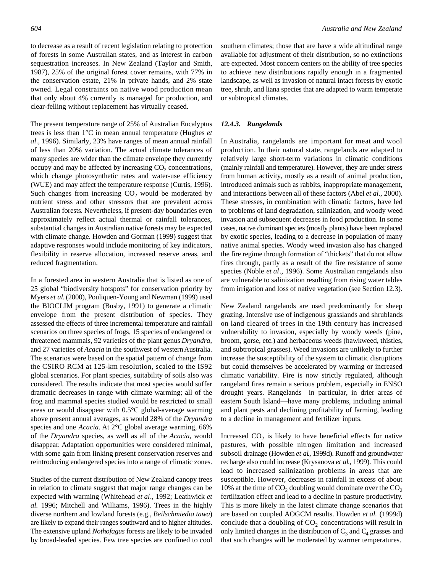to decrease as a result of recent legislation relating to protection of forests in some Australian states, and as interest in carbon sequestration increases. In New Zealand (Taylor and Smith, 1987), 25% of the original forest cover remains, with 77% in the conservation estate, 21% in private hands, and 2% state owned. Legal constraints on native wood production mean that only about 4% currently is managed for production, and clear-felling without replacement has virtually ceased.

The present temperature range of 25% of Australian Eucalyptus trees is less than 1°C in mean annual temperature (Hughes *et al*., 1996). Similarly, 23% have ranges of mean annual rainfall of less than 20% variation. The actual climate tolerances of many species are wider than the climate envelope they currently occupy and may be affected by increasing  $CO<sub>2</sub>$  concentrations, which change photosynthetic rates and water-use efficiency (WUE) and may affect the temperature response (Curtis, 1996). Such changes from increasing  $CO<sub>2</sub>$  would be moderated by nutrient stress and other stressors that are prevalent across Australian forests. Nevertheless, if present-day boundaries even approximately reflect actual thermal or rainfall tolerances, substantial changes in Australian native forests may be expected with climate change. Howden and Gorman (1999) suggest that adaptive responses would include monitoring of key indicators, flexibility in reserve allocation, increased reserve areas, and reduced fragmentation.

In a forested area in western Australia that is listed as one of 25 global "biodiversity hotspots" for conservation priority by Myers *et al.*(2000), Pouliquen-Young and Newman (1999) used the BIOCLIM program (Busby, 1991) to generate a climatic envelope from the present distribution of species. They assessed the effects of three incremental temperature and rainfall scenarios on three species of frogs, 15 species of endangered or threatened mammals, 92 varieties of the plant genus *Dryandra*, and 27 varieties of *Acacia* in the southwest of western Australia. The scenarios were based on the spatial pattern of change from the CSIRO RCM at 125-km resolution, scaled to the IS92 global scenarios. For plant species, suitability of soils also was considered. The results indicate that most species would suffer dramatic decreases in range with climate warming; all of the frog and mammal species studied would be restricted to small areas or would disappear with 0.5°C global-average warming above present annual averages, as would 28% of the *Dryandra* species and one *Acacia*. At 2°C global average warming, 66% of the *Dryandra* species, as well as all of the *Acacia,* would disappear. Adaptation opportunities were considered minimal, with some gain from linking present conservation reserves and reintroducing endangered species into a range of climatic zones.

Studies of the current distribution of New Zealand canopy trees in relation to climate suggest that major range changes can be expected with warming (Whitehead *et al*., 1992; Leathwick *et al.* 1996; Mitchell and Williams, 1996). Trees in the highly diverse northern and lowland forests (e.g., *Beilschmiedia tawa*) are likely to expand their ranges southward and to higher altitudes. The extensive upland *Nothofagus* forests are likely to be invaded by broad-leafed species. Few tree species are confined to cool southern climates; those that are have a wide altitudinal range available for adjustment of their distribution, so no extinctions are expected. Most concern centers on the ability of tree species to achieve new distributions rapidly enough in a fragmented landscape, as well as invasion of natural intact forests by exotic tree, shrub, and liana species that are adapted to warm temperate or subtropical climates.

#### *12.4.3. Rangelands*

In Australia, rangelands are important for meat and wool production. In their natural state, rangelands are adapted to relatively large short-term variations in climatic conditions (mainly rainfall and temperature). However, they are under stress from human activity, mostly as a result of animal production, introduced animals such as rabbits, inappropriate management, and interactions between all of these factors (Abel *et al.*, 2000). These stresses, in combination with climatic factors, have led to problems of land degradation, salinization, and woody weed invasion and subsequent decreases in food production. In some cases, native dominant species (mostly plants) have been replaced by exotic species, leading to a decrease in population of many native animal species. Woody weed invasion also has changed the fire regime through formation of "thickets" that do not allow fires through, partly as a result of the fire resistance of some species (Noble *et al*., 1996). Some Australian rangelands also are vulnerable to salinization resulting from rising water tables from irrigation and loss of native vegetation (see Section 12.3).

New Zealand rangelands are used predominantly for sheep grazing. Intensive use of indigenous grasslands and shrublands on land cleared of trees in the 19th century has increased vulnerability to invasion, especially by woody weeds (pine, broom, gorse, etc.) and herbaceous weeds (hawkweed, thistles, and subtropical grasses). Weed invasions are unlikely to further increase the susceptibility of the system to climatic disruptions but could themselves be accelerated by warming or increased climatic variability. Fire is now strictly regulated, although rangeland fires remain a serious problem, especially in ENSO drought years. Rangelands—in particular, in drier areas of eastern South Island—have many problems, including animal and plant pests and declining profitability of farming, leading to a decline in management and fertilizer inputs.

Increased  $CO<sub>2</sub>$  is likely to have beneficial effects for native pastures, with possible nitrogen limitation and increased subsoil drainage (Howden *et al.*, 1999d). Runoff and groundwater recharge also could increase (Krysanova *et al.*, 1999). This could lead to increased salinization problems in areas that are susceptible. However, decreases in rainfall in excess of about 10% at the time of  $CO_2$  doubling would dominate over the  $CO_2$ fertilization effect and lead to a decline in pasture productivity. This is more likely in the latest climate change scenarios that are based on coupled AOGCM results. Howden *et al.* (1999d) conclude that a doubling of  $CO_2$  concentrations will result in only limited changes in the distribution of  $C_3$  and  $C_4$  grasses and that such changes will be moderated by warmer temperatures.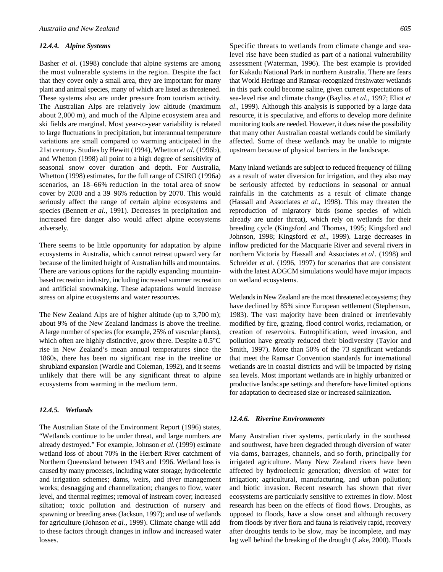#### *12.4.4. Alpine Systems*

Basher *et al*. (1998) conclude that alpine systems are among the most vulnerable systems in the region. Despite the fact that they cover only a small area, they are important for many plant and animal species, many of which are listed as threatened. These systems also are under pressure from tourism activity. The Australian Alps are relatively low altitude (maximum about 2,000 m), and much of the Alpine ecosystem area and ski fields are marginal. Most year-to-year variability is related to large fluctuations in precipitation, but interannual temperature variations are small compared to warming anticipated in the 21st century. Studies by Hewitt (1994), Whetton *et al*. (1996b), and Whetton (1998) all point to a high degree of sensitivity of seasonal snow cover duration and depth. For Australia, Whetton (1998) estimates, for the full range of CSIRO (1996a) scenarios, an 18–66% reduction in the total area of snow cover by 2030 and a 39–96% reduction by 2070. This would seriously affect the range of certain alpine ecosystems and species (Bennett *et al*., 1991). Decreases in precipitation and increased fire danger also would affect alpine ecosystems adversely.

There seems to be little opportunity for adaptation by alpine ecosystems in Australia, which cannot retreat upward very far because of the limited height of Australian hills and mountains. There are various options for the rapidly expanding mountainbased recreation industry, including increased summer recreation and artificial snowmaking. These adaptations would increase stress on alpine ecosystems and water resources.

The New Zealand Alps are of higher altitude (up to 3,700 m); about 9% of the New Zealand landmass is above the treeline. A large number of species (for example, 25% of vascular plants), which often are highly distinctive, grow there. Despite a 0.5°C rise in New Zealand's mean annual temperatures since the 1860s, there has been no significant rise in the treeline or shrubland expansion (Wardle and Coleman, 1992), and it seems unlikely that there will be any significant threat to alpine ecosystems from warming in the medium term.

#### *12.4.5. Wetlands*

The Australian State of the Environment Report (1996) states, "Wetlands continue to be under threat, and large numbers are already destroyed." For example, Johnson *et al.* (1999) estimate wetland loss of about 70% in the Herbert River catchment of Northern Queensland between 1943 and 1996. Wetland loss is caused by many processes, including water storage; hydroelectric and irrigation schemes; dams, weirs, and river management works; desnagging and channelization; changes to flow, water level, and thermal regimes; removal of instream cover; increased siltation; toxic pollution and destruction of nursery and spawning or breeding areas (Jackson, 1997); and use of wetlands for agriculture (Johnson *et al.*, 1999). Climate change will add to these factors through changes in inflow and increased water losses.

Specific threats to wetlands from climate change and sealevel rise have been studied as part of a national vulnerability assessment (Waterman, 1996). The best example is provided for Kakadu National Park in northern Australia. There are fears that World Heritage and Ramsar-recognized freshwater wetlands in this park could become saline, given current expectations of sea-level rise and climate change (Bayliss *et al.,* 1997; Eliot *et al*., 1999). Although this analysis is supported by a large data resource, it is speculative, and efforts to develop more definite monitoring tools are needed. However, it does raise the possibility that many other Australian coastal wetlands could be similarly affected. Some of these wetlands may be unable to migrate upstream because of physical barriers in the landscape.

Many inland wetlands are subject to reduced frequency of filling as a result of water diversion for irrigation, and they also may be seriously affected by reductions in seasonal or annual rainfalls in the catchments as a result of climate change (Hassall and Associates *et al*., 1998). This may threaten the reproduction of migratory birds (some species of which already are under threat), which rely on wetlands for their breeding cycle (Kingsford and Thomas, 1995; Kingsford and Johnson, 1998; Kingsford *et al*., 1999). Large decreases in inflow predicted for the Macquarie River and several rivers in northern Victoria by Hassall and Associates *et al*. (1998) and Schreider *et al*. (1996, 1997) for scenarios that are consistent with the latest AOGCM simulations would have major impacts on wetland ecosystems.

Wetlands in New Zealand are the most threatened ecosystems; they have declined by 85% since European settlement (Stephenson, 1983). The vast majority have been drained or irretrievably modified by fire, grazing, flood control works, reclamation, or creation of reservoirs. Eutrophification, weed invasion, and pollution have greatly reduced their biodiversity (Taylor and Smith, 1997). More than 50% of the 73 significant wetlands that meet the Ramsar Convention standards for international wetlands are in coastal districts and will be impacted by rising sea levels. Most important wetlands are in highly urbanized or productive landscape settings and therefore have limited options for adaptation to decreased size or increased salinization.

#### *12.4.6. Riverine Environments*

Many Australian river systems, particularly in the southeast and southwest, have been degraded through diversion of water via dams, barrages, channels, and so forth, principally for irrigated agriculture. Many New Zealand rivers have been affected by hydroelectric generation; diversion of water for irrigation; agricultural, manufacturing, and urban pollution; and biotic invasion. Recent research has shown that river ecosystems are particularly sensitive to extremes in flow. Most research has been on the effects of flood flows. Droughts, as opposed to floods, have a slow onset and although recovery from floods by river flora and fauna is relatively rapid, recovery after droughts tends to be slow, may be incomplete, and may lag well behind the breaking of the drought (Lake, 2000). Floods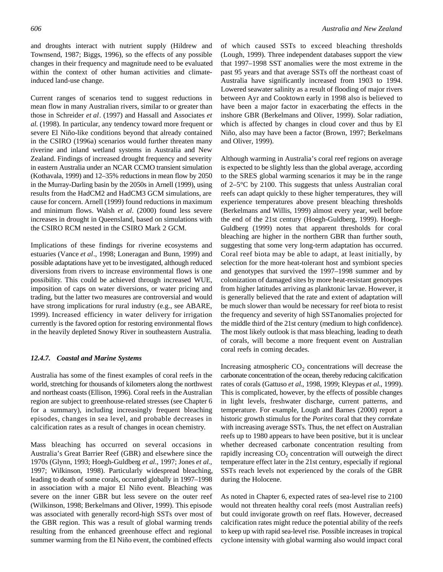and droughts interact with nutrient supply (Hildrew and Townsend, 1987; Biggs, 1996), so the effects of any possible changes in their frequency and magnitude need to be evaluated within the context of other human activities and climateinduced land-use change.

Current ranges of scenarios tend to suggest reductions in mean flow in many Australian rivers, similar to or greater than those in Schreider *et al*. (1997) and Hassall and Associates *et al*. (1998). In particular, any tendency toward more frequent or severe El Niño-like conditions beyond that already contained in the CSIRO (1996a) scenarios would further threaten many riverine and inland wetland systems in Australia and New Zealand. Findings of increased drought frequency and severity in eastern Australia under an NCAR CCMO transient simulation (Kothavala, 1999) and 12–35% reductions in mean flow by 2050 in the Murray-Darling basin by the 2050s in Arnell (1999), using results from the HadCM2 and HadCM3 GCM simulations, are cause for concern. Arnell (1999) found reductions in maximum and minimum flows. Walsh *et al*. (2000) found less severe increases in drought in Queensland, based on simulations with the CSIRO RCM nested in the CSIRO Mark 2 GCM.

Implications of these findings for riverine ecosystems and estuaries (Vance et al., 1998; Loneragan and Bunn, 1999) and possible adaptations have yet to be investigated, although reduced diversions from rivers to increase environmental flows is one possibility. This could be achieved through increased WUE, imposition of caps on water diversions, or water pricing and trading, but the latter two measures are controversial and would have strong implications for rural industry (e.g., see ABARE, 1999). Increased efficiency in water delivery for irrigation currently is the favored option for restoring environmental flows in the heavily depleted Snowy River in southeastern Australia.

#### *12.4.7. Coastal and Marine Systems*

Australia has some of the finest examples of coral reefs in the world, stretching for thousands of kilometers along the northwest and northeast coasts (Ellison, 1996). Coral reefs in the Australian region are subject to greenhouse-related stresses (see Chapter 6 for a summary), including increasingly frequent bleaching episodes, changes in sea level, and probable decreases in cal cification rates as a result of changes in ocean chemistry.

Mass bleaching has occurred on several occasions in Australia's Great Barrier Reef (GBR) and elsewhere since the 1970s (Glynn, 1993; Hoegh-Guldberg *et al*., 1997; Jones *et al*., 1997; Wilkinson, 1998). Particularly widespread bleaching, leading to death of some corals, occurred globally in 1997–1998 in association with a major El Niño event. Bleaching was severe on the inner GBR but less severe on the outer reef (Wilkinson, 1998; Berkelmans and Oliver, 1999). This episode was associated with generally record-high SSTs over most of the GBR region. This was a result of global warming trends resulting from the enhanced greenhouse effect and regional summer warming from the El Niño event, the combined effects of which caused SSTs to exceed bleaching thresholds (Lough, 1999). Three independent databases support the view that 1997–1998 SST anomalies were the most extreme in the past 95 years and that average SSTs off the northeast coast of Australia have significantly increased from 1903 to 1994. Lowered seawater salinity as a result of flooding of major rivers between Ayr and Cooktown early in 1998 also is believed to have been a major factor in exacerbating the effects in the inshore GBR (Berkelmans and Oliver, 1999). Solar radiation, which is affected by changes in cloud cover and thus by El Niño, also may have been a factor (Brown, 1997; Berkelmans and Oliver, 1999).

Although warming in Australia's coral reef regions on average is expected to be slightly less than the global average, according to the SRES global warming scenarios it may be in the range of 2–5°C by 2100. This suggests that unless Australian coral reefs can adapt quickly to these higher temperatures, they will experience temperatures above present bleaching thresholds (Berkelmans and Willis, 1999) almost every year, well before the end of the 21st century (Hoegh-Guldberg, 1999). Hoegh-Guldberg (1999) notes that apparent thresholds for coral bleaching are higher in the northern GBR than further south, suggesting that some very long-term adaptation has occurred. Coral reef biota may be able to adapt, at least initially, by selection for the more heat-tolerant host and symbiont species and genotypes that survived the 1997–1998 summer and by colonization of damaged sites by more heat-resistant genotypes from higher latitudes arriving as planktonic larvae. However, it is generally believed that the rate and extent of adaptation will be much slower than would be necessary for reef biota to resist the frequency and severity of high SSTanomalies projected for the middle third of the 21st century (medium to high confidence). The most likely outlook is that mass bleaching, leading to death of corals, will become a more frequent event on Australian coral reefs in coming decades.

Increasing atmospheric  $CO<sub>2</sub>$  concentrations will decrease the carbonate concentration of the ocean, thereby reducing calcification rates of corals (Gattuso *et al*., 1998, 1999; Kleypas *et al*., 1999). This is complicated, however, by the effects of possible changes in light levels, freshwater discharge, current patterns, and temperature. For example, Lough and Barnes (2000) report a historic growth stimulus for the *Porites* coral that they correlate with increasing average SSTs. Thus, the net effect on Australian reefs up to 1980 appears to have been positive, but it is unclear whether decreased carbonate concentration resulting from rapidly increasing  $CO<sub>2</sub>$  concentration will outweigh the direct temperature effect later in the 21st century, especially if regional SSTs reach levels not experienced by the corals of the GBR during the Holocene.

As noted in Chapter 6, expected rates of sea-level rise to 2100 would not threaten healthy coral reefs (most Australian reefs) but could invigorate growth on reef flats. However, decreased calcification rates might reduce the potential ability of the reefs to keep up with rapid sea-level rise. Possible increases in tropical cyclone intensity with global warming also would impact coral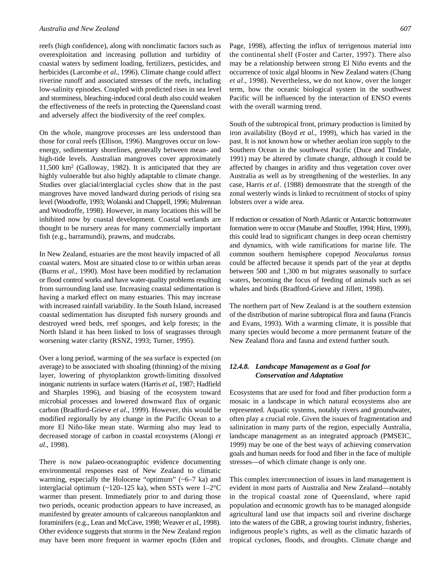reefs (high confidence), along with nonclimatic factors such as overexploitation and increasing pollution and turbidity of coastal waters by sediment loading, fertilizers, pesticides, and herbicides (Larcombe *et al.*, 1996). Climate change could affect riverine runoff and associated stresses of the reefs, including low-salinity episodes. Coupled with predicted rises in sea level and storminess, bleaching-induced coral death also could weaken the effectiveness of the reefs in protecting the Queensland coast and adversely affect the biodiversity of the reef complex.

On the whole, mangrove processes are less understood than those for coral reefs (Ellison, 1996). Mangroves occur on lowenergy, sedimentary shorelines, generally between mean- and high-tide levels. Australian mangroves cover approximately 11,500 km<sup>2</sup> (Galloway, 1982). It is anticipated that they are highly vulnerable but also highly adaptable to climate change. Studies over glacial/interglacial cycles show that in the past mangroves have moved landward during periods of rising sea level (Woodroffe, 1993; Wolanski and Chappell, 1996; Mulrennan and Woodroffe, 1998). However, in many locations this will be inhibited now by coastal development. Coastal wetlands are thought to be nursery areas for many commercially important fish (e.g., barramundi), prawns, and mudcrabs.

In New Zealand, estuaries are the most heavily impacted of all coastal waters. Most are situated close to or within urban areas (Burns *et al.,* 1990). Most have been modified by reclamation or flood control works and have water-quality problems resulting from surrounding land use. Increasing coastal sedimentation is having a marked effect on many estuaries. This may increase with increased rainfall variability. In the South Island, increased coastal sedimentation has disrupted fish nursery grounds and destroyed weed beds, reef sponges, and kelp forests; in the North Island it has been linked to loss of seagrasses through worsening water clarity (RSNZ, 1993; Turner, 1995).

Over a long period, warming of the sea surface is expected (on average) to be associated with shoaling (thinning) of the mixing layer, lowering of phytoplankton growth-limiting dissolved inorganic nutrients in surface waters (Harris *et al.*, 1987; Hadfield and Sharples 1996), and biasing of the ecosystem toward microbial processes and lowered downward flux of organic carbon (Bradford-Grieve *et al*., 1999). However, this would be modified regionally by any change in the Pacific Ocean to a more El Niño-like mean state. Warming also may lead to decreased storage of carbon in coastal ecosystems (Alongi *et al*., 1998).

There is now palaeo-oceanographic evidence documenting environmental responses east of New Zealand to climatic warming, especially the Holocene "optimum" (~6–7 ka) and interglacial optimum ( $\sim$ 120–125 ka), when SSTs were 1–2 $\rm{°C}$ warmer than present. Immediately prior to and during those two periods, oceanic production appears to have increased, as manifested by greater amounts of calcareous nanoplankton and foraminifers (e.g., Lean and McCave, 1998; Weaver *et al*., 1998). Other evidence suggests that storms in the New Zealand region may have been more frequent in warmer epochs (Eden and Page, 1998), affecting the influx of terrigenous material into the continental shelf (Foster and Carter, 1997). There also may be a relationship between strong El Niño events and the occurrence of toxic algal blooms in New Zealand waters (Chang *et al*., 1998). Nevertheless, we do not know, over the longer term, how the oceanic biological system in the southwest Pacific will be influenced by the interaction of ENSO events with the overall warming trend.

South of the subtropical front, primary production is limited by iron availability (Boyd *et al*., 1999), which has varied in the past. It is not known how or whether aeolian iron supply to the Southern Ocean in the southwest Pacific (Duce and Tindale, 1991) may be altered by climate change, although it could be affected by changes in aridity and thus vegetation cover over Australia as well as by strengthening of the westerlies. In any case, Harris *et al*. (1988) demonstrate that the strength of the zonal westerly winds is linked to recruitment of stocks of spiny lobsters over a wide area.

If reduction or cessation of North Atlantic or Antarctic bottomwater formation were to occur (Manabe and Stouffer, 1994; Hirst, 1999), this could lead to significant changes in deep ocean chemistry and dynamics, with wide ramifications for marine life. The common southern hemisphere copepod *Neocalanus tonsus* could be affected because it spends part of the year at depths between 500 and 1,300 m but migrates seasonally to surface waters, becoming the focus of feeding of animals such as sei whales and birds (Bradford-Grieve and Jillett, 1998).

The northern part of New Zealand is at the southern extension of the distribution of marine subtropical flora and fauna (Francis and Evans, 1993). With a warming climate, it is possible that many species would become a more permanent feature of the New Zealand flora and fauna and extend further south.

#### *12.4.8. Landscape Management as a Goal for Conservation and Adaptation*

Ecosystems that are used for food and fiber production form a mosaic in a landscape in which natural ecosystems also are represented. Aquatic systems, notably rivers and groundwater, often play a crucial role. Given the issues of fragmentation and salinization in many parts of the region, especially Australia, landscape management as an integrated approach (PMSEIC, 1999) may be one of the best ways of achieving conservation goals and human needs for food and fiber in the face of multiple stresses—of which climate change is only one.

This complex interconnection of issues in land management is evident in most parts of Australia and New Zealand—notably in the tropical coastal zone of Queensland, where rapid population and economic growth has to be managed alongside agricultural land use that impacts soil and riverine discharge into the waters of the GBR, a growing tourist industry, fisheries, indigenous people's rights, as well as the climatic hazards of tropical cyclones, floods, and droughts. Climate change and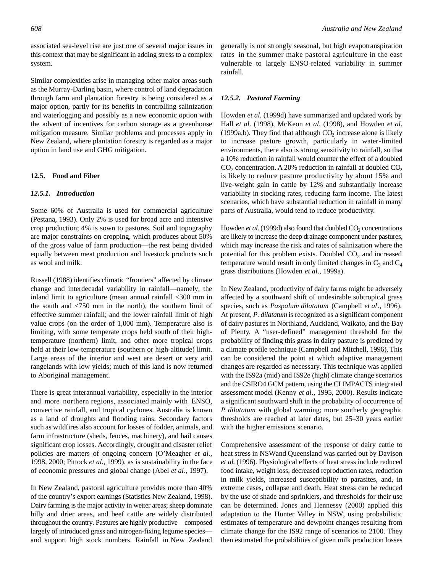associated sea-level rise are just one of several major issues in this context that may be significant in adding stress to a complex system.

Similar complexities arise in managing other major areas such as the Murray-Darling basin, where control of land degradation through farm and plantation forestry is being considered as a major option, partly for its benefits in controlling salinization and waterlogging and possibly as a new economic option with the advent of incentives for carbon storage as a greenhouse mitigation measure. Similar problems and processes apply in New Zealand, where plantation forestry is regarded as a major option in land use and GHG mitigation.

#### **12.5. Food and Fiber**

#### *12.5.1. Introduction*

Some 60% of Australia is used for commercial agriculture (Pestana, 1993). Only 2% is used for broad acre and intensive crop production; 4% is sown to pastures. Soil and topography are major constraints on cropping, which produces about 50% of the gross value of farm production—the rest being divided equally between meat production and livestock products such as wool and milk.

Russell (1988) identifies climatic "frontiers" affected by climate change and interdecadal variability in rainfall—namely, the inland limit to agriculture (mean annual rainfall <300 mm in the south and <750 mm in the north), the southern limit of effective summer rainfall; and the lower rainfall limit of high value crops (on the order of 1,000 mm). Temperature also is limiting, with some temperate crops held south of their hightemperature (northern) limit, and other more tropical crops held at their low-temperature (southern or high-altitude) limit. Large areas of the interior and west are desert or very arid rangelands with low yields; much of this land is now returned to Aboriginal management.

There is great interannual variability, especially in the interior and more northern regions, associated mainly with ENSO, convective rainfall, and tropical cyclones. Australia is known as a land of droughts and flooding rains. Secondary factors such as wildfires also account for losses of fodder, animals, and farm infrastructure (sheds, fences, machinery), and hail causes significant crop losses. Accordingly, drought and disaster relief policies are matters of ongoing concern (O'Meagher *et al*., 1998, 2000; Pittock *et al*., 1999), as is sustainability in the face of economic pressures and global change (Abel *et al*., 1997).

In New Zealand, pastoral agriculture provides more than 40% of the country's export earnings (Statistics New Zealand, 1998). Dairy farming is the major activity in wetter areas; sheep dominate hilly and drier areas, and beef cattle are widely distributed throughout the country. Pastures are highly productive—composed largely of introduced grass and nitrogen-fixing legume species and support high stock numbers. Rainfall in New Zealand generally is not strongly seasonal, but high evapotranspiration rates in the summer make pastoral agriculture in the east vulnerable to largely ENSO-related variability in summer rainfall.

#### *12.5.2. Pastoral Farming*

Howden *et al*. (1999d) have summarized and updated work by Hall *et al*. (1998), McKeon *et al*. (1998), and Howden *et al*. (1999a,b). They find that although  $CO<sub>2</sub>$  increase alone is likely to increase pasture growth, particularly in water-limited environments, there also is strong sensitivity to rainfall, so that a 10% reduction in rainfall would counter the effect of a doubled  $CO_2$  concentration. A 20% reduction in rainfall at doubled  $CO_2$ is likely to reduce pasture productivity by about 15% and live-weight gain in cattle by 12% and substantially increase variability in stocking rates, reducing farm income. The latest scenarios, which have substantial reduction in rainfall in many parts of Australia, would tend to reduce productivity.

Howden *et al.* (1999d) also found that doubled  $CO_2$  concentrations are likely to increase the deep drainage component under pastures, which may increase the risk and rates of salinization where the potential for this problem exists. Doubled  $CO<sub>2</sub>$  and increased temperature would result in only limited changes in  $C_3$  and  $C_4$ grass distributions (Howden *et al*., 1999a).

In New Zealand, productivity of dairy farms might be adversely affected by a southward shift of undesirable subtropical grass species, such as *Paspalum dilatatum* (Campbell *et al*., 1996). At present, *P. dilatatum* is recognized as a significant component of dairy pastures in Northland, Auckland, Waikato, and the Bay of Plenty. A "user-defined" management threshold for the probability of finding this grass in dairy pasture is predicted by a climate profile technique (Campbell and Mitchell, 1996). This can be considered the point at which adaptive management changes are regarded as necessary. This technique was applied with the IS92a (mid) and IS92e (high) climate change scenarios and the CSIRO4 GCM pattern, using the CLIMPACTS integrated assessment model (Kenny *et al*., 1995, 2000). Results indicate a significant southward shift in the probability of occurrence of *P. dilatatum* with global warming; more southerly geographic thresholds are reached at later dates, but 25–30 years earlier with the higher emissions scenario.

Comprehensive assessment of the response of dairy cattle to heat stress in NSWand Queensland was carried out by Davison *et al*. (1996). Physiological effects of heat stress include reduced food intake, weight loss, decreased reproduction rates, reduction in milk yields, increased susceptibility to parasites, and, in extreme cases, collapse and death. Heat stress can be reduced by the use of shade and sprinklers, and thresholds for their use can be determined. Jones and Hennessy (2000) applied this adaptation to the Hunter Valley in NSW, using probabilistic estimates of temperature and dewpoint changes resulting from climate change for the IS92 range of scenarios to 2100. They then estimated the probabilities of given milk production losses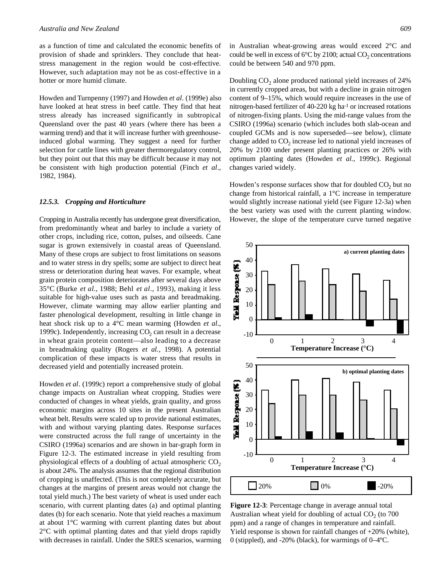as a function of time and calculated the economic benefits of provision of shade and sprinklers. They conclude that heatstress management in the region would be cost-effective. However, such adaptation may not be as cost-effective in a hotter or more humid climate.

Howden and Turnpenny (1997) and Howden *et al*. (1999e) also have looked at heat stress in beef cattle. They find that heat stress already has increased significantly in subtropical Queensland over the past 40 years (where there has been a warming trend) and that it will increase further with greenhouseinduced global warming. They suggest a need for further selection for cattle lines with greater thermoregulatory control, but they point out that this may be difficult because it may not be consistent with high production potential (Finch *et al*., 1982, 1984).

#### *12.5.3. Cropping and Horticulture*

Cropping in Australia recently has undergone great diversification, from predominantly wheat and barley to include a variety of other crops, including rice, cotton, pulses, and oilseeds. Cane sugar is grown extensively in coastal areas of Queensland. Many of these crops are subject to frost limitations on seasons and to water stress in dry spells; some are subject to direct heat stress or deterioration during heat waves. For example, wheat grain protein composition deteriorates after several days above 35°C (Burke *et al*., 1988; Behl *et al*., 1993), making it less suitable for high-value uses such as pasta and breadmaking. However, climate warming may allow earlier planting and faster phenological development, resulting in little change in heat shock risk up to a 4°C mean warming (Howden *et al*., 1999c). Independently, increasing  $CO<sub>2</sub>$  can result in a decrease in wheat grain protein content—also leading to a decrease in breadmaking quality (Rogers *et al.*, 1998). A potential complication of these impacts is water stress that results in decreased yield and potentially increased protein.

Howden *et al*. (1999c) report a comprehensive study of global change impacts on Australian wheat cropping. Studies were conducted of changes in wheat yields, grain quality, and gross economic margins across 10 sites in the present Australian wheat belt. Results were scaled up to provide national estimates, with and without varying planting dates. Response surfaces were constructed across the full range of uncertainty in the CSIRO (1996a) scenarios and are shown in bar-graph form in Figure 12-3. The estimated increase in yield resulting from physiological effects of a doubling of actual atmospheric  $CO<sub>2</sub>$ is about 24%. The analysis assumes that the regional distribution of cropping is unaffected. (This is not completely accurate, but changes at the margins of present areas would not change the total yield much.) The best variety of wheat is used under each scenario, with current planting dates (a) and optimal planting dates (b) for each scenario. Note that yield reaches a maximum at about 1°C warming with current planting dates but about 2°C with optimal planting dates and that yield drops rapidly with decreases in rainfall. Under the SRES scenarios, warming in Australian wheat-growing areas would exceed 2°C and could be well in excess of 6 $\rm ^{o}C$  by 2100; actual  $\rm CO_{2}$  concentrations could be between 540 and 970 ppm.

Doubling  $CO<sub>2</sub>$  alone produced national yield increases of 24% in currently cropped areas, but with a decline in grain nitrogen content of 9–15%, which would require increases in the use of nitrogen-based fertilizer of  $40-220$  kg ha<sup>-1</sup> or increased rotations of nitrogen-fixing plants. Using the mid-range values from the CSIRO (1996a) scenario (which includes both slab-ocean and coupled GCMs and is now superseded—see below), climate change added to  $CO<sub>2</sub>$  increase led to national yield increases of 20% by 2100 under present planting practices or 26% with optimum planting dates (Howden *et al.*, 1999c). Regional changes varied widely.

Howden's response surfaces show that for doubled  $CO<sub>2</sub>$  but no change from historical rainfall, a 1°C increase in temperature would slightly increase national yield (see Figure 12-3a) when the best variety was used with the current planting window. However, the slope of the temperature curve turned negative



**Figure 12-3**: Percentage change in average annual total Australian wheat yield for doubling of actual  $CO<sub>2</sub>$  (to 700 ppm) and a range of changes in temperature and rainfall. Yield response is shown for rainfall changes of +20% (white), 0 (stippled), and -20% (black), for warmings of 0–4ºC.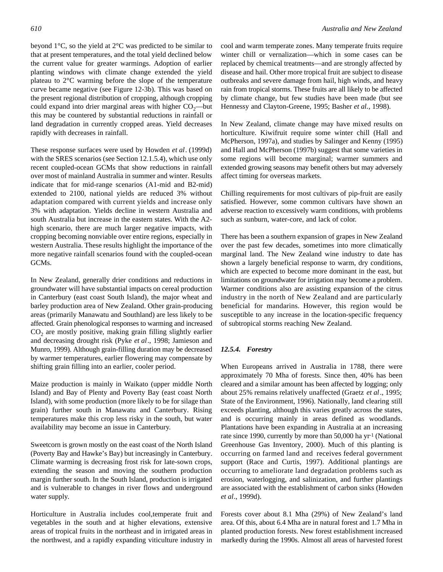beyond 1°C, so the yield at 2°C was predicted to be similar to that at present temperatures, and the total yield declined below the current value for greater warmings. Adoption of earlier planting windows with climate change extended the yield plateau to 2°C warming before the slope of the temperature curve became negative (see Figure 12-3b). This was based on the present regional distribution of cropping, although cropping could expand into drier marginal areas with higher  $CO<sub>2</sub>$ —but this may be countered by substantial reductions in rainfall or land degradation in currently cropped areas. Yield decreases rapidly with decreases in rainfall.

These response surfaces were used by Howden *et al*. (1999d) with the SRES scenarios (see Section 12.1.5.4), which use only recent coupled-ocean GCMs that show reductions in rainfall over most of mainland Australia in summer and winter. Results indicate that for mid-range scenarios (A1-mid and B2-mid) extended to 2100, national yields are reduced 3% without adaptation compared with current yields and increase only 3% with adaptation. Yields decline in western Australia and south Australia but increase in the eastern states. With the A2 high scenario, there are much larger negative impacts, with cropping becoming nonviable over entire regions, especially in western Australia. These results highlight the importance of the more negative rainfall scenarios found with the coupled-ocean GCMs.

In New Zealand, generally drier conditions and reductions in groundwater will have substantial impacts on cereal production in Canterbury (east coast South Island), the major wheat and barley production area of New Zealand. Other grain-producing areas (primarily Manawatu and Southland) are less likely to be a ffected. Grain phenological responses to warming and increased  $CO<sub>2</sub>$  are mostly positive, making grain filling slightly earlier and decreasing drought risk (Pyke *et al*., 1998; Jamieson and Munro, 1999). Although grain-filling duration may be decreased by warmer temperatures, earlier flowering may compensate by shifting grain filling into an earlier, cooler period.

Maize production is mainly in Waikato (upper middle North Island) and Bay of Plenty and Poverty Bay (east coast North Island), with some production (more likely to be for silage than grain) further south in Manawatu and Canterbury. Rising temperatures make this crop less risky in the south, but water availability may become an issue in Canterbury.

Sweetcorn is grown mostly on the east coast of the North Island (Poverty Bay and Hawke's Bay) but increasingly in Canterbury. Climate warming is decreasing frost risk for late-sown crops, extending the season and moving the southern production margin further south. In the South Island, production is irrigated and is vulnerable to changes in river flows and underground water supply.

Horticulture in Australia includes cool,temperate fruit and vegetables in the south and at higher elevations, extensive areas of tropical fruits in the northeast and in irrigated areas in the northwest, and a rapidly expanding viticulture industry in cool and warm temperate zones. Many temperate fruits require winter chill or vernalization—which in some cases can be replaced by chemical treatments—and are strongly affected by disease and hail. Other more tropical fruit are subject to disease outbreaks and severe damage from hail, high winds, and heavy rain from tropical storms. These fruits are all likely to be affected by climate change, but few studies have been made (but see Hennessy and Clayton-Greene, 1995; Basher *et al.*, 1998).

In New Zealand, climate change may have mixed results on horticulture. Kiwifruit require some winter chill (Hall and McPherson, 1997a), and studies by Salinger and Kenny (1995) and Hall and McPherson (1997b) suggest that some varieties in some regions will become marginal; warmer summers and extended growing seasons may benefit others but may adversely affect timing for overseas markets.

Chilling requirements for most cultivars of pip-fruit are easily satisfied. However, some common cultivars have shown an adverse reaction to excessively warm conditions, with problems such as sunburn, water-core, and lack of color.

There has been a southern expansion of grapes in New Zealand over the past few decades, sometimes into more climatically marginal land. The New Zealand wine industry to date has shown a largely beneficial response to warm, dry conditions, which are expected to become more dominant in the east, but limitations on groundwater for irrigation may become a problem. Warmer conditions also are assisting expansion of the citrus industry in the north of New Zealand and are particularly beneficial for mandarins. However, this region would be susceptible to any increase in the location-specific frequency of subtropical storms reaching New Zealand.

#### *12.5.4. Forestry*

When Europeans arrived in Australia in 1788, there were approximately 70 Mha of forests. Since then, 40% has been cleared and a similar amount has been affected by logging; only about 25% remains relatively unaffected (Graetz *et al*., 1995; State of the Environment, 1996). Nationally, land clearing still exceeds planting, although this varies greatly across the states, and is occurring mainly in areas defined as woodlands. Plantations have been expanding in Australia at an increasing rate since 1990, currently by more than  $50,000$  ha yr<sup>-1</sup> (National Greenhouse Gas Inventory, 2000). Much of this planting is occurring on farmed land and receives federal government support (Race and Curtis, 1997). Additional plantings are occurring to ameliorate land degradation problems such as erosion, waterlogging, and salinization, and further plantings are associated with the establishment of carbon sinks (Howden *et al*., 1999d).

Forests cover about 8.1 Mha (29%) of New Zealand's land area. Of this, about 6.4 Mha are in natural forest and 1.7 Mha in planted production forests. New forest establishment increased markedly during the 1990s. Almost all areas of harvested forest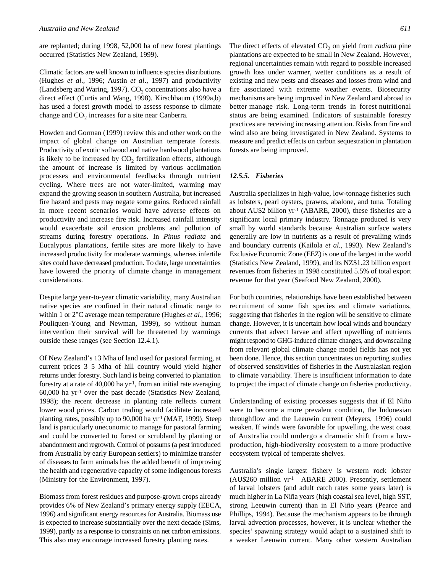are replanted; during 1998, 52,000 ha of new forest plantings occurred (Statistics New Zealand, 1999).

Climatic factors are well known to influence species distributions (Hughes *et al*., 1996; Austin *et al*., 1997) and productivity (Landsberg and Waring, 1997).  $CO_2$  concentrations also have a direct effect (Curtis and Wang, 1998). Kirschbaum (1999a,b) has used a forest growth model to assess response to climate change and  $CO_2$  increases for a site near Canberra.

Howden and Gorman (1999) review this and other work on the impact of global change on Australian temperate forests. Productivity of exotic softwood and native hardwood plantations is likely to be increased by  $CO<sub>2</sub>$  fertilization effects, although the amount of increase is limited by various acclimation processes and environmental feedbacks through nutrient cycling. Where trees are not water-limited, warming may expand the growing season in southern Australia, but increased fire hazard and pests may negate some gains. Reduced rainfall in more recent scenarios would have adverse effects on productivity and increase fire risk. Increased rainfall intensity would exacerbate soil erosion problems and pollution of streams during forestry operations. In *Pinus radiata* and Eucalyptus plantations, fertile sites are more likely to have increased productivity for moderate warmings, whereas infertile sites could have decreased production. To date, large uncertainties have lowered the priority of climate change in management considerations.

Despite large year-to-year climatic variability, many Australian native species are confined in their natural climatic range to within 1 or 2°C average mean temperature (Hughes *et al*., 1996; Pouliquen-Young and Newman, 1999), so without human intervention their survival will be threatened by warmings outside these ranges (see Section 12.4.1).

Of New Zealand's 13 Mha of land used for pastoral farming, at current prices 3–5 Mha of hill country would yield higher returns under forestry. Such land is being converted to plantation forestry at a rate of 40,000 ha  $yr<sup>1</sup>$ , from an initial rate averaging 60,000 ha yr-1 over the past decade (Statistics New Zealand, 1998); the recent decrease in planting rate reflects current lower wood prices. Carbon trading would facilitate increased planting rates, possibly up to 90,000 ha  $yr<sup>-1</sup>$  (MAF, 1999). Steep land is particularly uneconomic to manage for pastoral farming and could be converted to forest or scrubland by planting or abandonment and regrowth. Control of possums (a pest introduced from Australia by early European settlers) to minimize transfer of diseases to farm animals has the added benefit of improving the health and regenerative capacity of some indigenous forests (Ministry for the Environment, 1997).

Biomass from forest residues and purpose-grown crops already provides 6% of New Zealand's primary energy supply (EECA, 1996) and significant energy resources for Australia. Biomass use is expected to increase substantially over the next decade (Sims, 1999), partly as a response to constraints on net carbon emissions. This also may encourage increased forestry planting rates.

The direct effects of elevated CO<sub>2</sub> on yield from *radiata* pine plantations are expected to be small in New Zealand. However, regional uncertainties remain with regard to possible increased growth loss under warmer, wetter conditions as a result of existing and new pests and diseases and losses from wind and fire associated with extreme weather events. Biosecurity mechanisms are being improved in New Zealand and abroad to better manage risk. Long-term trends in forest nutritional status are being examined. Indicators of sustainable forestry practices are receiving increasing attention. Risks from fire and wind also are being investigated in New Zealand. Systems to measure and predict effects on carbon sequestration in plantation forests are being improved.

#### *12.5.5. Fisheries*

Australia specializes in high-value, low-tonnage fisheries such as lobsters, pearl oysters, prawns, abalone, and tuna. Totaling about AU\$2 billion yr-1 (ABARE, 2000), these fisheries are a significant local primary industry. Tonnage produced is very small by world standards because Australian surface waters generally are low in nutrients as a result of prevailing winds and boundary currents (Kailola *et al.,* 1993). New Zealand's Exclusive Economic Zone (EEZ) is one of the largest in the world (Statistics New Zealand, 1999), and its NZ\$1.23 billion export revenues from fisheries in 1998 constituted 5.5% of total export revenue for that year (Seafood New Zealand, 2000).

For both countries, relationships have been established between recruitment of some fish species and climate variations, suggesting that fisheries in the region will be sensitive to climate change. However, it is uncertain how local winds and boundary currents that advect larvae and affect upwelling of nutrients might respond to GHG-induced climate changes, and downscaling from relevant global climate change model fields has not yet been done. Hence, this section concentrates on reporting studies of observed sensitivities of fisheries in the Australasian region to climate variability. There is insufficient information to date to project the impact of climate change on fisheries productivity.

Understanding of existing processes suggests that if El Niño were to become a more prevalent condition, the Indonesian throughflow and the Leeuwin current (Meyers, 1996) could weaken. If winds were favorable for upwelling, the west coast of Australia could undergo a dramatic shift from a lowproduction, high-biodiversity ecosystem to a more productive ecosystem typical of temperate shelves.

Australia's single largest fishery is western rock lobster (AU\$260 million  $yr^{-1}$ —ABARE 2000). Presently, settlement of larval lobsters (and adult catch rates some years later) is much higher in La Niña years (high coastal sea level, high SST, strong Leeuwin current) than in El Niño years (Pearce and Phillips, 1994). Because the mechanism appears to be through larval advection processes, however, it is unclear whether the species' spawning strategy would adapt to a sustained shift to a weaker Leeuwin current. Many other western Australian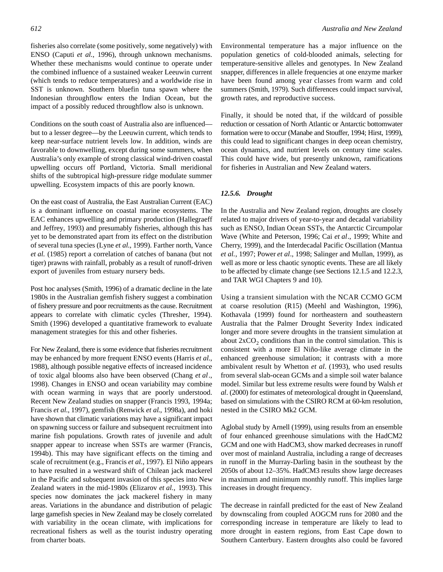fisheries also correlate (some positively, some negatively) with ENSO (Caputi *et al.,* 1996), through unknown mechanisms. Whether these mechanisms would continue to operate under the combined influence of a sustained weaker Leeuwin current (which tends to reduce temperatures) and a worldwide rise in SST is unknown. Southern bluefin tuna spawn where the Indonesian throughflow enters the Indian Ocean, but the impact of a possibly reduced throughflow also is unknown.

Conditions on the south coast of Australia also are influenced but to a lesser degree—by the Leeuwin current, which tends to keep near-surface nutrient levels low. In addition, winds are favorable to downwelling, except during some summers, when Australia's only example of strong classical wind-driven coastal upwelling occurs off Portland, Victoria. Small meridional shifts of the subtropical high-pressure ridge modulate summer upwelling. Ecosystem impacts of this are poorly known.

On the east coast of Australia, the East Australian Current (EAC) is a dominant influence on coastal marine ecosystems. The EAC enhances upwelling and primary production (Hallegraeff and Jeffrey, 1993) and presumably fisheries, although this has yet to be demonstrated apart from its effect on the distribution of several tuna species (Lyne *et al.*, 1999). Farther north, Vance *et al.* (1985) report a correlation of catches of banana (but not tiger) prawns with rainfall, probably as a result of runoff-driven export of juveniles from estuary nursery beds.

Post hoc analyses (Smith, 1996) of a dramatic decline in the late 1980s in the Australian gemfish fishery suggest a combination of fishery pressure and poor recruitments as the cause. Recruitment appears to correlate with climatic cycles (Thresher, 1994). Smith (1996) developed a quantitative framework to evaluate management strategies for this and other fisheries.

For New Zealand, there is some evidence that fisheries recruitment may be enhanced by more frequent ENSO events (Harris *et al*., 1988), although possible negative effects of increased incidence of toxic algal blooms also have been observed (Chang *et al*., 1998). Changes in ENSO and ocean variability may combine with ocean warming in ways that are poorly understood. Recent New Zealand studies on snapper (Francis 1993, 1994a; Francis *et al*., 1997), gemfish (Renwick *et al*., 1998a), and hoki have shown that climatic variations may have a significant impact on spawning success or failure and subsequent recruitment into marine fish populations. Growth rates of juvenile and adult snapper appear to increase when SSTs are warmer (Francis, 1994b). This may have significant effects on the timing and scale of recruitment (e.g., Francis *et al.,* 1997). El Niño appears to have resulted in a westward shift of Chilean jack mackerel in the Pacific and subsequent invasion of this species into New Zealand waters in the mid-1980s (Elizarov *et al.,* 1993). This species now dominates the jack mackerel fishery in many areas. Variations in the abundance and distribution of pelagic large gamefish species in New Zealand may be closely correlated with variability in the ocean climate, with implications for recreational fishers as well as the tourist industry operating from charter boats.

Environmental temperature has a major influence on the population genetics of cold-blooded animals, selecting for temperature-sensitive alleles and genotypes. In New Zealand snapper, differences in allele frequencies at one enzyme marker have been found among year classes from warm and cold summers (Smith, 1979). Such differences could impact survival, growth rates, and reproductive success.

Finally, it should be noted that, if the wildcard of possible reduction or cessation of North Atlantic or Antarctic bottomwater formation were to occur (Manabe and Stouffer, 1994; Hirst, 1999), this could lead to significant changes in deep ocean chemistry, ocean dynamics, and nutrient levels on century time scales. This could have wide, but presently unknown, ramifications for fisheries in Australian and New Zealand waters.

#### *12.5.6. Drought*

In the Australia and New Zealand region, droughts are closely related to major drivers of year-to-year and decadal variability such as ENSO, Indian Ocean SSTs, the Antarctic Circumpolar Wave (White and Peterson, 1996; Cai *et al*., 1999; White and Cherry, 1999), and the Interdecadal Pacific Oscillation (Mantua *et al.*, 1997; Power *et al*., 1998; Salinger and Mullan, 1999), as well as more or less chaotic synoptic events. These are all likely to be affected by climate change (see Sections 12.1.5 and 12.2.3, and TAR WGI Chapters 9 and 10).

Using a transient simulation with the NCAR CCMO GCM at coarse resolution (R15) (Meehl and Washington, 1996), Kothavala (1999) found for northeastern and southeastern Australia that the Palmer Drought Severity Index indicated longer and more severe droughts in the transient simulation at about  $2xCO_2$  conditions than in the control simulation. This is consistent with a more El Niño-like average climate in the enhanced greenhouse simulation; it contrasts with a more ambivalent result by Whetton *et al*. (1993), who used results from several slab-ocean GCMs and a simple soil water balance model. Similar but less extreme results were found by Walsh *et al.* (2000) for estimates of meteorological drought in Queensland, based on simulations with the CSIRO RCM at 60-km resolution, nested in the CSIRO Mk2 GCM.

Aglobal study by Arnell (1999), using results from an ensemble of four enhanced greenhouse simulations with the HadCM2 GCM and one with HadCM3, show marked decreases in runoff over most of mainland Australia, including a range of decreases in runoff in the Murray-Darling basin in the southeast by the 2050s of about 12–35%. HadCM3 results show large decreases in maximum and minimum monthly runoff. This implies large increases in drought frequency.

The decrease in rainfall predicted for the east of New Zealand by downscaling from coupled AOGCM runs for 2080 and the corresponding increase in temperature are likely to lead to more drought in eastern regions, from East Cape down to Southern Canterbury. Eastern droughts also could be favored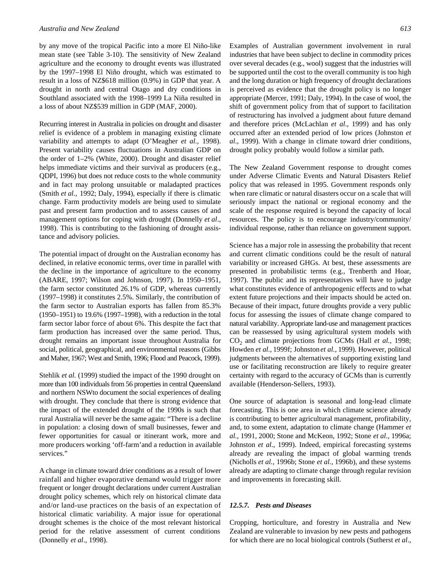by any move of the tropical Pacific into a more El Niño-like mean state (see Table 3-10). The sensitivity of New Zealand agriculture and the economy to drought events was illustrated by the 1997–1998 El Niño drought, which was estimated to result in a loss of NZ\$618 million (0.9%) in GDP that year. A drought in north and central Otago and dry conditions in Southland associated with the 1998–1999 La Niña resulted in a loss of about NZ\$539 million in GDP (MAF, 2000).

Recurring interest in Australia in policies on drought and disaster relief is evidence of a problem in managing existing climate variability and attempts to adapt (O'Meagher *et al.,* 1998). Present variability causes fluctuations in Australian GDP on the order of 1–2% (White, 2000). Drought and disaster relief helps immediate victims and their survival as producers (e.g., QDPI, 1996) but does not reduce costs to the whole community and in fact may prolong unsuitable or maladapted practices (Smith *et al.,* 1992; Daly, 1994), especially if there is climatic change. Farm productivity models are being used to simulate past and present farm production and to assess causes of and management options for coping with drought (Donnelly *et al*., 1998). This is contributing to the fashioning of drought assistance and advisory policies.

The potential impact of drought on the Australian economy has declined, in relative economic terms, over time in parallel with the decline in the importance of agriculture to the economy (ABARE, 1997; Wilson and Johnson, 1997). In 1950–1951, the farm sector constituted 26.1% of GDP, whereas currently (1997–1998) it constitutes 2.5%. Similarly, the contribution of the farm sector to Australian exports has fallen from 85.3% (1950–1951) to 19.6% (1997–1998), with a reduction in the total farm sector labor force of about 6%. This despite the fact that farm production has increased over the same period. Thus, drought remains an important issue throughout Australia for social, political, geographical, and environmental reasons (Gibbs and Maher, 1967; West and Smith, 1996; Flood and Peacock, 1999).

Stehlik *et al.* (1999) studied the impact of the 1990 drought on more than 100 individuals from 56 properties in central Queensland and northern NSWto document the social experiences of dealing with drought. They conclude that there is strong evidence that the impact of the extended drought of the 1990s is such that rural Australia will never be the same again: "There is a decline in population: a closing down of small businesses, fewer and fewer opportunities for casual or itinerant work, more and more producers working 'off-farm'and a reduction in available services."

A change in climate toward drier conditions as a result of lower rainfall and higher evaporative demand would trigger more frequent or longer drought declarations under current Australian drought policy schemes, which rely on historical climate data and/or land-use practices on the basis of an expectation of historical climatic variability. A major issue for operational drought schemes is the choice of the most relevant historical period for the relative assessment of current conditions (Donnelly *et al*., 1998).

Examples of Australian government involvement in rural industries that have been subject to decline in commodity prices over several decades (e.g., wool) suggest that the industries will be supported until the cost to the overall community is too high and the long duration or high frequency of drought declarations is perceived as evidence that the drought policy is no longer appropriate (Mercer, 1991; Daly, 1994). In the case of wool, the shift of government policy from that of support to facilitation of restructuring has involved a judgment about future demand and therefore prices (McLachlan *et al*., 1999) and has only occurred after an extended period of low prices (Johnston *et al*., 1999). With a change in climate toward drier conditions, drought policy probably would follow a similar path.

The New Zealand Government response to drought comes under Adverse Climatic Events and Natural Disasters Relief policy that was released in 1995. Government responds only when rare climatic or natural disasters occur on a scale that will seriously impact the national or regional economy and the scale of the response required is beyond the capacity of local resources. The policy is to encourage industry/community/ individual response, rather than reliance on government support.

Science has a major role in assessing the probability that recent and current climatic conditions could be the result of natural variability or increased GHGs. At best, these assessments are presented in probabilistic terms (e.g., Trenberth and Hoar, 1997). The public and its representatives will have to judge what constitutes evidence of anthropogenic effects and to what extent future projections and their impacts should be acted on. Because of their impact, future droughts provide a very public focus for assessing the issues of climate change compared to natural variability. Appropriate land-use and management practices can be reassessed by using agricultural system models with CO<sup>2</sup> and climate projections from GCMs (Hall *et al.,* 1998; Howden *et al.,* 1999f; Johnston *et al.,* 1999). However, political judgments between the alternatives of supporting existing land use or facilitating reconstruction are likely to require greater certainty with regard to the accuracy of GCMs than is currently available (Henderson-Sellers, 1993).

One source of adaptation is seasonal and long-lead climate forecasting. This is one area in which climate science already is contributing to better agricultural management, profitability, and, to some extent, adaptation to climate change (Hammer *et al.,* 1991, 2000; Stone and McKeon, 1992; Stone *et al*., 1996a; Johnston *et al.,* 1999). Indeed, empirical forecasting systems already are revealing the impact of global warming trends (Nicholls *et al.,* 1996b; Stone *et al.,* 1996b), and these systems already are adapting to climate change through regular revision and improvements in forecasting skill.

#### *12.5.7. Pests and Diseases*

Cropping, horticulture, and forestry in Australia and New Zealand are vulnerable to invasion by new pests and pathogens for which there are no local biological controls (Sutherst *et al*.,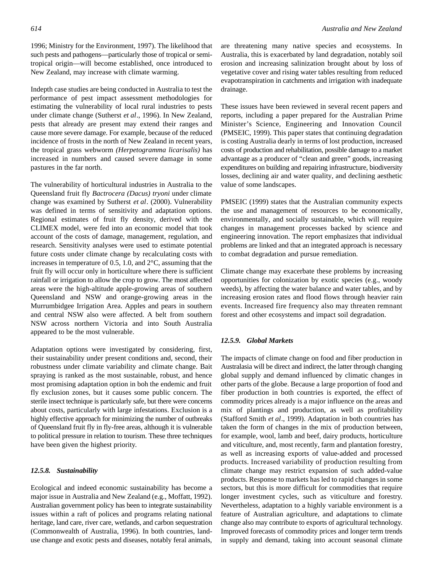1996; Ministry for the Environment, 1997). The likelihood that such pests and pathogens—particularly those of tropical or semitropical origin—will become established, once introduced to New Zealand, may increase with climate warming.

Indepth case studies are being conducted in Australia to test the performance of pest impact assessment methodologies for estimating the vulnerability of local rural industries to pests under climate change (Sutherst *et al*., 1996). In New Zealand, pests that already are present may extend their ranges and cause more severe damage. For example, because of the reduced incidence of frosts in the north of New Zealand in recent years, the tropical grass webworm *(Herpetogramma licarisalis)* has increased in numbers and caused severe damage in some pastures in the far north.

The vulnerability of horticultural industries in Australia to the Queensland fruit fly *Bactrocera (Dacus) tryoni* under climate change was examined by Sutherst *et al*. (2000). Vulnerability was defined in terms of sensitivity and adaptation options. Regional estimates of fruit fly density, derived with the CLIMEX model, were fed into an economic model that took account of the costs of damage, management, regulation, and research. Sensitivity analyses were used to estimate potential future costs under climate change by recalculating costs with increases in temperature of 0.5, 1.0, and 2°C, assuming that the fruit fly will occur only in horticulture where there is sufficient rainfall or irrigation to allow the crop to grow. The most affected areas were the high-altitude apple-growing areas of southern Queensland and NSW and orange-growing areas in the Murrumbidgee Irrigation Area. Apples and pears in southern and central NSW also were affected. A belt from southern NSW across northern Victoria and into South Australia appeared to be the most vulnerable.

Adaptation options were investigated by considering, first, their sustainability under present conditions and, second, their robustness under climate variability and climate change. Bait spraying is ranked as the most sustainable, robust, and hence most promising adaptation option in boh the endemic and fruit fly exclusion zones, but it causes some public concern. The sterile insect technique is particularly safe, but there were concerns about costs, particularly with large infestations. Exclusion is a highly effective approach for minimizing the number of outbreaks of Queensland fruit fly in fly-free areas, although it is vulnerable to political pressure in relation to tourism. These three techniques have been given the highest priority.

#### *12.5.8. Sustainability*

Ecological and indeed economic sustainability has become a major issue in Australia and New Zealand (e.g., Moffatt, 1992). Australian government policy has been to integrate sustainability issues within a raft of polices and programs relating national heritage, land care, river care, wetlands, and carbon sequestration (Commonwealth of Australia, 1996). In both countries, landuse change and exotic pests and diseases, notably feral animals, are threatening many native species and ecosystems. In Australia, this is exacerbated by land degradation, notably soil erosion and increasing salinization brought about by loss of vegetative cover and rising water tables resulting from reduced evapotranspiration in catchments and irrigation with inadequate drainage.

These issues have been reviewed in several recent papers and reports, including a paper prepared for the Australian Prime Minister's Science, Engineering and Innovation Council (PMSEIC, 1999). This paper states that continuing degradation is costing Australia dearly in terms of lost production, increased costs of production and rehabilitation, possible damage to a market advantage as a producer of "clean and green" goods, increasing expenditures on building and repairing infrastructure, biodiversity losses, declining air and water quality, and declining aesthetic value of some landscapes.

PMSEIC (1999) states that the Australian community expects the use and management of resources to be economically, environmentally, and socially sustainable, which will require changes in management processes backed by science and engineering innovation. The report emphasizes that individual problems are linked and that an integrated approach is necessary to combat degradation and pursue remediation.

Climate change may exacerbate these problems by increasing opportunities for colonization by exotic species (e.g., woody weeds), by affecting the water balance and water tables, and by increasing erosion rates and flood flows through heavier rain events. Increased fire frequency also may threaten remnant forest and other ecosystems and impact soil degradation.

#### *12.5.9. Global Markets*

The impacts of climate change on food and fiber production in Australasia will be direct and indirect, the latter through changing global supply and demand influenced by climatic changes in other parts of the globe. Because a large proportion of food and fiber production in both countries is exported, the effect of commodity prices already is a major influence on the areas and mix of plantings and production, as well as profitability (Stafford Smith *et al*., 1999). Adaptation in both countries has taken the form of changes in the mix of production between, for example, wool, lamb and beef, dairy products, horticulture and viticulture, and, most recently, farm and plantation forestry, as well as increasing exports of value-added and processed products. Increased variability of production resulting from climate change may restrict expansion of such added-value products. Response to markets has led to rapid changes in some sectors, but this is more difficult for commodities that require longer investment cycles, such as viticulture and forestry. Nevertheless, adaptation to a highly variable environment is a feature of Australian agriculture, and adaptations to climate change also may contribute to exports of agricultural technology. Improved forecasts of commodity prices and longer term trends in supply and demand, taking into account seasonal climate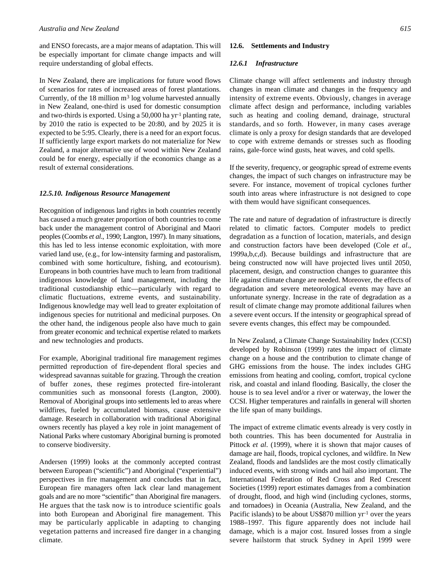and ENSO forecasts, are a major means of adaptation. This will be especially important for climate change impacts and will require understanding of global effects.

In New Zealand, there are implications for future wood flows of scenarios for rates of increased areas of forest plantations. Currently, of the 18 million m<sup>3</sup> log volume harvested annually in New Zealand, one-third is used for domestic consumption and two-thirds is exported. Using a 50,000 ha yr-1 planting rate, by 2010 the ratio is expected to be 20:80, and by 2025 it is expected to be 5:95. Clearly, there is a need for an export focus. If sufficiently large export markets do not materialize for New Zealand, a major alternative use of wood within New Zealand could be for energy, especially if the economics change as a result of external considerations.

#### *12.5.10. Indigenous Resource Management*

Recognition of indigenous land rights in both countries recently has caused a much greater proportion of both countries to come back under the management control of Aboriginal and Maori peoples (Coombs *et al*., 1990; Langton, 1997). In many situations, this has led to less intense economic exploitation, with more varied land use, (e.g., for low-intensity farming and pastoralism, combined with some horticulture, fishing, and ecotourism). Europeans in both countries have much to learn from traditional indigenous knowledge of land management, including the traditional custodianship ethic—particularly with regard to climatic fluctuations, extreme events, and sustainability. Indigenous knowledge may well lead to greater exploitation of indigenous species for nutritional and medicinal purposes. On the other hand, the indigenous people also have much to gain from greater economic and technical expertise related to markets and new technologies and products.

For example, Aboriginal traditional fire management regimes permitted reproduction of fire-dependent floral species and widespread savannas suitable for grazing. Through the creation of buffer zones, these regimes protected fire-intolerant communities such as monsoonal forests (Langton, 2000). Removal of Aboriginal groups into settlements led to areas where wildfires, fueled by accumulated biomass, cause extensive damage. Research in collaboration with traditional Aboriginal owners recently has played a key role in joint management of National Parks where customary Aboriginal burning is promoted to conserve biodiversity.

Andersen (1999) looks at the commonly accepted contrast between European ("scientific") and Aboriginal ("experiential") perspectives in fire management and concludes that in fact, European fire managers often lack clear land management goals and are no more "scientific" than Aboriginal fire managers. He argues that the task now is to introduce scientific goals into both European and Aboriginal fire management. This may be particularly applicable in adapting to changing vegetation patterns and increased fire danger in a changing climate.

#### **12.6. Settlements and Industry**

#### *12.6.1 Infrastructure*

Climate change will affect settlements and industry through changes in mean climate and changes in the frequency and intensity of extreme events. Obviously, changes in average climate affect design and performance, including variables such as heating and cooling demand, drainage, structural standards, and so forth. However, in many cases average climate is only a proxy for design standards that are developed to cope with extreme demands or stresses such as flooding rains, gale-force wind gusts, heat waves, and cold spells.

If the severity, frequency, or geographic spread of extreme events changes, the impact of such changes on infrastructure may be severe. For instance, movement of tropical cyclones further south into areas where infrastructure is not designed to cope with them would have significant consequences.

The rate and nature of degradation of infrastructure is directly related to climatic factors. Computer models to predict degradation as a function of location, materials, and design and construction factors have been developed (Cole *et al*., 1999a,b,c,d). Because buildings and infrastructure that are being constructed now will have projected lives until 2050, placement, design, and construction changes to guarantee this life against climate change are needed. Moreover, the effects of degradation and severe meteorological events may have an unfortunate synergy. Increase in the rate of degradation as a result of climate change may promote additional failures when a severe event occurs. If the intensity or geographical spread of severe events changes, this effect may be compounded.

In New Zealand, a Climate Change Sustainability Index (CCSI) developed by Robinson (1999) rates the impact of climate change on a house and the contribution to climate change of GHG emissions from the house. The index includes GHG emissions from heating and cooling, comfort, tropical cyclone risk, and coastal and inland flooding. Basically, the closer the house is to sea level and/or a river or waterway, the lower the CCSI. Higher temperatures and rainfalls in general will shorten the life span of many buildings.

The impact of extreme climatic events already is very costly in both countries. This has been documented for Australia in Pittock *et al*. (1999), where it is shown that major causes of damage are hail, floods, tropical cyclones, and wildfire. In New Zealand, floods and landslides are the most costly climatically induced events, with strong winds and hail also important. The International Federation of Red Cross and Red Crescent Societies (1999) report estimates damages from a combination of drought, flood, and high wind (including cyclones, storms, and tornadoes) in Oceania (Australia, New Zealand, and the Pacific islands) to be about US\$870 million yr<sup>-1</sup> over the years 1988–1997. This figure apparently does not include hail damage, which is a major cost. Insured losses from a single severe hailstorm that struck Sydney in April 1999 were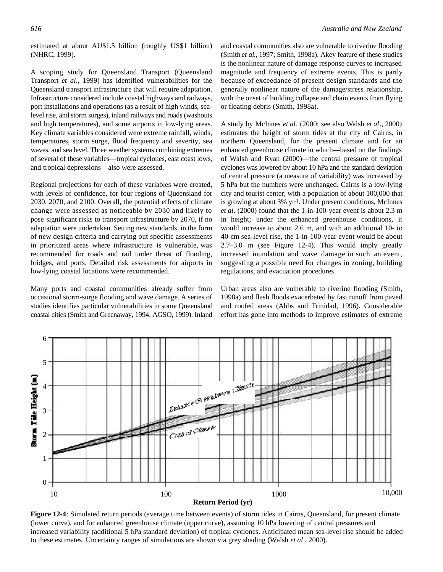estimated at about AU\$1.5 billion (roughly US\$1 billion) (NHRC, 1999).

A scoping study for Queensland Transport (Queensland Transport *et al*., 1999) has identified vulnerabilities for the Queensland transport infrastructure that will require adaptation. Infrastructure considered include coastal highways and railways, port installations and operations (as a result of high winds, sealevel rise, and storm surges), inland railways and roads (washouts and high temperatures), and some airports in low-lying areas. Key climate variables considered were extreme rainfall, winds, temperatures, storm surge, flood frequency and severity, sea waves, and sea level. Three weather systems combining extremes of several of these variables—tropical cyclones, east coast lows, and tropical depressions—also were assessed.

Regional projections for each of these variables were created, with levels of confidence, for four regions of Queensland for 2030, 2070, and 2100. Overall, the potential effects of climate change were assessed as noticeable by 2030 and likely to pose significant risks to transport infrastructure by 2070, if no adaptation were undertaken. Setting new standards, in the form of new design criteria and carrying out specific assessments in prioritized areas where infrastructure is vulnerable, was recommended for roads and rail under threat of flooding, bridges, and ports. Detailed risk assessments for airports in low-lying coastal locations were recommended.

Many ports and coastal communities already suffer from occasional storm-surge flooding and wave damage. A series of studies identifies particular vulnerabilities in some Queensland coastal cities (Smith and Greenaway, 1994; AGSO, 1999). Inland

and coastal communities also are vulnerable to riverine flooding (Smith *et al*., 1997; Smith, 1998a). Akey feature of these studies is the nonlinear nature of damage response curves to increased magnitude and frequency of extreme events. This is partly because of exceedance of present design standards and the generally nonlinear nature of the damage/stress relationship, with the onset of building collapse and chain events from flying or floating debris (Smith, 1998a).

A study by McInnes *et al*. (2000; see also Walsh *et al*., 2000) estimates the height of storm tides at the city of Cairns, in northern Queensland, for the present climate and for an enhanced greenhouse climate in which—based on the findings of Walsh and Ryan (2000)—the central pressure of tropical cyclones was lowered by about 10 hPa and the standard deviation of central pressure (a measure of variability) was increased by 5 hPa but the numbers were unchanged. Cairns is a low-lying city and tourist center, with a population of about 100,000 that is growing at about  $3\%$  yr<sup>-1</sup>. Under present conditions, McInnes *et al*. (2000) found that the 1-in-100-year event is about 2.3 m in height; under the enhanced greenhouse conditions, it would increase to about 2.6 m, and with an additional 10- to 40-cm sea-level rise, the 1-in-100-year event would be about 2.7–3.0 m (see Figure 12-4). This would imply greatly increased inundation and wave damage in such an event, suggesting a possible need for changes in zoning, building regulations, and evacuation procedures.

Urban areas also are vulnerable to riverine flooding (Smith, 1998a) and flash floods exacerbated by fast runoff from paved and roofed areas (Abbs and Trinidad, 1996). Considerable effort has gone into methods to improve estimates of extreme



**Figure 12-4**: Simulated return periods (average time between events) of storm tides in Cairns, Queensland, for present climate (lower curve), and for enhanced greenhouse climate (upper curve), assuming 10 hPa lowering of central pressures and increased variability (additional 5 hPa standard deviation) of tropical cyclones. Anticipated mean sea-level rise should be added to these estimates. Uncertainty ranges of simulations are shown via grey shading (Walsh *et al*., 2000).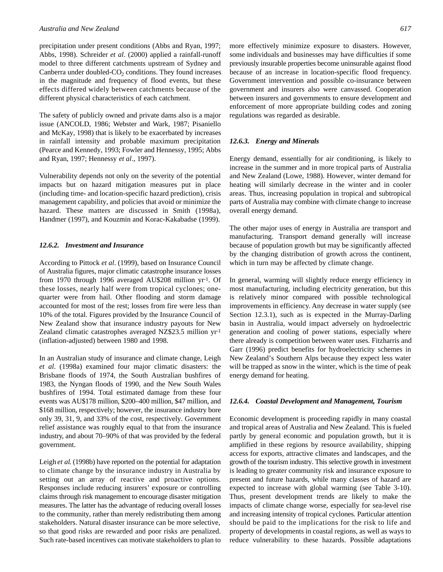precipitation under present conditions (Abbs and Ryan, 1997; Abbs, 1998). Schreider *et al*. (2000) applied a rainfall-runoff model to three different catchments upstream of Sydney and Canberra under doubled- $CO<sub>2</sub>$  conditions. They found increases in the magnitude and frequency of flood events, but these e ffects differed widely between catchments because of the different physical characteristics of each catchment.

The safety of publicly owned and private dams also is a major issue (ANCOLD, 1986; Webster and Wark, 1987; Pisaniello and McKay, 1998) that is likely to be exacerbated by increases in rainfall intensity and probable maximum precipitation (Pearce and Kennedy, 1993; Fowler and Hennessy, 1995; Abbs and Ryan, 1997; Hennessy *et al*., 1997).

Vulnerability depends not only on the severity of the potential impacts but on hazard mitigation measures put in place (including time- and location-specific hazard prediction), crisis management capability, and policies that avoid or minimize the hazard. These matters are discussed in Smith (1998a), Handmer (1997), and Kouzmin and Korac-Kakabadse (1999).

#### *12.6.2. Investment and Insurance*

According to Pittock *et al*. (1999), based on Insurance Council of Australia figures, major climatic catastrophe insurance losses from 1970 through 1996 averaged AU\$208 million yr-1. Of these losses, nearly half were from tropical cyclones; onequarter were from hail. Other flooding and storm damage accounted for most of the rest; losses from fire were less than 10% of the total. Figures provided by the Insurance Council of New Zealand show that insurance industry payouts for New Zealand climatic catastrophes averaged NZ\$23.5 million yr-1 (inflation-adjusted) between 1980 and 1998.

In an Australian study of insurance and climate change, Leigh *et al*. (1998a) examined four major climatic disasters: the Brisbane floods of 1974, the South Australian bushfires of 1983, the Nyngan floods of 1990, and the New South Wales bushfires of 1994. Total estimated damage from these four events was AU\$178 million, \$200–400 million, \$47 million, and \$168 million, respectively; however, the insurance industry bore only 39, 31, 9, and 33% of the cost, respectively. Government relief assistance was roughly equal to that from the insurance industry, and about 70–90% of that was provided by the federal government.

Leigh *et al*. (1998b) have reported on the potential for adaptation to climate change by the insurance industry in Australia by setting out an array of reactive and proactive options. Responses include reducing insurers' exposure or controlling claims through risk management to encourage disaster mitigation measures. The latter has the advantage of reducing overall losses to the community, rather than merely redistributing them among stakeholders. Natural disaster insurance can be more selective, so that good risks are rewarded and poor risks are penalized. Such rate-based incentives can motivate stakeholders to plan to

more effectively minimize exposure to disasters. However, some individuals and businesses may have difficulties if some previously insurable properties become uninsurable against flood because of an increase in location-specific flood frequency. Government intervention and possible co-insurance between government and insurers also were canvassed. Cooperation between insurers and governments to ensure development and enforcement of more appropriate building codes and zoning regulations was regarded as desirable.

#### *12.6.3. Energy and Minerals*

Energy demand, essentially for air conditioning, is likely to increase in the summer and in more tropical parts of Australia and New Zealand (Lowe, 1988). However, winter demand for heating will similarly decrease in the winter and in cooler areas. Thus, increasing population in tropical and subtropical parts of Australia may combine with climate change to increase overall energy demand.

The other major uses of energy in Australia are transport and manufacturing. Transport demand generally will increase because of population growth but may be significantly affected by the changing distribution of growth across the continent, which in turn may be affected by climate change.

In general, warming will slightly reduce energy efficiency in most manufacturing, including electricity generation, but this is relatively minor compared with possible technological improvements in efficiency. Any decrease in water supply (see Section 12.3.1), such as is expected in the Murray-Darling basin in Australia, would impact adversely on hydroelectric generation and cooling of power stations, especially where there already is competition between water uses. Fitzharris and Garr (1996) predict benefits for hydroelectricity schemes in New Zealand's Southern Alps because they expect less water will be trapped as snow in the winter, which is the time of peak energy demand for heating.

#### *12.6.4. Coastal Development and Management, Tourism*

Economic development is proceeding rapidly in many coastal and tropical areas of Australia and New Zealand. This is fueled partly by general economic and population growth, but it is amplified in these regions by resource availability, shipping access for exports, attractive climates and landscapes, and the growth of the tourism industry. This selective growth in investment is leading to greater community risk and insurance exposure to present and future hazards, while many classes of hazard are expected to increase with global warming (see Table 3-10). Thus, present development trends are likely to make the impacts of climate change worse, especially for sea-level rise and increasing intensity of tropical cyclones. Particular attention should be paid to the implications for the risk to life and property of developments in coastal regions, as well as ways to reduce vulnerability to these hazards. Possible adaptations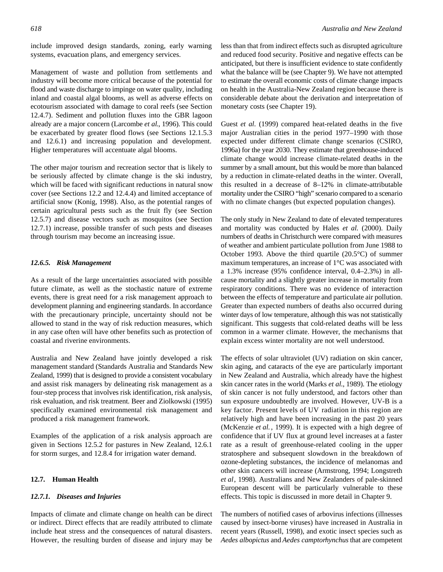include improved design standards, zoning, early warning systems, evacuation plans, and emergency services.

Management of waste and pollution from settlements and industry will become more critical because of the potential for flood and waste discharge to impinge on water quality, including inland and coastal algal blooms, as well as adverse effects on ecotourism associated with damage to coral reefs (see Section 12.4.7). Sediment and pollution fluxes into the GBR lagoon already are a major concern (Larcombe *et al*., 1996). This could be exacerbated by greater flood flows (see Sections 12.1.5.3 and 12.6.1) and increasing population and development. Higher temperatures will accentuate algal blooms.

The other major tourism and recreation sector that is likely to be seriously affected by climate change is the ski industry, which will be faced with significant reductions in natural snow cover (see Sections 12.2 and 12.4.4) and limited acceptance of artificial snow (Konig, 1998). Also, as the potential ranges of certain agricultural pests such as the fruit fly (see Section 12.5.7) and disease vectors such as mosquitos (see Section 12.7.1) increase, possible transfer of such pests and diseases through tourism may become an increasing issue.

#### *12.6.5. Risk Management*

As a result of the large uncertainties associated with possible future climate, as well as the stochastic nature of extreme events, there is great need for a risk management approach to development planning and engineering standards. In accordance with the precautionary principle, uncertainty should not be allowed to stand in the way of risk reduction measures, which in any case often will have other benefits such as protection of coastal and riverine environments.

Australia and New Zealand have jointly developed a risk management standard (Standards Australia and Standards New Zealand, 1999) that is designed to provide a consistent vocabulary and assist risk managers by delineating risk management as a four-step process that involves risk identification, risk analysis, risk evaluation, and risk treatment. Beer and Ziolkowski (1995) specifically examined environmental risk management and produced a risk management framework.

Examples of the application of a risk analysis approach are given in Sections 12.5.2 for pastures in New Zealand, 12.6.1 for storm surges, and 12.8.4 for irrigation water demand.

#### **12.7. Human Health**

#### *12.7.1. Diseases and Injuries*

Impacts of climate and climate change on health can be direct or indirect. Direct effects that are readily attributed to climate include heat stress and the consequences of natural disasters. However, the resulting burden of disease and injury may be less than that from indirect effects such as disrupted agriculture and reduced food security. Positive and negative effects can be anticipated, but there is insufficient evidence to state confidently what the balance will be (see Chapter 9). We have not attempted to estimate the overall economic costs of climate change impacts on health in the Australia-New Zealand region because there is considerable debate about the derivation and interpretation of monetary costs (see Chapter 19).

Guest *et al.* (1999) compared heat-related deaths in the five major Australian cities in the period 1977–1990 with those expected under different climate change scenarios (CSIRO, 1996a) for the year 2030. They estimate that greenhouse-induced climate change would increase climate-related deaths in the summer by a small amount, but this would be more than balanced by a reduction in climate-related deaths in the winter. Overall, this resulted in a decrease of 8–12% in climate-attributable mortality under the CSIRO "high" scenario compared to a scenario with no climate changes (but expected population changes).

The only study in New Zealand to date of elevated temperatures and mortality was conducted by Hales *et al.* (2000). Daily numbers of deaths in Christchurch were compared with measures of weather and ambient particulate pollution from June 1988 to October 1993. Above the third quartile (20.5°C) of summer maximum temperatures, an increase of 1°C was associated with a 1.3% increase (95% confidence interval, 0.4–2.3%) in allcause mortality and a slightly greater increase in mortality from respiratory conditions. There was no evidence of interaction between the effects of temperature and particulate air pollution. Greater than expected numbers of deaths also occurred during winter days of low temperature, although this was not statistically significant. This suggests that cold-related deaths will be less common in a warmer climate. However, the mechanisms that explain excess winter mortality are not well understood.

The effects of solar ultraviolet (UV) radiation on skin cancer, skin aging, and cataracts of the eye are particularly important in New Zealand and Australia, which already have the highest skin cancer rates in the world (Marks *et al.*, 1989). The etiology of skin cancer is not fully understood, and factors other than sun exposure undoubtedly are involved. However, UV-B is a key factor. Present levels of UV radiation in this region are relatively high and have been increasing in the past 20 years (McKenzie *et al.*, 1999). It is expected with a high degree of confidence that if UV flux at ground level increases at a faster rate as a result of greenhouse-related cooling in the upper stratosphere and subsequent slowdown in the breakdown of ozone-depleting substances, the incidence of melanomas and other skin cancers will increase (Armstrong, 1994; Longstreth *et al*, 1998). Australians and New Zealanders of pale-skinned European descent will be particularly vulnerable to these effects. This topic is discussed in more detail in Chapter 9.

The numbers of notified cases of arbovirus infections (illnesses caused by insect-borne viruses) have increased in Australia in recent years (Russell, 1998), and exotic insect species such as *Aedes albopictus* and *Aedes camptorhynchus* that are competent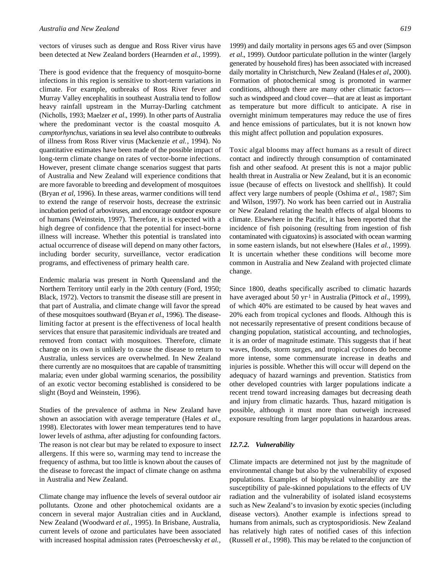vectors of viruses such as dengue and Ross River virus have been detected at New Zealand borders (Hearnden *et al.*, 1999).

There is good evidence that the frequency of mosquito-borne infections in this region is sensitive to short-term variations in climate. For example, outbreaks of Ross River fever and Murray Valley encephalitis in southeast Australia tend to follow heavy rainfall upstream in the Murray-Darling catchment (Nicholls, 1993; Maelzer *et al.*, 1999). In other parts of Australia where the predominant vector is the coastal mosquito *A*. *camptorhynchus*, variations in sea level also contribute to outbreaks of illness from Ross River virus (Mackenzie *et al.*, 1994). No quantitative estimates have been made of the possible impact of long-term climate change on rates of vector-borne infections. However, present climate change scenarios suggest that parts of Australia and New Zealand will experience conditions that are more favorable to breeding and development of mosquitoes (Bryan *et al*, 1996). In these areas, warmer conditions will tend to extend the range of reservoir hosts, decrease the extrinsic incubation period of arboviruses, and encourage outdoor exposure of humans (Weinstein, 1997). Therefore, it is expected with a high degree of confidence that the potential for insect-borne illness will increase. Whether this potential is translated into actual occurrence of disease will depend on many other factors, including border security, surveillance, vector eradication programs, and effectiveness of primary health care.

Endemic malaria was present in North Queensland and the Northern Territory until early in the 20th century (Ford, 1950; Black, 1972). Vectors to transmit the disease still are present in that part of Australia, and climate change will favor the spread of these mosquitoes southward (Bryan *et al.*, 1996). The diseaselimiting factor at present is the effectiveness of local health services that ensure that parasitemic individuals are treated and removed from contact with mosquitoes. Therefore, climate change on its own is unlikely to cause the disease to return to Australia, unless services are overwhelmed. In New Zealand there currently are no mosquitoes that are capable of transmitting malaria; even under global warming scenarios, the possibility of an exotic vector becoming established is considered to be slight (Boyd and Weinstein, 1996).

Studies of the prevalence of asthma in New Zealand have shown an association with average temperature (Hales *et al*., 1998). Electorates with lower mean temperatures tend to have lower levels of asthma, after adjusting for confounding factors. The reason is not clear but may be related to exposure to insect allergens. If this were so, warming may tend to increase the frequency of asthma, but too little is known about the causes of the disease to forecast the impact of climate change on asthma in Australia and New Zealand.

Climate change may influence the levels of several outdoor air pollutants. Ozone and other photochemical oxidants are a concern in several major Australian cities and in Auckland, New Zealand (Woodward *et al.*, 1995). In Brisbane, Australia, current levels of ozone and particulates have been associated with increased hospital admission rates (Petroeschevsky *et al.*,

1999) and daily mortality in persons ages 65 and over (Simpson *et al.*, 1999). Outdoor particulate pollution in the winter (largely generated by household fires) has been associated with increased daily mortality in Christchurch, New Zealand (Hales *et al.*, 2000). Formation of photochemical smog is promoted in warmer conditions, although there are many other climatic factors such as windspeed and cloud cover—that are at least as important as temperature but more difficult to anticipate. A rise in overnight minimum temperatures may reduce the use of fires and hence emissions of particulates, but it is not known how this might affect pollution and population exposures.

Toxic algal blooms may affect humans as a result of direct contact and indirectly through consumption of contaminated fish and other seafood. At present this is not a major public health threat in Australia or New Zealand, but it is an economic issue (because of effects on livestock and shellfish). It could affect very large numbers of people (Oshima *et al.,* 1987; Sim and Wilson, 1997). No work has been carried out in Australia or New Zealand relating the health effects of algal blooms to climate. Elsewhere in the Pacific, it has been reported that the incidence of fish poisoning (resulting from ingestion of fish contaminated with ciguatoxins) is associated with ocean warming in some eastern islands, but not elsewhere (Hales *et al.*, 1999). It is uncertain whether these conditions will become more common in Australia and New Zealand with projected climate change.

Since 1800, deaths specifically ascribed to climatic hazards have averaged about 50 yr<sup>1</sup> in Australia (Pittock *et al.*, 1999), of which 40% are estimated to be caused by heat waves and 20% each from tropical cyclones and floods. Although this is not necessarily representative of present conditions because of changing population, statistical accounting, and technologies, it is an order of magnitude estimate. This suggests that if heat waves, floods, storm surges, and tropical cyclones do become more intense, some commensurate increase in deaths and injuries is possible. Whether this will occur will depend on the adequacy of hazard warnings and prevention. Statistics from other developed countries with larger populations indicate a recent trend toward increasing damages but decreasing death and injury from climatic hazards. Thus, hazard mitigation is possible, although it must more than outweigh increased exposure resulting from larger populations in hazardous areas.

#### *12.7.2. Vulnerability*

Climate impacts are determined not just by the magnitude of environmental change but also by the vulnerability of exposed populations. Examples of biophysical vulnerability are the susceptibility of pale-skinned populations to the effects of UV radiation and the vulnerability of isolated island ecosystems such as New Zealand's to invasion by exotic species (including disease vectors). Another example is infections spread to humans from animals, such as cryptosporidiosis. New Zealand has relatively high rates of notified cases of this infection (Russell *et al.*, 1998). This may be related to the conjunction of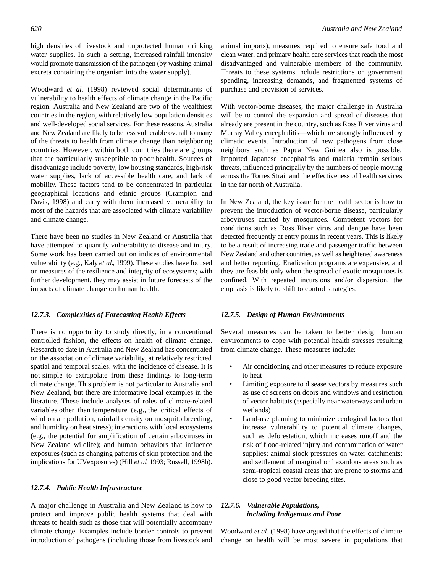high densities of livestock and unprotected human drinking water supplies. In such a setting, increased rainfall intensity would promote transmission of the pathogen (by washing animal excreta containing the organism into the water supply).

Woodward *et al.* (1998) reviewed social determinants of vulnerability to health effects of climate change in the Pacific region. Australia and New Zealand are two of the wealthiest countries in the region, with relatively low population densities and well-developed social services. For these reasons, Australia and New Zealand are likely to be less vulnerable overall to many of the threats to health from climate change than neighboring countries. However, within both countries there are groups that are particularly susceptible to poor health. Sources of disadvantage include poverty, low housing standards, high-risk water supplies, lack of accessible health care, and lack of mobility. These factors tend to be concentrated in particular geographical locations and ethnic groups (Crampton and Davis, 1998) and carry with them increased vulnerability to most of the hazards that are associated with climate variability and climate change.

There have been no studies in New Zealand or Australia that have attempted to quantify vulnerability to disease and injury. Some work has been carried out on indices of environmental vulnerability (e.g., Kaly *et al.*, 1999). These studies have focused on measures of the resilience and integrity of ecosystems; with further development, they may assist in future forecasts of the impacts of climate change on human health.

#### *12.7.3. Complexities of Forecasting Health Effects*

There is no opportunity to study directly, in a conventional controlled fashion, the effects on health of climate change. Research to date in Australia and New Zealand has concentrated on the association of climate variability, at relatively restricted spatial and temporal scales, with the incidence of disease. It is not simple to extrapolate from these findings to long-term climate change. This problem is not particular to Australia and New Zealand, but there are informative local examples in the literature. These include analyses of roles of climate-related variables other than temperature (e.g., the critical effects of wind on air pollution, rainfall density on mosquito breeding, and humidity on heat stress); interactions with local ecosystems (e.g., the potential for amplification of certain arboviruses in New Zealand wildlife); and human behaviors that influence exposures (such as changing patterns of skin protection and the implications for UVexposures) (Hill *et al*, 1993; Russell, 1998b).

#### *12.7.4. Public Health Infrastructure*

A major challenge in Australia and New Zealand is how to protect and improve public health systems that deal with threats to health such as those that will potentially accompany climate change. Examples include border controls to prevent introduction of pathogens (including those from livestock and animal imports), measures required to ensure safe food and clean water, and primary health care services that reach the most disadvantaged and vulnerable members of the community. Threats to these systems include restrictions on government spending, increasing demands, and fragmented systems of purchase and provision of services.

With vector-borne diseases, the major challenge in Australia will be to control the expansion and spread of diseases that already are present in the country, such as Ross River virus and Murray Valley encephalitis—which are strongly influenced by climatic events. Introduction of new pathogens from close neighbors such as Papua New Guinea also is possible. Imported Japanese encephalitis and malaria remain serious threats, influenced principally by the numbers of people moving across the Torres Strait and the effectiveness of health services in the far north of Australia.

In New Zealand, the key issue for the health sector is how to prevent the introduction of vector-borne disease, particularly arboviruses carried by mosquitoes. Competent vectors for conditions such as Ross River virus and dengue have been detected frequently at entry points in recent years. This is likely to be a result of increasing trade and passenger traffic between New Zealand and other countries, as well as heightened awareness and better reporting. Eradication programs are expensive, and they are feasible only when the spread of exotic mosquitoes is confined. With repeated incursions and/or dispersion, the emphasis is likely to shift to control strategies.

#### *12.7.5. Design of Human Environments*

Several measures can be taken to better design human environments to cope with potential health stresses resulting from climate change. These measures include:

- Air conditioning and other measures to reduce exposure to heat
- Limiting exposure to disease vectors by measures such as use of screens on doors and windows and restriction of vector habitats (especially near waterways and urban wetlands)
- Land-use planning to minimize ecological factors that increase vulnerability to potential climate changes, such as deforestation, which increases runoff and the risk of flood-related injury and contamination of water supplies; animal stock pressures on water catchments; and settlement of marginal or hazardous areas such as semi-tropical coastal areas that are prone to storms and close to good vector breeding sites.

#### *12.7.6. Vulnerable Populations, including Indigenous and Poor*

Woodward *et al*. (1998) have argued that the effects of climate change on health will be most severe in populations that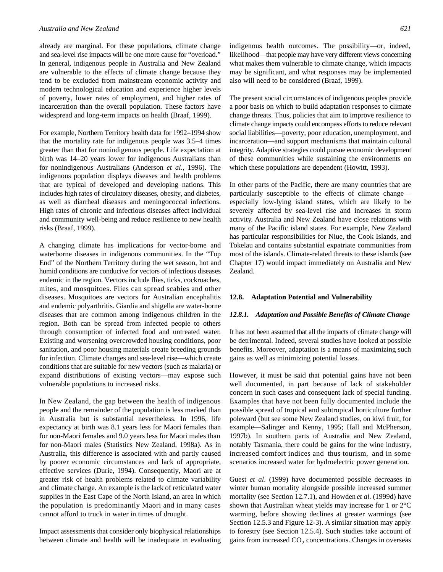already are marginal. For these populations, climate change and sea-level rise impacts will be one more cause for "overload." In general, indigenous people in Australia and New Zealand are vulnerable to the effects of climate change because they tend to be excluded from mainstream economic activity and modern technological education and experience higher levels of poverty, lower rates of employment, and higher rates of incarceration than the overall population. These factors have widespread and long-term impacts on health (Braaf, 1999).

For example, Northern Territory health data for 1992–1994 show that the mortality rate for indigenous people was 3.5–4 times greater than that for nonindigenous people. Life expectation at birth was 14–20 years lower for indigenous Australians than for nonindigenous Australians (Anderson *et al*., 1996). The indigenous population displays diseases and health problems that are typical of developed and developing nations. This includes high rates of circulatory diseases, obesity, and diabetes, as well as diarrheal diseases and meningococcal infections. High rates of chronic and infectious diseases affect individual and community well-being and reduce resilience to new health risks (Braaf, 1999).

A changing climate has implications for vector-borne and waterborne diseases in indigenous communities. In the "Top End" of the Northern Territory during the wet season, hot and humid conditions are conducive for vectors of infectious diseases endemic in the region. Vectors include flies, ticks, cockroaches, mites, and mosquitoes. Flies can spread scabies and other diseases. Mosquitoes are vectors for Australian encephalitis and endemic polyarthritis. Giardia and shigella are water-borne diseases that are common among indigenous children in the region. Both can be spread from infected people to others through consumption of infected food and untreated water. Existing and worsening overcrowded housing conditions, poor sanitation, and poor housing materials create breeding grounds for infection. Climate changes and sea-level rise—which create conditions that are suitable for new vectors (such as malaria) or expand distributions of existing vectors—may expose such vulnerable populations to increased risks.

In New Zealand, the gap between the health of indigenous people and the remainder of the population is less marked than in Australia but is substantial nevertheless. In 1996, life expectancy at birth was 8.1 years less for Maori females than for non-Maori females and 9.0 years less for Maori males than for non-Maori males (Statistics New Zealand, 1998a). As in Australia, this difference is associated with and partly caused by poorer economic circumstances and lack of appropriate, effective services (Durie, 1994). Consequently, Maori are at greater risk of health problems related to climate variability and climate change. An example is the lack of reticulated water supplies in the East Cape of the North Island, an area in which the population is predominantly Maori and in many cases cannot afford to truck in water in times of drought.

Impact assessments that consider only biophysical relationships between climate and health will be inadequate in evaluating indigenous health outcomes. The possibility—or, indeed, likelihood—that people may have very different views concerning what makes them vulnerable to climate change, which impacts may be significant, and what responses may be implemented also will need to be considered (Braaf, 1999).

The present social circumstances of indigenous peoples provide a poor basis on which to build adaptation responses to climate change threats. Thus, policies that aim to improve resilience to climate change impacts could encompass efforts to reduce relevant social liabilities—poverty, poor education, unemployment, and incarceration—and support mechanisms that maintain cultural integrity. Adaptive strategies could pursue economic development of these communities while sustaining the environments on which these populations are dependent (Howitt, 1993).

In other parts of the Pacific, there are many countries that are particularly susceptible to the effects of climate change especially low-lying island states, which are likely to be severely affected by sea-level rise and increases in storm activity. Australia and New Zealand have close relations with many of the Pacific island states. For example, New Zealand has particular responsibilities for Niue, the Cook Islands, and Tokelau and contains substantial expatriate communities from most of the islands. Climate-related threats to these islands (see Chapter 17) would impact immediately on Australia and New Zealand.

#### **12.8. Adaptation Potential and Vulnerability**

#### *1 2 . 8 . 1 . Adaptation and Possible Benefits of Climate Change*

It has not been assumed that all the impacts of climate change will be detrimental. Indeed, several studies have looked at possible benefits. Moreover, adaptation is a means of maximizing such gains as well as minimizing potential losses.

However, it must be said that potential gains have not been well documented, in part because of lack of stakeholder concern in such cases and consequent lack of special funding. Examples that have not been fully documented include the possible spread of tropical and subtropical horticulture further poleward (but see some New Zealand studies, on kiwi fruit, for example—Salinger and Kenny, 1995; Hall and McPherson, 1997b). In southern parts of Australia and New Zealand, notably Tasmania, there could be gains for the wine industry, increased comfort indices and thus tourism, and in some scenarios increased water for hydroelectric power generation.

Guest *et al*. (1999) have documented possible decreases in winter human mortality alongside possible increased summer mortality (see Section 12.7.1), and Howden *et al*. (1999d) have shown that Australian wheat yields may increase for 1 or 2°C warming, before showing declines at greater warmings (see Section 12.5.3 and Figure 12-3). A similar situation may apply to forestry (see Section 12.5.4). Such studies take account of gains from increased  $CO_2$  concentrations. Changes in overseas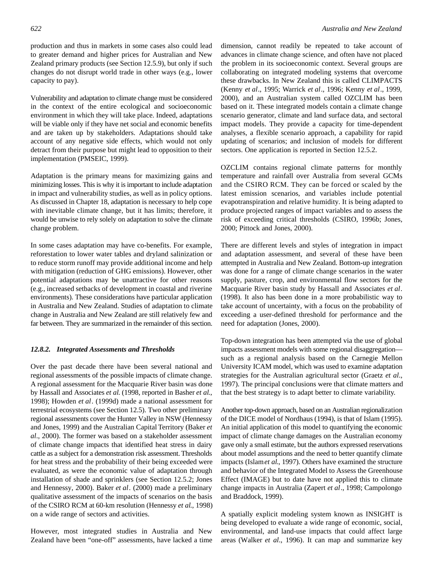production and thus in markets in some cases also could lead to greater demand and higher prices for Australian and New Zealand primary products (see Section 12.5.9), but only if such changes do not disrupt world trade in other ways (e.g., lower capacity to pay).

Vulnerability and adaptation to climate change must be considered in the context of the entire ecological and socioeconomic environment in which they will take place. Indeed, adaptations will be viable only if they have net social and economic benefits and are taken up by stakeholders. Adaptations should take account of any negative side effects, which would not only detract from their purpose but might lead to opposition to their implementation (PMSEIC, 1999).

Adaptation is the primary means for maximizing gains and minimizing losses. This is why it is important to include adaptation in impact and vulnerability studies, as well as in policy options. As discussed in Chapter 18, adaptation is necessary to help cope with inevitable climate change, but it has limits; therefore, it would be unwise to rely solely on adaptation to solve the climate change problem.

In some cases adaptation may have co-benefits. For example, reforestation to lower water tables and dryland salinization or to reduce storm runoff may provide additional income and help with mitigation (reduction of GHG emissions). However, other potential adaptations may be unattractive for other reasons (e.g., increased setbacks of development in coastal and riverine environments). These considerations have particular application in Australia and New Zealand. Studies of adaptation to climate change in Australia and New Zealand are still relatively few and far between. They are summarized in the remainder of this section.

#### *12.8.2. Integrated Assessments and Thresholds*

Over the past decade there have been several national and regional assessments of the possible impacts of climate change. A regional assessment for the Macquarie River basin was done by Hassall and Associates *et al*. (1998, reported in Basher *et al*. , 1998); Howden *et al*. (1999d) made a national assessment for terrestrial ecosystems (see Section 12.5). Two other preliminary regional assessments cover the Hunter Valley in NSW (Hennessy and Jones, 1999) and the Australian Capital Territory (Baker *et al*., 2000). The former was based on a stakeholder assessment of climate change impacts that identified heat stress in dairy cattle as a subject for a demonstration risk assessment. Thresholds for heat stress and the probability of their being exceeded were evaluated, as were the economic value of adaptation through installation of shade and sprinklers (see Section 12.5.2; Jones and Hennessy, 2000). Baker *et al*. (2000) made a preliminary qualitative assessment of the impacts of scenarios on the basis of the CSIRO RCM at 60-km resolution (Hennessy *et al*., 1998) on a wide range of sectors and activities.

However, most integrated studies in Australia and New Zealand have been "one-off" assessments, have lacked a time dimension, cannot readily be repeated to take account of advances in climate change science, and often have not placed the problem in its socioeconomic context. Several groups are collaborating on integrated modeling systems that overcome these drawbacks. In New Zealand this is called CLIMPACTS (Kenny *et al*., 1995; Warrick *et al*., 1996; Kenny *et al*., 1999, 2000), and an Australian system called OZCLIM has been based on it. These integrated models contain a climate change scenario generator, climate and land surface data, and sectoral impact models. They provide a capacity for time-dependent analyses, a flexible scenario approach, a capability for rapid updating of scenarios; and inclusion of models for different sectors. One application is reported in Section 12.5.2.

OZCLIM contains regional climate patterns for monthly temperature and rainfall over Australia from several GCMs and the CSIRO RCM. They can be forced or scaled by the latest emission scenarios, and variables include potential evapotranspiration and relative humidity. It is being adapted to produce projected ranges of impact variables and to assess the risk of exceeding critical thresholds (CSIRO, 1996b; Jones, 2000; Pittock and Jones, 2000).

There are different levels and styles of integration in impact and adaptation assessment, and several of these have been attempted in Australia and New Zealand. Bottom-up integration was done for a range of climate change scenarios in the water supply, pasture, crop, and environmental flow sectors for the Macquarie River basin study by Hassall and Associates *et al*. (1998). It also has been done in a more probabilistic way to take account of uncertainty, with a focus on the probability of exceeding a user-defined threshold for performance and the need for adaptation (Jones, 2000).

Top-down integration has been attempted via the use of global impacts assessment models with some regional disaggregation such as a regional analysis based on the Carnegie Mellon University ICAM model, which was used to examine adaptation strategies for the Australian agricultural sector (Graetz *et al*., 1997). The principal conclusions were that climate matters and that the best strategy is to adapt better to climate variability.

Another top-down approach, based on an Australian regionalization of the DICE model of Nordhaus (1994), is that of Islam (1995). An initial application of this model to quantifying the economic impact of climate change damages on the Australian economy gave only a small estimate, but the authors expressed reservations about model assumptions and the need to better quantify climate impacts (Islam *et al.*, 1997). Others have examined the structure and behavior of the Integrated Model to Assess the Greenhouse Effect (IMAGE) but to date have not applied this to climate change impacts in Australia (Zapert *et al*., 1998; Campolongo and Braddock, 1999).

A spatially explicit modeling system known as INSIGHT is being developed to evaluate a wide range of economic, social, environmental, and land-use impacts that could affect large areas (Walker *et al*., 1996). It can map and summarize key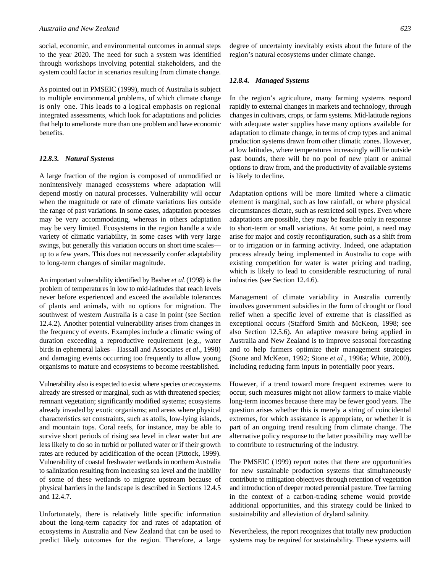social, economic, and environmental outcomes in annual steps to the year 2020. The need for such a system was identified through workshops involving potential stakeholders, and the system could factor in scenarios resulting from climate change.

As pointed out in PMSEIC (1999), much of Australia is subject to multiple environmental problems, of which climate change is only one. This leads to a logical emphasis on regional integrated assessments, which look for adaptations and policies that help to ameliorate more than one problem and have economic benefits.

#### *12.8.3. Natural Systems*

A large fraction of the region is composed of unmodified or nonintensively managed ecosystems where adaptation will depend mostly on natural processes. Vulnerability will occur when the magnitude or rate of climate variations lies outside the range of past variations. In some cases, adaptation processes may be very accommodating, whereas in others adaptation may be very limited. Ecosystems in the region handle a wide variety of climatic variability, in some cases with very large swings, but generally this variation occurs on short time scales up to a few years. This does not necessarily confer adaptability to long-term changes of similar magnitude.

An important vulnerability identified by Basher *et al*. (1998) is the problem of temperatures in low to mid-latitudes that reach levels never before experienced and exceed the available tolerances of plants and animals, with no options for migration. The southwest of western Australia is a case in point (see Section 12.4.2). Another potential vulnerability arises from changes in the frequency of events. Examples include a climatic swing of duration exceeding a reproductive requirement (e.g., water birds in ephemeral lakes—Hassall and Associates *et al*., 1998) and damaging events occurring too frequently to allow young organisms to mature and ecosystems to become reestablished.

Vulnerability also is expected to exist where species or ecosystems already are stressed or marginal, such as with threatened species; remnant vegetation; significantly modified systems; ecosystems already invaded by exotic organisms; and areas where physical characteristics set constraints, such as atolls, low-lying islands, and mountain tops. Coral reefs, for instance, may be able to survive short periods of rising sea level in clear water but are less likely to do so in turbid or polluted water or if their growth rates are reduced by acidification of the ocean (Pittock, 1999). Vulnerability of coastal freshwater wetlands in northern Australia to salinization resulting from increasing sea level and the inability of some of these wetlands to migrate upstream because of physical barriers in the landscape is described in Sections 12.4.5 and 12.4.7.

Unfortunately, there is relatively little specific information about the long-term capacity for and rates of adaptation of ecosystems in Australia and New Zealand that can be used to predict likely outcomes for the region. Therefore, a large degree of uncertainty inevitably exists about the future of the region's natural ecosystems under climate change.

#### *12.8.4. Managed Systems*

In the region's agriculture, many farming systems respond rapidly to external changes in markets and technology, through changes in cultivars, crops, or farm systems. Mid-latitude regions with adequate water supplies have many options available for adaptation to climate change, in terms of crop types and animal production systems drawn from other climatic zones. However, at low latitudes, where temperatures increasingly will lie outside past bounds, there will be no pool of new plant or animal options to draw from, and the productivity of available systems is likely to decline.

Adaptation options will be more limited where a climatic element is marginal, such as low rainfall, or where physical circumstances dictate, such as restricted soil types. Even where adaptations are possible, they may be feasible only in response to short-term or small variations. At some point, a need may arise for major and costly reconfiguration, such as a shift from or to irrigation or in farming activity. Indeed, one adaptation process already being implemented in Australia to cope with existing competition for water is water pricing and trading, which is likely to lead to considerable restructuring of rural industries (see Section 12.4.6).

Management of climate variability in Australia currently involves government subsidies in the form of drought or flood relief when a specific level of extreme that is classified as exceptional occurs (Stafford Smith and McKeon, 1998; see also Section 12.5.6). An adaptive measure being applied in Australia and New Zealand is to improve seasonal forecasting and to help farmers optimize their management strategies (Stone and McKeon, 1992; Stone *et al*., 1996a; White, 2000), including reducing farm inputs in potentially poor years.

However, if a trend toward more frequent extremes were to occur, such measures might not allow farmers to make viable long-term incomes because there may be fewer good years. The question arises whether this is merely a string of coincidental extremes, for which assistance is appropriate, or whether it is part of an ongoing trend resulting from climate change. The alternative policy response to the latter possibility may well be to contribute to restructuring of the industry.

The PMSEIC (1999) report notes that there are opportunities for new sustainable production systems that simultaneously contribute to mitigation objectives through retention of vegetation and introduction of deeper rooted perennial pasture. Tree farming in the context of a carbon-trading scheme would provide additional opportunities, and this strategy could be linked to sustainability and alleviation of dryland salinity.

Nevertheless, the report recognizes that totally new production systems may be required for sustainability. These systems will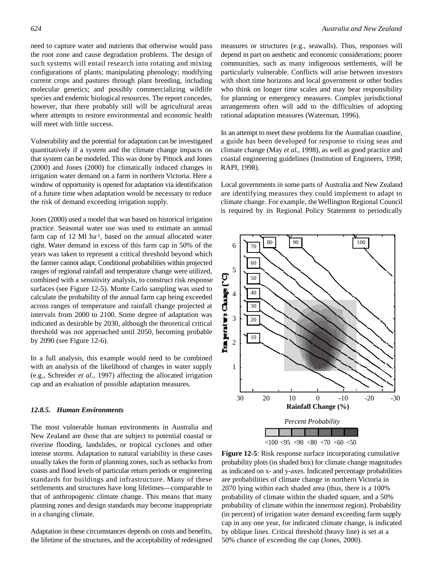need to capture water and nutrients that otherwise would pass the root zone and cause degradation problems. The design of such systems will entail research into rotating and mixing

configurations of plants; manipulating phenology; modifying current crops and pastures through plant breeding, including molecular genetics; and possibly commercializing wildlife species and endemic biological resources. The report concedes, however, that there probably still will be agricultural areas where attempts to restore environmental and economic health will meet with little success.

Vulnerability and the potential for adaptation can be investigated quantitatively if a system and the climate change impacts on that system can be modeled. This was done by Pittock and Jones (2000) and Jones (2000) for climatically induced changes in irrigation water demand on a farm in northern Victoria. Here a window of opportunity is opened for adaptation via identification of a future time when adaptation would be necessary to reduce the risk of demand exceeding irrigation supply.

Jones (2000) used a model that was based on historical irrigation practice. Seasonal water use was used to estimate an annual farm cap of 12 Ml ha-1, based on the annual allocated water right. Water demand in excess of this farm cap in 50% of the years was taken to represent a critical threshold beyond which the farmer cannot adapt. Conditional probabilities within projected ranges of regional rainfall and temperature change were utilized, combined with a sensitivity analysis, to construct risk response surfaces (see Figure 12-5). Monte Carlo sampling was used to calculate the probability of the annual farm cap being exceeded across ranges of temperature and rainfall change projected at intervals from 2000 to 2100. Some degree of adaptation was indicated as desirable by 2030, although the theoretical critical threshold was not approached until 2050, becoming probable by 2090 (see Figure 12-6).

In a full analysis, this example would need to be combined with an analysis of the likelihood of changes in water supply (e.g., Schreider *et al*., 1997) affecting the allocated irrigation cap and an evaluation of possible adaptation measures.

#### *12.8.5. Human Environments*

The most vulnerable human environments in Australia and New Zealand are those that are subject to potential coastal or riverine flooding, landslides, or tropical cyclones and other intense storms. Adaptation to natural variability in these cases usually takes the form of planning zones, such as setbacks from coasts and flood levels of particular return periods or engineering standards for buildings and infrastructure. Many of these settlements and structures have long lifetimes—comparable to that of anthropogenic climate change. This means that many planning zones and design standards may become inappropriate in a changing climate.

Adaptation in these circumstances depends on costs and benefits, the lifetime of the structures, and the acceptability of redesigned measures or structures (e.g., seawalls). Thus, responses will depend in part on aesthetic and economic considerations; poorer communities, such as many indigenous settlements, will be particularly vulnerable. Conflicts will arise between investors with short time horizons and local government or other bodies who think on longer time scales and may bear responsibility for planning or emergency measures. Complex jurisdictional arrangements often will add to the difficulties of adopting rational adaptation measures (Waterman, 1996).

In an attempt to meet these problems for the Australian coastline, a guide has been developed for response to rising seas and climate change (May *et al.*, 1998), as well as good practice and coastal engineering guidelines (Institution of Engineers, 1998; RAPI, 1998).

Local governments in some parts of Australia and New Zealand are identifying measures they could implement to adapt to climate change. For example, the Wellington Regional Council is required by its Regional Policy Statement to periodically



**Figure 12-5**: Risk response surface incorporating cumulative probability plots (in shaded box) for climate change magnitudes as indicated on x- and y-axes. Indicated percentage probabilities are probabilities of climate change in northern Victoria in 2070 lying within each shaded area (thus, there is a 100% probability of climate within the shaded square, and a 50% probability of climate within the innermost region). Probability (in percent) of irrigation water demand exceeding farm supply cap in any one year, for indicated climate change, is indicated by oblique lines. Critical threshold (heavy line) is set at a 50% chance of exceeding the cap (Jones, 2000).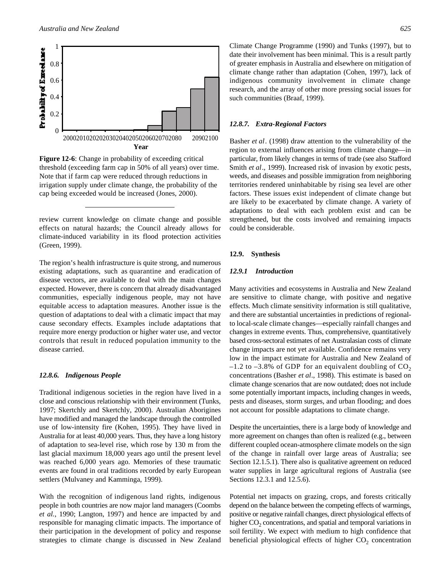

**Figure 12-6**: Change in probability of exceeding critical threshold (exceeding farm cap in 50% of all years) over time. Note that if farm cap were reduced through reductions in irrigation supply under climate change, the probability of the cap being exceeded would be increased (Jones, 2000).

review current knowledge on climate change and possible e ffects on natural hazards; the Council already allows for climate-induced variability in its flood protection activities (Green, 1999).

The region's health infrastructure is quite strong, and numerous existing adaptations, such as quarantine and eradication of disease vectors, are available to deal with the main changes expected. However, there is concern that already disadvantaged communities, especially indigenous people, may not have equitable access to adaptation measures. Another issue is the question of adaptations to deal with a climatic impact that may cause secondary effects. Examples include adaptations that require more energy production or higher water use, and vector controls that result in reduced population immunity to the disease carried.

#### *12.8.6. Indigenous People*

Traditional indigenous societies in the region have lived in a close and conscious relationship with their environment (Tunks, 1997; Skertchly and Skertchly, 2000). Australian Aborigines have modified and managed the landscape through the controlled use of low-intensity fire (Kohen, 1995). They have lived in Australia for at least 40,000 years. Thus, they have a long history of adaptation to sea-level rise, which rose by 130 m from the last glacial maximum 18,000 years ago until the present level was reached 6,000 years ago. Memories of these traumatic events are found in oral traditions recorded by early European settlers (Mulvaney and Kamminga, 1999).

With the recognition of indigenous land rights, indigenous people in both countries are now major land managers (Coombs *et al.*, 1990; Langton, 1997) and hence are impacted by and responsible for managing climatic impacts. The importance of their participation in the development of policy and response strategies to climate change is discussed in New Zealand

Climate Change Programme (1990) and Tunks (1997), but to date their involvement has been minimal. This is a result partly of greater emphasis in Australia and elsewhere on mitigation of climate change rather than adaptation (Cohen, 1997), lack of indigenous community involvement in climate change research, and the array of other more pressing social issues for such communities (Braaf, 1999).

#### *12.8.7. Extra-Regional Factors*

Basher *et al*. (1998) draw attention to the vulnerability of the region to external influences arising from climate change—in particular, from likely changes in terms of trade (see also Stafford Smith *et al*., 1999). Increased risk of invasion by exotic pests, weeds, and diseases and possible immigration from neighboring territories rendered uninhabitable by rising sea level are other factors. These issues exist independent of climate change but are likely to be exacerbated by climate change. A variety of adaptations to deal with each problem exist and can be strengthened, but the costs involved and remaining impacts could be considerable.

#### **12.9. Synthesis**

#### *12.9.1 Introduction*

Many activities and ecosystems in Australia and New Zealand are sensitive to climate change, with positive and negative e ffects. Much climate sensitivity information is still qualitative, and there are substantial uncertainties in predictions of regionalto local-scale climate changes—especially rainfall changes and changes in extreme events. Thus, comprehensive, quantitatively based cross-sectoral estimates of net Australasian costs of climate change impacts are not yet available. Confidence remains very low in the impact estimate for Australia and New Zealand of –1.2 to –3.8% of GDP for an equivalent doubling of  $CO<sub>2</sub>$ concentrations (Basher *et al.*, 1998). This estimate is based on climate change scenarios that are now outdated; does not include some potentially important impacts, including changes in weeds, pests and diseases, storm surges, and urban flooding; and does not account for possible adaptations to climate change.

Despite the uncertainties, there is a large body of knowledge and more agreement on changes than often is realized (e.g., between different coupled ocean-atmosphere climate models on the sign of the change in rainfall over large areas of Australia; see Section 12.1.5.1). There also is qualitative agreement on reduced water supplies in large agricultural regions of Australia (see Sections 12.3.1 and 12.5.6).

Potential net impacts on grazing, crops, and forests critically depend on the balance between the competing effects of warmings, positive or negative rainfall changes, direct physiological effects of higher  $CO<sub>2</sub>$  concentrations, and spatial and temporal variations in soil fertility. We expect with medium to high confidence that beneficial physiological effects of higher  $CO<sub>2</sub>$  concentration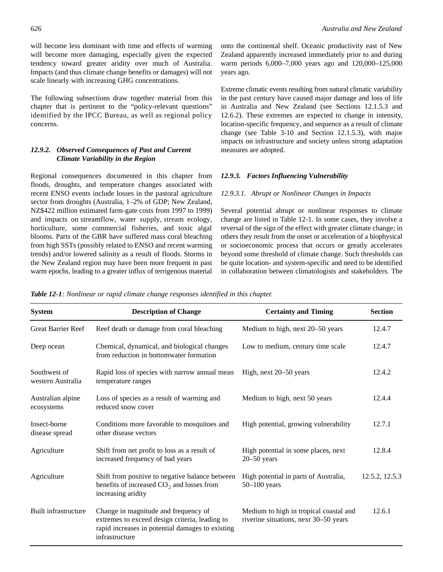will become less dominant with time and effects of warming will become more damaging, especially given the expected tendency toward greater aridity over much of Australia. Impacts (and thus climate change benefits or damages) will not scale linearly with increasing GHG concentrations.

The following subsections draw together material from this chapter that is pertinent to the "policy-relevant questions" identified by the IPCC Bureau, as well as regional policy concerns.

#### *12.9.2. Observed Consequences of Past and Current Climate Variability in the Region*

Regional consequences documented in this chapter from floods, droughts, and temperature changes associated with recent ENSO events include losses in the pastoral agriculture sector from droughts (Australia, 1–2% of GDP; New Zealand, NZ\$422 million estimated farm-gate costs from 1997 to 1999) and impacts on streamflow, water supply, stream ecology, horticulture, some commercial fisheries, and toxic algal blooms. Parts of the GBR have suffered mass coral bleaching from high SSTs (possibly related to ENSO and recent warming trends) and/or lowered salinity as a result of floods. Storms in the New Zealand region may have been more frequent in past warm epochs, leading to a greater influx of terrigenous material onto the continental shelf. Oceanic productivity east of New Zealand apparently increased immediately prior to and during warm periods 6,000–7,000 years ago and 120,000–125,000 years ago.

Extreme climatic events resulting from natural climatic variability in the past century have caused major damage and loss of life in Australia and New Zealand (see Sections 12.1.5.3 and 12.6.2). These extremes are expected to change in intensity, location-specific frequency, and sequence as a result of climate change (see Table 3-10 and Section 12.1.5.3), with major impacts on infrastructure and society unless strong adaptation measures are adopted.

#### *12.9.3. Factors Influencing Vulnerability*

#### *12.9.3.1. Abrupt or Nonlinear Changes in Impacts*

Several potential abrupt or nonlinear responses to climate change are listed in Table 12-1. In some cases, they involve a reversal of the sign of the effect with greater climate change; in others they result from the onset or acceleration of a biophysical or socioeconomic process that occurs or greatly accelerates beyond some threshold of climate change. Such thresholds can be quite location- and system-specific and need to be identified in collaboration between climatologists and stakeholders. The

|  |  |  |  | <b>Table 12-1</b> : Nonlinear or rapid climate change responses identified in this chapter |  |  |
|--|--|--|--|--------------------------------------------------------------------------------------------|--|--|
|  |  |  |  |                                                                                            |  |  |

| <b>System</b>                     | <b>Description of Change</b>                                                                                                                                 | <b>Certainty and Timing</b>                                                     | <b>Section</b> |
|-----------------------------------|--------------------------------------------------------------------------------------------------------------------------------------------------------------|---------------------------------------------------------------------------------|----------------|
| <b>Great Barrier Reef</b>         | Reef death or damage from coral bleaching                                                                                                                    | Medium to high, next 20–50 years                                                | 12.4.7         |
| Deep ocean                        | Chemical, dynamical, and biological changes<br>from reduction in bottomwater formation                                                                       | Low to medium, century time scale                                               | 12.4.7         |
| Southwest of<br>western Australia | Rapid loss of species with narrow annual mean<br>temperature ranges                                                                                          | High, next 20–50 years                                                          | 12.4.2         |
| Australian alpine<br>ecosystems   | Loss of species as a result of warming and<br>reduced snow cover                                                                                             | Medium to high, next 50 years                                                   | 12.4.4         |
| Insect-borne<br>disease spread    | Conditions more favorable to mosquitoes and<br>other disease vectors                                                                                         | High potential, growing vulnerability                                           | 12.7.1         |
| Agriculture                       | Shift from net profit to loss as a result of<br>increased frequency of bad years                                                                             | High potential in some places, next<br>$20 - 50$ years                          | 12.8.4         |
| Agriculture                       | Shift from positive to negative balance between<br>benefits of increased $CO2$ and losses from<br>increasing aridity                                         | High potential in parts of Australia,<br>$50-100$ years                         | 12.5.2, 12.5.3 |
| Built infrastructure              | Change in magnitude and frequency of<br>extremes to exceed design criteria, leading to<br>rapid increases in potential damages to existing<br>infrastructure | Medium to high in tropical coastal and<br>riverine situations, next 30–50 years | 12.6.1         |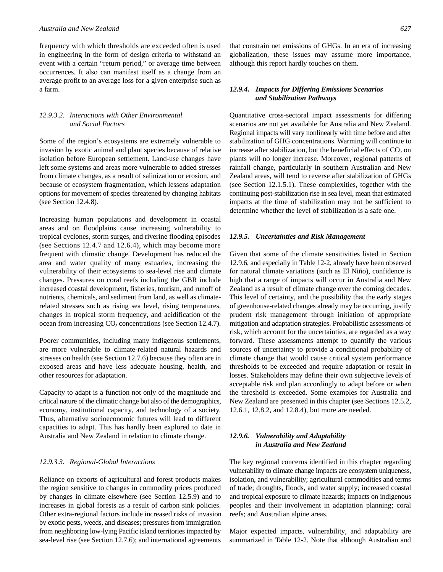frequency with which thresholds are exceeded often is used in engineering in the form of design criteria to withstand an event with a certain "return period," or average time between occurrences. It also can manifest itself as a change from an average profit to an average loss for a given enterprise such as a farm.

#### *12.9.3.2. Interactions with Other Environmental and Social Factors*

Some of the region's ecosystems are extremely vulnerable to invasion by exotic animal and plant species because of relative isolation before European settlement. Land-use changes have left some systems and areas more vulnerable to added stresses from climate changes, as a result of salinization or erosion, and because of ecosystem fragmentation, which lessens adaptation options for movement of species threatened by changing habitats (see Section 12.4.8).

Increasing human populations and development in coastal areas and on floodplains cause increasing vulnerability to tropical cyclones, storm surges, and riverine flooding episodes (see Sections 12.4.7 and 12.6.4), which may become more frequent with climatic change. Development has reduced the area and water quality of many estuaries, increasing the vulnerability of their ecosystems to sea-level rise and climate changes. Pressures on coral reefs including the GBR include increased coastal development, fisheries, tourism, and runoff of nutrients, chemicals, and sediment from land, as well as climaterelated stresses such as rising sea level, rising temperatures, changes in tropical storm frequency, and acidification of the ocean from increasing  $CO<sub>2</sub>$  concentrations (see Section 12.4.7).

Poorer communities, including many indigenous settlements, are more vulnerable to climate-related natural hazards and stresses on health (see Section 12.7.6) because they often are in exposed areas and have less adequate housing, health, and other resources for adaptation.

Capacity to adapt is a function not only of the magnitude and critical nature of the climatic change but also of the demographics, economy, institutional capacity, and technology of a society. Thus, alternative socioeconomic futures will lead to different capacities to adapt. This has hardly been explored to date in Australia and New Zealand in relation to climate change.

#### *12.9.3.3. Regional-Global Interactions*

Reliance on exports of agricultural and forest products makes the region sensitive to changes in commodity prices produced by changes in climate elsewhere (see Section 12.5.9) and to increases in global forests as a result of carbon sink policies. Other extra-regional factors include increased risks of invasion by exotic pests, weeds, and diseases; pressures from immigration from neighboring low-lying Pacific island territories impacted by sea-level rise (see Section 12.7.6); and international agreements that constrain net emissions of GHGs. In an era of increasing globalization, these issues may assume more importance, although this report hardly touches on them.

#### *12.9.4. Impacts for Differing Emissions Scenarios and Stabilization Pathways*

Quantitative cross-sectoral impact assessments for differing scenarios are not yet available for Australia and New Zealand. Regional impacts will vary nonlinearly with time before and after stabilization of GHG concentrations. Warming will continue to increase after stabilization, but the beneficial effects of  $CO<sub>2</sub>$  on plants will no longer increase. Moreover, regional patterns of rainfall change, particularly in southern Australian and New Zealand areas, will tend to reverse after stabilization of GHGs (see Section 12.1.5.1). These complexities, together with the continuing post-stabilization rise in sea level, mean that estimated impacts at the time of stabilization may not be sufficient to determine whether the level of stabilization is a safe one.

#### *12.9.5. Uncertainties and Risk Management*

Given that some of the climate sensitivities listed in Section 12.9.6, and especially in Table 12-2, already have been observed for natural climate variations (such as El Niño), confidence is high that a range of impacts will occur in Australia and New Zealand as a result of climate change over the coming decades. This level of certainty, and the possibility that the early stages of greenhouse-related changes already may be occurring, justify prudent risk management through initiation of appropriate mitigation and adaptation strategies. Probabilistic assessments of risk, which account for the uncertainties, are regarded as a way forward. These assessments attempt to quantify the various sources of uncertainty to provide a conditional probability of climate change that would cause critical system performance thresholds to be exceeded and require adaptation or result in losses. Stakeholders may define their own subjective levels of acceptable risk and plan accordingly to adapt before or when the threshold is exceeded. Some examples for Australia and New Zealand are presented in this chapter (see Sections 12.5.2, 12.6.1, 12.8.2, and 12.8.4), but more are needed.

#### *12.9.6. Vulnerability and Adaptability in Australia and New Zealand*

The key regional concerns identified in this chapter regarding vulnerability to climate change impacts are ecosystem uniqueness, isolation, and vulnerability; agricultural commodities and terms of trade; droughts, floods, and water supply; increased coastal and tropical exposure to climate hazards; impacts on indigenous peoples and their involvement in adaptation planning; coral reefs; and Australian alpine areas.

Major expected impacts, vulnerability, and adaptability are summarized in Table 12-2. Note that although Australian and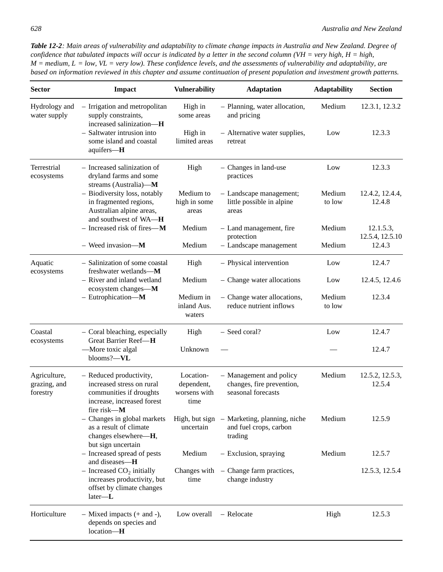*Table 12-2: Main areas of vulnerability and adaptability to climate change impacts in Australia and New Zealand. Degree of confidence that tabulated impacts will occur is indicated by a letter in the second column (VH = very high, H = high, M = medium, L = low, VL = very low). These confidence levels, and the assessments of vulnerability and adaptability, are based on information reviewed in this chapter and assume continuation of present population and investment growth patterns.*

| <b>Sector</b>                            | Impact                                                                                                                          | <b>Vulnerability</b>                            | <b>Adaptation</b>                                                                | <b>Adaptability</b> | <b>Section</b>               |
|------------------------------------------|---------------------------------------------------------------------------------------------------------------------------------|-------------------------------------------------|----------------------------------------------------------------------------------|---------------------|------------------------------|
| Hydrology and<br>water supply            | - Irrigation and metropolitan<br>supply constraints,<br>increased salinization-H                                                | High in<br>some areas                           | - Planning, water allocation,<br>and pricing                                     | Medium              | 12.3.1, 12.3.2               |
|                                          | - Saltwater intrusion into<br>some island and coastal<br>aquifers-H                                                             | High in<br>limited areas                        | - Alternative water supplies,<br>retreat                                         | Low                 | 12.3.3                       |
| <b>Terrestrial</b><br>ecosystems         | - Increased salinization of<br>dryland farms and some<br>streams (Australia)-M                                                  | High                                            | - Changes in land-use<br>practices                                               | Low                 | 12.3.3                       |
|                                          | - Biodiversity loss, notably<br>in fragmented regions,<br>Australian alpine areas,<br>and southwest of WA-H                     | Medium to<br>high in some<br>areas              | - Landscape management;<br>little possible in alpine<br>areas                    | Medium<br>to low    | 12.4.2, 12.4.4,<br>12.4.8    |
|                                          | - Increased risk of fires-M                                                                                                     | Medium                                          | - Land management, fire<br>protection                                            | Medium              | 12.1.5.3,<br>12.5.4, 12.5.10 |
|                                          | $-$ Weed invasion- $-M$                                                                                                         | Medium                                          | - Landscape management                                                           | Medium              | 12.4.3                       |
| Aquatic<br>ecosystems                    | - Salinization of some coastal<br>freshwater wetlands-M                                                                         | High                                            | - Physical intervention                                                          | Low                 | 12.4.7                       |
|                                          | - River and inland wetland<br>ecosystem changes-M                                                                               | Medium                                          | - Change water allocations                                                       | Low                 | 12.4.5, 12.4.6               |
|                                          | - Eutrophication-M                                                                                                              | Medium in<br>inland Aus.<br>waters              | - Change water allocations,<br>reduce nutrient inflows                           | Medium<br>to low    | 12.3.4                       |
| Coastal                                  | - Coral bleaching, especially<br>Great Barrier Reef-H                                                                           | High                                            | - Seed coral?                                                                    | Low                 | 12.4.7                       |
| ecosystems                               | -More toxic algal<br>blooms?-VL                                                                                                 | Unknown                                         |                                                                                  |                     | 12.4.7                       |
| Agriculture,<br>grazing, and<br>forestry | - Reduced productivity,<br>increased stress on rural<br>communities if droughts<br>increase, increased forest<br>fire risk— $M$ | Location-<br>dependent,<br>worsens with<br>time | - Management and policy<br>changes, fire prevention,<br>seasonal forecasts       | Medium              | 12.5.2, 12.5.3,<br>12.5.4    |
|                                          | - Changes in global markets<br>as a result of climate<br>changes elsewhere—H,<br>but sign uncertain                             | uncertain                                       | High, but sign – Marketing, planning, niche<br>and fuel crops, carbon<br>trading | Medium              | 12.5.9                       |
|                                          | - Increased spread of pests<br>and diseases-H                                                                                   | Medium                                          | - Exclusion, spraying                                                            | Medium              | 12.5.7                       |
|                                          | - Increased $CO2$ initially<br>increases productivity, but<br>offset by climate changes<br>$later-L$                            | time                                            | Changes with $-$ Change farm practices,<br>change industry                       |                     | 12.5.3, 12.5.4               |
| Horticulture                             | $-$ Mixed impacts ( $+$ and $-$ ),<br>depends on species and<br>location-H                                                      | Low overall                                     | - Relocate                                                                       | High                | 12.5.3                       |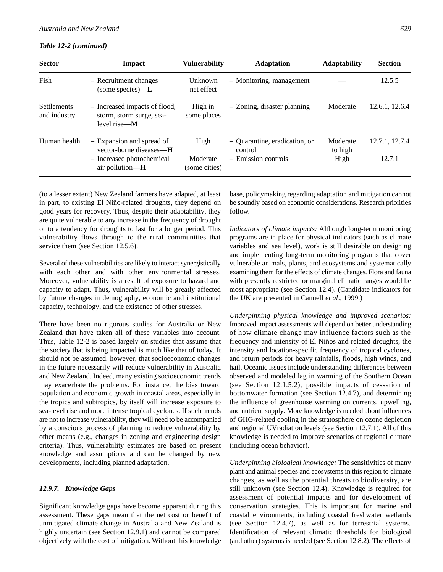| <b>Sector</b>                      | Impact                                                                                                       | <b>Vulnerability</b>              | <b>Adaptation</b>                                                 | <b>Adaptability</b>         | <b>Section</b>           |
|------------------------------------|--------------------------------------------------------------------------------------------------------------|-----------------------------------|-------------------------------------------------------------------|-----------------------------|--------------------------|
| Fish                               | - Recruitment changes<br>(some species)—L                                                                    | Unknown<br>net effect             | - Monitoring, management                                          |                             | 12.5.5                   |
| <b>Settlements</b><br>and industry | - Increased impacts of flood,<br>storm, storm surge, sea-<br>level rise $-M$                                 | High in<br>some places            | - Zoning, disaster planning                                       | Moderate                    | 12.6.1, 12.6.4           |
| Human health                       | - Expansion and spread of<br>vector-borne diseases-H<br>- Increased photochemical<br>air pollution— <b>H</b> | High<br>Moderate<br>(some cities) | - Quarantine, eradication, or<br>control<br>$-$ Emission controls | Moderate<br>to high<br>High | 12.7.1, 12.7.4<br>12.7.1 |

(to a lesser extent) New Zealand farmers have adapted, at least in part, to existing El Niño-related droughts, they depend on good years for recovery. Thus, despite their adaptability, they are quite vulnerable to any increase in the frequency of drought or to a tendency for droughts to last for a longer period. This vulnerability flows through to the rural communities that service them (see Section 12.5.6).

Several of these vulnerabilities are likely to interact synergistically with each other and with other environmental stresses. Moreover, vulnerability is a result of exposure to hazard and capacity to adapt. Thus, vulnerability will be greatly affected by future changes in demography, economic and institutional capacity, technology, and the existence of other stresses.

There have been no rigorous studies for Australia or New Zealand that have taken all of these variables into account. Thus, Table 12-2 is based largely on studies that assume that the society that is being impacted is much like that of today. It should not be assumed, however, that socioeconomic changes in the future necessarily will reduce vulnerability in Australia and New Zealand. Indeed, many existing socioeconomic trends may exacerbate the problems. For instance, the bias toward population and economic growth in coastal areas, especially in the tropics and subtropics, by itself will increase exposure to sea-level rise and more intense tropical cyclones. If such trends are not to increase vulnerability, they will need to be accompanied by a conscious process of planning to reduce vulnerability by other means (e.g., changes in zoning and engineering design criteria). Thus, vulnerability estimates are based on present knowledge and assumptions and can be changed by new developments, including planned adaptation.

#### *12.9.7. Knowledge Gaps*

Significant knowledge gaps have become apparent during this assessment. These gaps mean that the net cost or benefit of unmitigated climate change in Australia and New Zealand is highly uncertain (see Section 12.9.1) and cannot be compared objectively with the cost of mitigation. Without this knowledge

base, policymaking regarding adaptation and mitigation cannot be soundly based on economic considerations. Research priorities follow.

*Indicators of climate impacts:* Although long-term monitoring programs are in place for physical indicators (such as climate variables and sea level), work is still desirable on designing and implementing long-term monitoring programs that cover vulnerable animals, plants, and ecosystems and systematically examining them for the effects of climate changes. Flora and fauna with presently restricted or marginal climatic ranges would be most appropriate (see Section 12.4). (Candidate indicators for the UK are presented in Cannell *et al*., 1999.)

*Underpinning physical knowledge and improved scenarios:* Improved impact assessments will depend on better understanding of how climate change may influence factors such as the frequency and intensity of El Niños and related droughts, the intensity and location-specific frequency of tropical cyclones, and return periods for heavy rainfalls, floods, high winds, and hail. Oceanic issues include understanding differences between observed and modeled lag in warming of the Southern Ocean (see Section 12.1.5.2), possible impacts of cessation of bottomwater formation (see Section 12.4.7), and determining the influence of greenhouse warming on currents, upwelling, and nutrient supply. More knowledge is needed about influences of GHG-related cooling in the stratosphere on ozone depletion and regional UVradiation levels (see Section 12.7.1). All of this knowledge is needed to improve scenarios of regional climate (including ocean behavior).

*Underpinning biological knowledge:* The sensitivities of many plant and animal species and ecosystems in this region to climate changes, as well as the potential threats to biodiversity, are still unknown (see Section 12.4). Knowledge is required for assessment of potential impacts and for development of conservation strategies. This is important for marine and coastal environments, including coastal freshwater wetlands (see Section 12.4.7), as well as for terrestrial systems. Identification of relevant climatic thresholds for biological (and other) systems is needed (see Section 12.8.2). The effects of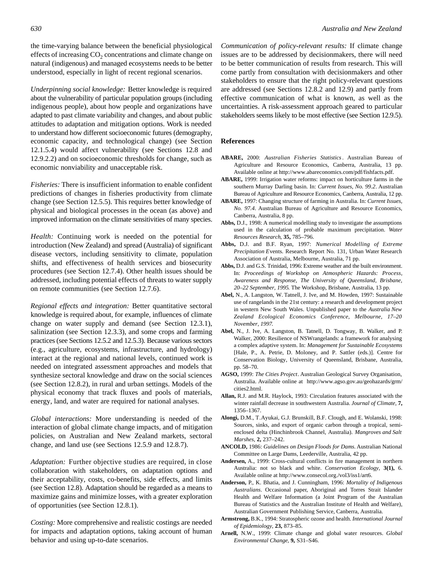*Underpinning social knowledge:* Better knowledge is required about the vulnerability of particular population groups (including indigenous people), about how people and organizations have adapted to past climate variability and changes, and about public attitudes to adaptation and mitigation options. Work is needed to understand how different socioeconomic futures (demography, economic capacity, and technological change) (see Section 12.1.5.4) would affect vulnerability (see Sections 12.8 and 12.9.2.2) and on socioeconomic thresholds for change, such as economic nonviability and unacceptable risk.

*Fisheries:* There is insufficient information to enable confident predictions of changes in fisheries productivity from climate change (see Section 12.5.5). This requires better knowledge of physical and biological processes in the ocean (as above) and improved information on the climate sensitivities of many species.

*Health:* Continuing work is needed on the potential for introduction (New Zealand) and spread (Australia) of significant disease vectors, including sensitivity to climate, population shifts, and effectiveness of health services and biosecurity procedures (see Section 12.7.4). Other health issues should be addressed, including potential effects of threats to water supply on remote communities (see Section 12.7.6).

*Regional effects and integration:* Better quantitative sectoral knowledge is required about, for example, influences of climate change on water supply and demand (see Section 12.3.1), salinization (see Section 12.3.3), and some crops and farming practices (see Sections 12.5.2 and 12.5.3). Because various sectors (e.g., agriculture, ecosystems, infrastructure, and hydrology) interact at the regional and national levels, continued work is needed on integrated assessment approaches and models that synthesize sectoral knowledge and draw on the social sciences (see Section 12.8.2), in rural and urban settings. Models of the physical economy that track fluxes and pools of materials, energy, land, and water are required for national analyses.

*Global interactions:* More understanding is needed of the interaction of global climate change impacts, and of mitigation policies, on Australian and New Zealand markets, sectoral change, and land use (see Sections 12.5.9 and 12.8.7).

*Adaptation:* Further objective studies are required, in close collaboration with stakeholders, on adaptation options and their acceptability, costs, co-benefits, side effects, and limits (see Section 12.8). Adaptation should be regarded as a means to maximize gains and minimize losses, with a greater exploration of opportunities (see Section 12.8.1).

*Costing:* More comprehensive and realistic costings are needed for impacts and adaptation options, taking account of human behavior and using up-to-date scenarios.

*Communication of policy-relevant results:* If climate change issues are to be addressed by decisionmakers, there will need to be better communication of results from research. This will come partly from consultation with decisionmakers and other stakeholders to ensure that the right policy-relevant questions are addressed (see Sections 12.8.2 and 12.9) and partly from effective communication of what is known, as well as the uncertainties. A risk-assessment approach geared to particular stakeholders seems likely to be most effective (see Section 12.9.5).

#### **References**

- **A B A R E ,** 2000: *Australian Fisheries Statistics*. Australian Bureau of Agriculture and Resource Economics, Canberra, Australia, 13 pp. Available online at http://www.abareconomics.com/pdf/fishfacts.pdf.
- **ABARE,** 1999: Irrigation water reforms: impact on horticulture farms in the southern Murray Darling basin. In: *Current Issues, No. 99.2*. Australian Bureau of Agriculture and Resource Economics, Canberra, Australia, 12 pp.
- **ABARE,** 1997: Changing structure of farming in Australia. In: *Current Issues, No. 97.4*. Australian Bureau of Agriculture and Resource Economics, Canberra, Australia, 8 pp.
- **Abbs,** D.J., 1998: A numerical modelling study to investigate the assumptions used in the calculation of probable maximum precipitation. *Water Resources Research*, **35,** 785–796.
- Abbs, D.J. and B.F. Ryan, 1997: *Numerical Modelling of Extreme Precipitation E*vents. Research Report No. 131, Urban Water Research Association of Australia, Melbourne, Australia, 71 pp.
- Abbs, D.J. and G.S. Trinidad, 1996: Extreme weather and the built environment. In: Proceedings of Workshop on Atmospheric Hazards: Process, *Awareness and Response, The University of Queensland, Brisbane, 20–22 September, 1995*. The Workshop, Brisbane, Australia, 13 pp.
- **Abel,** N., A. Langston, W. Tatnell, J. Ive, and M. Howden, 1997: Sustainable use of rangelands in the 21st century: a research and development project in western New South Wales. Unpublished paper to the *Australia New Z e a l a n d Ecological Economics Conference, Melbourne, 17–20 November, 1997*.
- **Abel,** N., J. Ive, A. Langston, B. Tatnell, D. Tongway, B. Walker, and P. Walker, 2000: Resilience of NSWrangelands: a framework for analysing a complex adaptive system. In: *Management for Sustainable Ecosystems* [Hale, P., A. Petrie, D. Moloney, and P. Sattler (eds.)]. Centre for Conservation Biology, University of Queensland, Brisbane, Australia, pp. 58–70.
- **AGSO,** 1999: *The Cities Project*. Australian Geological Survey Organisation, Australia. Available online at http://www.agso.gov.au/geohazards/grm/ cities2.html.
- **Allan,** R.J. and M.R. Haylock, 1993: Circulation features associated with the winter rainfall decrease in southwestern Australia. *Journal of Climate*, **7,** 1356–1367.
- **Alongi,** D.M., T.Ayukai, G.J. Brunskill, B.F. Clough, and E. Wolanski, 1998: Sources, sinks, and export of organic carbon through a tropical, semienclosed delta (Hinchinbrook Channel, Australia). *Mangroves and Salt Marshes*, **2,** 237–242.
- **ANCOLD,** 1986: *Guidelines on Design Floods for Dams*. Australian National Committee on Large Dams, Leederville, Australia, 42 pp.
- **Andersen,** A., 1999: Cross-cultural conflicts in fire management in northern Australia: not so black and white. *Conservation Ecology*, **3(1),** 6. Available online at http://www.consecol.org./vol3/iss1/art6.
- **Anderson,** P., K. Bhatia, and J. Cunningham, 1996: *Mortality of Indigenous Australians*. Occasional paper, Aboriginal and Torres Strait Islander Health and Welfare Information (a Joint Program of the Australian Bureau of Statistics and the Australian Institute of Health and Welfare), Australian Government Publishing Service, Canberra, Australia.
- **Armstrong,** B.K., 1994: Stratospheric ozone and health. *International Journal of Epidemiology*, **23,** 873–85.
- **Arnell,** N.W., 1999: Climate change and global water resources. *Global Environmental Change*, **9,** S31–S46.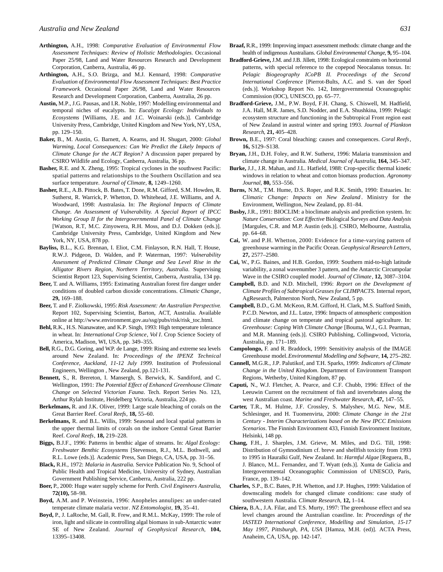- **Arthington,** A.H., 1998: *Comparative Evaluation of Environmental Flow Assessment Techniques: Review of Holistic Methodologies*. Occasional Paper 25/98, Land and Water Resources Research and Development Corporation, Canberra, Australia, 46 pp.
- Arthington, A.H., S.O. Brizga, and M.J. Kennard, 1998: *Comparative Evaluation of Environmental Flow Assessment Techniques: Best Practice Framework*. Occasional Paper 26/98, Land and Water Resources Research and Development Corporation, Canberra, Australia, 26 pp.
- **Austin,** M.P., J.G. Pausas, and I.R. Noble, 1997: Modelling environmental and temporal niches of eucalypts. In: *Eucalypt Ecology: Individuals to E c o s y s t e m s* [ Williams, J.E. and J.C. Woinarski (eds.)]. Cambridge University Press, Cambridge, United Kingdom and New York, NY, USA, pp. 129–150.
- **Baker,** B., M. Austin, G. Barnett, A. Kearns, and H. Shugart, 2000: *Global Warming, Local Consequences: Can We Predict the Likely Impacts of Climate Change for the ACT Region?* A discussion paper prepared by CSIRO Wildlife and Ecology, Canberra, Australia, 36 pp.
- **Basher,** R.E. and X. Zheng, 1995: Tropical cyclones in the southwest Pacific: spatial patterns and relationships to the Southern Oscillation and sea surface temperature. *Journal of Climate*, 8, 1249-1260.
- **Basher,** R.E., A.B. Pittock, B. Bates, T. Done, R.M. Gifford, S.M. Howden, R. Sutherst, R. Warrick, P. Whetton, D. Whitehead, J.E. Williams, and A. Woodward, 1998: Australasia. In: *The Regional Impacts of Climate Change. An Assessment of Vulnerability. A Special Report of IPCC Working Group II for the Intergovernmental Panel of Climate Change* [Watson, R.T, M.C. Zinyowera, R.H. Moss, and D.J. Dokken (eds.)]. Cambridge University Press, Cambridge, United Kingdom and New York, NY, USA, 878 pp.
- **Bayliss,** B.L., K.G. Brennan, I. Eliot, C.M. Finlayson, R.N. Hall, T. House, R.W.J. Pidgeon, D. Walden, and P. Waterman, 1997: *Vulnerability Assessment of Predicted Climate Change and Sea Level Rise in the Alligator Rivers Region, Northern Territory, Australia*. Supervising Scientist Report 123, Supervising Scientist, Canberra, Australia, 134 pp.
- **Beer,** T. and A. Williams, 1995: Estimating Australian forest fire danger under conditions of doubled carbon dioxide concentrations. *Climatic Change*, **29,** 169–188.
- **Beer,** T. and F. Ziolkowski, 1995: *Risk Assessment: An Australian Perspective*. Report 102, Supervising Scientist, Barton, ACT, Australia. Available online at http://www.environment.gov.au/ssg/pubs/risk/risk\_toc.html.
- Behl, R.K., H.S. Nianawatee, and K.P. Singh, 1993: High temperature tolerance in wheat. In: *International Crop Science*, *Vol I*. Crop Science Society of America, Madison, WI, USA, pp. 349–355.
- Bell, R.G., D.G. Goring, and W.P. de Lange, 1999: Rising and extreme sea levels around New Zealand. In: Proceedings of the IPENZ Technical *Conference, Auckland, 11-12 July 1999*. Institution of Professional Engineers, Wellington , New Zealand, pp.121-131.
- **Bennett,** S., R. Brereton, I. Mansergh, S. Berwick, K. Sandiford, and C. Wellington, 1991: *The Potential Effect of Enhanced Greenhouse Climate Change on Selected Victorian Fauna*. Tech. Report Series No. 123, Arthur Rylah Institute, Heidelberg Victoria, Australia, 224 pp.
- **Berkelmans,** R. and J.K. Oliver, 1999: Large scale bleaching of corals on the Great Barrier Reef. *Coral Reefs*, **18,** 55–60.
- **Berkelmans,** R. and B.L. Willis, 1999: Seasonal and local spatial patterns in the upper thermal limits of corals on the inshore Central Great Barrier Reef. *Coral Reefs*, **18,** 219–228.
- **Biggs,** B.J.F., 1996: Patterns in benthic algae of streams. In: *Algal Ecology: Freshwater Benthic Ecosystems* [Stevenson, R.J., M.L. Bothwell, and R.L. Lowe (eds.)]. Academic Press, San Diego, CA, USA, pp. 31–56.
- **Black,** R.H., 1972: *Malaria in Australia.* Service Publication No. 9, School of Public Health and Tropical Medicine, University of Sydney, Australian Government Publishing Service, Canberra, Australia, 222 pp.
- **Boer,** P., 2000: Huge water supply scheme for Perth. *Civil Engineers Australia*, **72(10),** 58–98.
- Boyd, A.M. and P. Weinstein, 1996: Anopheles annulipes: an under-rated temperate climate malaria vector. NZ Entomologist, 19, 35-41.
- **Boyd,** P., J. LaRoche, M. Gall, R. Frew, and R.M.L. McKay, 1999: The role of iron, light and silicate in controlling algal biomass in sub-Antarctic water SE of New Zealand. *Journal of Geophysical Research*, 104, 13395–13408.
- **Braaf, R.R., 1999: Improving impact assessment methods: climate change and the** health of indigenous Australians. *Global Environmental Change*, 9, 95-104.
- Bradford-Grieve, J.M. and J.B. Jillett, 1998: Ecological constraints on horizontal patterns, with special reference to the copepod Neocalanus tonsus. In: *Pelagic Biogeography ICoPB II. Proceedings of the Second International Conference* [Pierrot-Bults, A.C. and S. van der Spoel (eds.)]. Workshop Report No. 142, Intergovernmental Oceanographic Commission (IOC), UNESCO, pp. 65–77.
- **Bradford-Grieve,** J.M., P.W. Boyd, F.H. Chang, S. Chiswell, M. Hadfield, J.A. Hall, M.R. James, S.D. Nodder, and E.A. Shushkina, 1999: Pelagic ecosystem structure and functioning in the Subtropical Front region east of New Zealand in austral winter and spring 1993. *Journal of Plankton Research*, **21,** 405–428.
- **Brown,** B.E., 1997: Coral bleaching: causes and consequences. *Coral Reefs*, **16,** S129–S138.
- **Bryan,** J.H., D.H. Foley, and R.W. Sutherst, 1996: Malaria transmission and climate change in Australia. *Medical Journal of Australia*, **164,** 345–347.
- Burke, J.J., J.R. Mahan, and J.L. Hatfield, 1988: Crop-specific thermal kinetic windows in relation to wheat and cotton biomass production. *Agronomy Journal*, **80,** 553–556.
- **Burns,** N.M., T.M. Hume, D.S. Roper, and R.K. Smith, 1990: Estuaries. In: *Climatic Change: Impacts on New Zealand* . Ministry for the Environment, Wellington, New Zealand, pp. 81–84.
- **Busby,** J.R., 1991: BIOCLIM: a bioclimate analysis and prediction system. In: *Nature Conservation: Cost Effective Biological Surveys and Data Analysis* [Margules, C.R. and M.P. Austin (eds.)]. CSIRO, Melbourne, Australia, pp. 64–68.
- Cai, W. and P.H. Whetton, 2000: Evidence for a time-varying pattern of greenhouse warming in the Pacific Ocean. *Geophysical Research Letters*, **27,** 2577–2580.
- **Cai,** W., P.G. Baines, and H.B. Gordon, 1999: Southern mid-to-high latitude variability, a zonal wavenumber 3 pattern, and the Antarctic Circumpolar Wave in the CSIRO coupled model*. Journal of Climate*, **12,** 3087–3104.
- **Campbell,** B.D. and N.D. Mitchell, 1996: *Report on the Development of Climate Profiles of Subtropical Grasses for CLIMPACTS*. Internal report, AgResearch, Palmerston North, New Zealand, 5 pp.
- **Campbell,** B.D., G.M. McKeon, R.M. Gifford, H. Clark, M.S. Stafford Smith, P.C.D. Newton, and J.L. Lutze, 1996: Impacts of atmospheric composition and climate change on temperate and tropical pastoral agriculture. In: *Greenhouse: Coping With Climate Change* [Bouma, W.J., G.I. Pearman, and M.R. Manning (eds.)]. CSIRO Publishing, Collingwood, Victoria, Australia, pp. 171–189.
- **Campolongo,** F. and R. Braddock, 1999: Sensitivity analysis of the IMAGE Greenhouse model. *Environmental Modelling and Software*, 14, 275-282.
- **Cannell,** M.G.R., J.P. Palutikof, and T.H. Sparks, 1999: *Indicators of Climate Change in the United Kingdom*. Department of Environment Transport Regions, Wetherby, United Kingdom, 87 pp.
- **Caputi,** N., W.J. Fletcher, A. Pearce, and C.F. Chubb, 1996: Effect of the Leeuwin Current on the recruitment of fish and invertebrates along the west Australian coast. *Marine and Freshwater Research*, **47,** 147–55.
- **Carter,** T.R., M. Hulme, J.F. Crossley, S. Malyshev, M.G. New, M.E. Schlesinger, and H. Tuomenvirta, 2000: *Climate Change in the 21st Century - Interim Characterizations based on the New IPCC Emissions Scenarios*. The Finnish Environment 433, Finnish Environment Institute, Helsinki, 148 pp.
- **Chang,** F.H., J. Sharples, J.M. Grieve, M. Miles, and D.G. Till, 1998: Distribution of Gymnodinium cf. breve and shellfish toxicity from 1993 to 1995 in Hauralki Gulf, New Zealand. In: *Harmful Algae* [Reguera, B., J. Blanco, M.L. Fernandez, and T. Wyatt (eds.)]. Xunta de Galicia and Intergovernmental Oceanographic Commission of UNESCO, Paris, France, pp. 139–142.
- **Charles,** S.P., B.C. Bates, P.H. Whetton, and J.P. Hughes, 1999: Validation of downscaling models for changed climate conditions: case study of southwestern Australia. *Climate Research*, 12, 1-14.
- **Chiera,** B.A., J.A. Filar, and T.S. Murty, 1997: The greenhouse effect and sea level changes around the Australian coastline. In: *Proceedings of the IASTED International Conference, Modelling and Simulation, 15-17 May 1997, Pittsburgh, PA, USA* [Hamza, M.H. (ed)]. ACTA Press, Anaheim, CA, USA, pp. 142-147.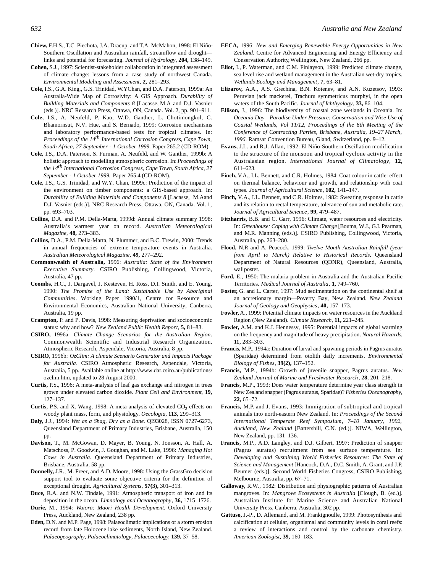- **Chiew,** F.H.S., T.C. Piechota, J.A. Dracup, and T.A. McMahon, 1998: El Niño-Southern Oscillation and Australian rainfall, streamflow and drought links and potential for forecasting. *Journal of Hydrology*, **204,** 138–149.
- **Cohen,** S.J., 1997: Scientist-stakeholder collaboration in integrated assessment of climate change: lessons from a case study of northwest Canada. *Environmental Modeling and Assessment*, **2,** 281–293.
- **Cole,** I.S., G.A. King,, G.S. Trinidad, W.YChan, and D.A. Paterson, 1999a: An Australia-Wide Map of Corrosivity: A GIS Approach. *Durability of Building Materials and Components 8* [Lacasse, M.A and D.J. Vasnier (eds.)]. NRC Research Press, Ottawa, ON, Canada. Vol. 2, pp. 901–911.
- Cole, I.S., A. Neufeld, P. Kao, W.D. Ganther, L. Chotimongkol, C. Bhamornsut, N.V. Hue, and S. Bernado, 1999: Corrosion mechanisms and laboratory performance-based tests for tropical climates. In: *Proceedings of the 14th International Corrosion Congress, Cape Town, South Africa, 27 September - 1 October 1999.* Paper 265.2 (CD-ROM).
- **Cole,** I.S., D.A. Paterson, S. Furman, A. Neufeld, and W. Ganther, 1999b: A holistic approach to modelling atmospheric corrosion. In: *Proceedings of the 14th International Corrosion Congress, Cape Town, South Africa, 27 September - 1 October 1999.* Paper 265.4 (CD-ROM).
- **Cole,** I.S., G.S. Trinidad, and W.Y. Chan, 1999c: Prediction of the impact of the environment on timber components: a GIS-based approach. In: *Durability of Building Materials and Components 8* [Lacasse, M.Aand D.J. Vasnier (eds.)]. NRC Research Press, Ottawa, ON, Canada. Vol. 1, pp. 693–703.
- **Collins,** D.A. and P.M. Della-Marta, 1999d: Annual climate summary 1998: Australia's warmest year on record. Australian Meteorological *Magazine*, **48,** 273–383.
- **Collins,** D.A., P.M. Della-Marta, N. Plummer, and B.C. Trewin, 2000: Trends in annual frequencies of extreme temperature events in Australia. *Australian Meteorological Magazine*, **49,** 277–292.
- **Commonwealth of Australia,** 1996: *Australia: State of the Environment Executive Summary*. CSIRO Publishing, Collingwood, Victoria, Australia, 47 pp.
- **Coombs,** H.C., J. Dargavel, J. Kesteven, H. Ross, D.I. Smith, and E. Young, 1990: The Promise of the Land: Sustainable Use by Aboriginal Communities. Working Paper 1990/1, Centre for Resource and Environmental Economics, Australian National University, Canberra, Australia, 19 pp.
- **Crampton,** P. and P. Davis, 1998: Measuring deprivation and socioeconomic status: why and how? *New Zealand Public Health Report*, **5,** 81–83.
- **C S I R O ,** 1996a: *Climate Change Scenarios for the Australian Region*. Commonwealth Scientific and Industrial Research Organization, Atmospheric Research, Aspendale, Victoria, Australia, 8 pp.
- **CSIRO**, 1996b: *OzClim: A climate Scenario Generator and Impacts Package for Australia.* CSIRO Atmospheric Research, Aspendale, Victoria, Australia, 5 pp. Available online at http://www.dar.csiro.au/publications/ ozclim.htm, updated to 28 August 2000.
- **Curtis,** P.S., 1996: A meta-analysis of leaf gas exchange and nitrogen in trees grown under elevated carbon dioxide. *Plant Cell and Environment*, **19,** 127–137.
- **Curtis,** P.S. and X. Wang, 1998: A meta-analysis of elevated  $CO_2$  effects on woody plant mass, form, and physiology. *Oecologia*, **113,** 299–313.
- **Daly,** J.J., 1994: *Wet as a Shag, Dry as a Bone*. QI93028, ISSN 0727-6273, Queensland Department of Primary Industries, Brisbane, Australia, 150 pp.
- **Davison,** T., M. McGowan, D. Mayer, B. Young, N. Jonsson, A. Hall, A. Matschoss, P. Goodwin, J. Goughan, and M. Lake, 1996: *Managing Hot* Cows in Australia. Queensland Department of Primary Industries, Brisbane, Australia, 58 pp.
- **Donnelly,** J.R., M. Freer, and A.D. Moore, 1998: Using the GrassGro decision support tool to evaluate some objective criteria for the definition of exceptional drought. *Agricultural Systems*, **57(3),** 301–313.
- **Duce,** R.A. and N.W. Tindale, 1991: Atmospheric transport of iron and its deposition in the ocean. *Limnology and Oceanography*, **36,** 1715–1726.
- **Durie,** M., 1994: *Waiora: Maori Health Development*. Oxford University Press, Auckland, New Zealand, 238 pp.
- **Eden,** D.N. and M.P. Page, 1998: Palaeoclimatic implications of a storm erosion record from late Holocene lake sediments, North Island, New Zealand. *Palaeogeography, Palaeoclimatology, Palaeoecology*, **139,** 37–58.
- **EECA,** 1996: *New and Emerging Renewable Energy Opportunities in New Zealand*. Centre for Advanced Engineering and Energy Efficiency and Conservation Authority, Wellington, New Zealand, 266 pp.
- **Eliot,** I., P. Waterman, and C.M. Finlayson, 1999: Predicted climate change, sea level rise and wetland management in the Australian wet-dry tropics*. Wetlands Ecology and Management*, **7,** 63–81.
- **Elizarov,** A.A., A.S. Grechina, B.N. Kotenev, and A.N. Kuzetsov, 1993: Peruvian jack mackerel, Trachuru symmetricus murphyi, in the open waters of the South Pacific. *Journal of Ichthyology*, **33,** 86–104.
- **Ellison,** J., 1996: The biodiversity of coastal zone wetlands in Oceania. In: *Oceania Day—Paradise Under Pressure: Conservation and Wise Use of Coastal Wetlands, Vol 11/12, Proceedings of the 6th Meeting of the Conference of Contracting Parties, Brisbane, Australia, 19*–*27 March, 1996*. Ramsar Convention Bureau, Gland, Switzerland, pp. 9–12.
- Evans, J.L. and R.J. Allan, 1992: El Niño-Southern Oscillation modification to the structure of the monsoon and tropical cyclone activity in the Australasian region. *International Journal of Climatology*, 12,  $611 - 623$ .
- **Finch,** V.A., I.L. Bennett, and C.R. Holmes, 1984: Coat colour in cattle: effect on thermal balance, behaviour and growth, and relationship with coat types. *Journal of Agricultural Science*, **102,** 141–147.
- **Finch,** V.A., I.L. Bennett, and C.R. Holmes, 1982: Sweating response in cattle and its relation to rectal temperature, tolerance of sun and metabolic rate. *Journal of Agricultural Science*, **99,** 479–487.
- **Fitzharris,** B.B. and C. Garr, 1996: Climate, water resources and electricity. In: *G reenhouse: Coping with Climate Change* [Bouma, W.J., G.I. Pearman, and M.R. Manning (eds.)]. CSIRO Publishing, Collingwood, Victoria, Australia, pp. 263–280.
- **Flood,** N.R and A. Peacock, 1999: *Twelve Month Australian Rainfall (year* from April to March) Relative to Historical Records. Queensland Department of Natural Resources (QDNR), Queensland, Australia, wallposter.
- **Ford,** E., 1950: The malaria problem in Australia and the Australian Pacific Territories. *Medical Journal of Australia*, **1,** 749–760.
- **Foster,** G. and L. Carter, 1997: Mud sedimentation on the continental shelf at an accretionary margin—Poverty Bay, New Zealand. *New Zealand Journal of Geology and Geophysics*, **40,** 157–173.
- **Fowler,** A., 1999: Potential climate impacts on water resources in the Auckland Region (New Zealand). *Climate Research*, **11,** 221–245.
- **Fowler,** A.M. and K.J. Hennessy, 1995: Potential impacts of global warming on the frequency and magnitude of heavy precipitation. *Natural Hazards*, **11,** 283–303.
- Francis, M.P., 1994a: Duration of larval and spawning periods in Pagrus auratus (Sparidae) determined from otolith daily increments. *Environmental Biology of Fishes*, **39(2),** 137–152.
- **Francis,** M.P., 1994b: Growth of juvenile snapper, Pagrus auratus. *New Zealand Journal of Marine and Freshwater Research*, **28,** 201–218.
- **Francis,** M.P., 1993: Does water temperature determine year class strength in New Zealand snapper (Pagrus auratus, Sparidae)? *Fisheries Oceanography*, **22,** 65–72.
- **Francis,** M.P. and J. Evans, 1993: Immigration of subtropical and tropical animals into north-eastern New Zealand. In: Proceedings of the Second *International Temperate Reef Symposium*, *7–10 January, 1992, Auckland, New Zealand* [Battershill, C.N. (ed.)]. NIWA, Wellington, New Zealand, pp. 131–136.
- **Francis,** M.P., A.D. Langley, and D.J. Gilbert, 1997: Prediction of snapper (Pagrus auratus) recruitment from sea surface temperature. In: *Developing and Sustaining World Fisheries Resources: The State of Science and Management* [Hancock, D.A., D.C. Smith, A. Grant, and J.P. Beumer (eds.)]. Second World Fisheries Congress, CSIRO Publishing, Melbourne, Australia, pp. 67–71.
- **Galloway,** R.W., 1982: Distribution and physiographic patterns of Australian mangroves. In: *Mangrove Ecosystems in Australia* [Clough, B. (ed.)]. Australian Institute for Marine Science and Australian National University Press, Canberra, Australia, 302 pp.
- **Gattuso,** J.-P., D. Allemand, and M. Frankignoulle, 1999: Photosynthesis and calcification at cellular, organismal and community levels in coral reefs: a review of interactions and control by the carbonate chemistry. *American Zoologist*, **39,** 160–183.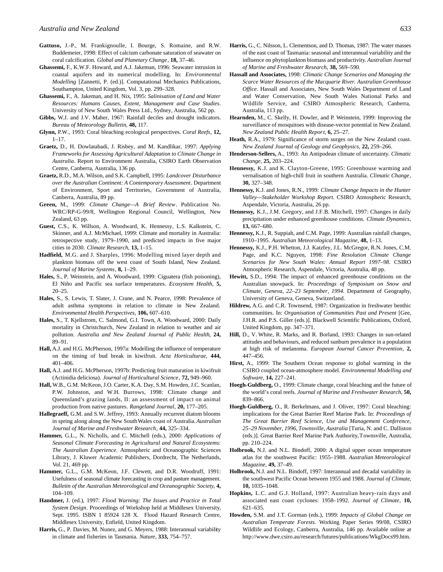- Gattuso, J.-P., M. Frankignoulle, I. Bourge, S. Romaine, and R.W. Buddemeier, 1998: Effect of calcium carbonate saturation of seawater on coral calcification. *Global and Planetary Change*, **18,** 37–46.
- **Ghassemi,** F., K.W.F. Howard, and A.J. Jakeman, 1996: Seawater intrusion in coastal aquifers and its numerical modelling. In: *Environmental Modelling* [Zannetti, P. (ed.)]. Computational Mechanics Publications, Southampton, United Kingdom, Vol. 3, pp. 299–328.
- **Ghassemi,** F., A. Jakeman, and H. Nix, 1995: *Salinisation of Land and Water Resources: Humans Causes, Extent, Management and Case Studies*. University of New South Wales Press Ltd., Sydney, Australia, 562 pp.
- **Gibbs,** W.J. and J.V. Maher, 1967: Rainfall deciles and drought indicators. *Bureau of Meteorology Bulletin*, **48,** 117.
- **Glynn,** P.W., 1993: Coral bleaching ecological perspectives. *Coral Reefs*, **12,** 1–17.
- **Graetz,** D., H. Dowlatabadi, J. Risbey, and M. Kandlikar, 1997: *Applying Frameworks for Assessing Agricultural Adaptation to Climate Change in Australia*. Report to Environment Australia, CSIRO Earth Observation Centre, Canberra, Australia, 136 pp.
- **Graetz,** R.D., M.A. Wilson, and S.K. Campbell, 1995: *Landcover Disturbance over the Australian Continent: A Contemporary Assessment*. Department of Environment, Sport and Territories, Government of Australia, Canberra, Australia, 89 pp.
- Green, M., 1999: *Climate Change—A Brief Review*. Publication No. WRC/RP-G-99/8, Wellington Regional Council, Wellington, New Zealand, 63 pp.
- **Guest,** C.S., K. Willson, A. Woodward, K. Hennessy, L.S. Kalkstein, C. Skinner, and A.J. McMichael, 1999: Climate and mortality in Australia: retrospective study, 1979–1990, and predicted impacts in five major cities in 2030. *Climate Research*, **13,** 1–15.
- Hadfield, M.G. and J. Sharples, 1996: Modelling mixed layer depth and plankton biomass off the west coast of South Island, New Zealand. *Journal of Marine Systems*, **8,** 1–29.
- **Hales,** S., P. Weinstein, and A. Woodward, 1999: Ciguatera (fish poisoning), El Niño and Pacific sea surface temperatures. *Ecosystem Health*, **5,** 20–25.
- **Hales,** S., S. Lewis, T. Slater, J. Crane, and N. Pearce, 1998: Prevalence of adult asthma symptoms in relation to climate in New Zealand. *Environmental Health Perspectives*, **106,** 607–610.
- **Hales,** S., T. Kjellstrom, C. Salmond, G.I. Town, A. Woodward, 2000: Daily mortality in Christchurch, New Zealand in relation to weather and air pollution. *Australia and New Zealand Journal of Public Health*, **24,** 89–91.
- Hall, A.J. and H.G. McPherson, 1997a: Modelling the influence of temperature on the timing of bud break in kiwifruit. *Acta Horticulturae*, **444,** 401–406.
- **Hall,** A.J. and H.G. McPherson, 1997b: Predicting fruit maturation in kiwifruit (Actinidia deliciosa). *Journal of Horticultural Science*, **72,** 949–960.
- **Hall,** W.B., G.M. McKeon, J.O. Carter, K.A. Day, S.M. Howden, J.C. Scanlan, P.W. Johnston, and W.H. Burrows, 1998: Climate change and Queensland's grazing lands, II: an assessment of impact on animal production from native pastures. *Rangeland Journal*, 20, 177-205.
- **Hallegraeff,** G.M. and S.W. Jeffrey, 1993: Annually recurrent diatom blooms in spring along along the New South Wales coast of Australia. *Australian Journal of Marine and Freshwater Research*, **44,** 325–334.
- **Hammer,** G.L., N. Nicholls, and C. Mitchell (eds.), 2000: *Applications of Seasonal Climate Forecasting in Agricultural and Natural Ecosystems: The Australian Experience.* Atmospheric and Oceanographic Sciences Library, J. Kluwer Academic Publishers, Dordrecht, The Netherlands, Vol. 21, 469 pp.
- **Hammer,** G.L., G.M. McKeon, J.F. Clewett, and D.R. Woodruff, 1991: Usefulness of seasonal climate forecasting in crop and pasture management. *Bulletin of the Australian Meteorological and Oceanographic Society*, **4,** 104–109.
- **Handmer,** J. (ed.), 1997: *Flood Warning: The Issues and Practice in Total System Design*. Proceedings of Workshop held at Middlesex University, Sept. 1995. ISBN 1 85924 128 X. Flood Hazard Research Centre, Middlesex University, Enfield, United Kingdom.
- Harris, G., P. Davies, M. Nunez, and G. Meyers, 1988: Interannual variability in climate and fisheries in Tasmania. *Nature*, **333,** 754–757.
- Harris, G., C. Nilsson, L. Clementson, and D. Thomas, 1987: The water masses of the east coast of Tasmania: seasonal and interannual variability and the influence on phytoplankton biomass and productivity. *Australian Journal of Marine and Freshwater Research*, **38,** 569–590.
- **Hassall and Associates,** 1998: *Climatic Change Scenarios and Managing the Scarce Water Resources of the Macquarie River. Australian Greenhouse Office*. Hassall and Associates, New South Wales Department of Land and Water Conservation, New South Wales National Parks and Wildlife Service, and CSIRO Atmospheric Research, Canberra, Australia, 113 pp.
- **Hearnden,** M., C. Skelly, H. Dowler, and P. Weinstein, 1999: Improving the surveillance of mosquitoes with disease-vector potential in New Zealand. *New Zealand Public Health Report*, **6,** 25–27.
- **Heath,** R.A., 1979: Significance of storm surges on the New Zealand coast. *New Zealand Journal of Geology and Geophysics*, **22,** 259–266.
- **Henderson-Sellers,** A., 1993: An Antipodean climate of uncertainty. *Climatic Change*, **25,** 203–224.
- Hennessy, K.J. and K. Clayton-Greene, 1995: Greenhouse warming and vernalisation of high-chill fruit in southern Australia. *Climatic Change*, **30,** 327–348.
- **Hennessy,** K.J. and Jones, R.N., 1999: *Climate Change Impacts in the Hunter Valley—Stakeholder Workshop Report*. CSIRO Atmospheric Research, Aspendale, Victoria, Australia, 26 pp.
- Hennessy, K.J., J.M. Gregory, and J.F.B. Mitchell, 1997: Changes in daily precipitation under enhanced greenhouse conditions. *Climate Dynamics*, **13,** 667–680.
- **Hennessy,** K.J., R. Suppiah, and C.M. Page, 1999: Australian rainfall changes, 1910–1995. *Australian Meteorological Magazine*, **48,** 1–13.
- **Hennessy,** K.J., P.H. Whetton, J.J. Katzfey, J.L. McGregor, R.N. Jones, C.M. Page, and K.C. Nguyen, 1998: *Fine Resolution Climate Change Scenarios for New South Wales: Annual Report 1997–98*. CSIRO Atmospheric Research, Aspendale, Victoria, Australia, 48 pp.
- **Hewitt,** S.D., 1994: The impact of enhanced greenhouse conditions on the Australian snowpack. In: *Proceedings of Symposium on Snow and Climate, Geneva, 22–23 September, 1994*. Department of Geography, University of Geneva, Geneva, Switzerland.
- **Hildrew,** A.G. and C.R. Townsend, 1987: Organization in freshwater benthic communities. In: *Organisation of Communities Past and Present* [Gee, J.H.R. and P.S. Giller (eds.)]. Blackwell Scientific Publications, Oxford, United Kingdom, pp. 347–371.
- **Hill,** D., V. White, R. Marks, and R. Borland, 1993: Changes in sun-related attitudes and behaviours, and reduced sunburn prevalence in a population at high risk of melanoma. *European Journal Cancer Prevention*, **2,** 447–456.
- **Hirst,** A., 1999: The Southern Ocean response to global warming in the CSIRO coupled ocean-atmosphere model. *Environmental Modelling and Software*, **14,** 227–241.
- **Hoegh-Guldberg,** O., 1999: Climate change, coral bleaching and the future of the world's coral reefs. *Journal of Marine and Freshwater Research*, **50,** 839–866.
- **Hoegh-Guldberg,** O., R. Berkelmans, and J. Oliver, 1997: Coral bleaching: implications for the Great Barrier Reef Marine Park. In: *Proceedings of The Great Barrier Reef Science, Use and Management Conference, 25–29 November, 1996, Townsville, Australia* [Turia, N. and C. Dalliston (eds.)]. Great Barrier Reef Marine Park Authority,Townsville, Australia, pp. 210–224.
- **Holbrook,** N.J. and N.L. Bindoff, 2000: A digital upper ocean temperature atlas for the southwest Pacific: 1955–1988. *Australian Meteorological Magazine*, **49,** 37–49.
- **Holbrook,** N.J. and N.L. Bindoff, 1997: Interannual and decadal variability in the southwest Pacific Ocean between 1955 and 1988. *Journal of Climate*, **10,** 1035–1048.
- Hopkins, L.C. and G.J. Holland, 1997: Australian heavy-rain days and associated east coast cyclones: 1958-1992. *Journal of Climate*, 10, 621–635.
- **Howden,** S.M. and J.T. Gorman (eds.), 1999: *Impacts of Global Change on Australian Temperate Forests.* Working Paper Series 99/08, CSIRO Wildlife and Ecology, Canberra, Australia, 146 pp. Available online at http://www.dwe.csiro.au/research/futures/publications/WkgDocs99.htm.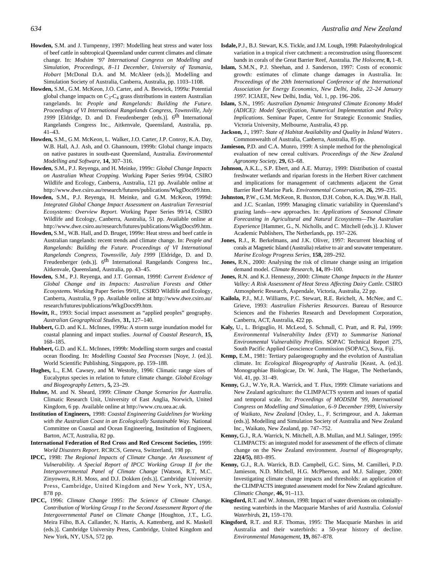- **Howden,** S.M. and J. Turnpenny, 1997: Modelling heat stress and water loss of beef cattle in subtropical Queensland under current climates and climate change. In: *Modsim '97 International Congress on Modelling and* Simulation, Proceedings, 8-11 December, University of Tasmania, *Hobart* [McDonal D.A. and M. McAleer (eds.)]. Modelling and Simulation Society of Australia, Canberra, Australia, pp. 1103–1108.
- **Howden,** S.M., G.M. McKeon, J.O. Carter, and A. Beswick, 1999a: Potential global change impacts on  $C_3$ - $C_4$  grass distributions in eastern Australian rangelands. In: *People and Rangelands: Building the Future . Proceedings of VI International Rangelands Congress, Townsville, July 1999* [Eldridge, D. and D. Freudenberger (eds.)]. 6th International Rangelands Congress Inc., Aitkenvale, Queensland, Australia, pp.  $41 - 43$ .
- **Howden,** S.M., G.M. McKeon, L. Walker, J.O. Carter, J.P. Conroy, K.A. Day, W.B. Hall, A.J. Ash, and O. Ghannoum, 1999b: Global change impacts on native pastures in south-east Queensland, Australia. *Environmental Modelling and Software*, **14,** 307–316.
- **Howden,** S.M., P.J. Reyenga, and H. Meinke, 1999c: *Global Change Impacts on Australian Wheat Cropping.* Working Paper Series 99/04, CSIRO Wildlife and Ecology, Canberra, Australia, 121 pp. Available online at http://www.dwe.csiro.au/research/futures/publications/WkgDocs99.htm.
- Howden, S.M., P.J. Reyenga, H. Meinke, and G.M. McKeon, 1999d: *Integrated Global Change Impact Assessment on Australian Terrestrial Ecosystems: Overview Report.* Working Paper Series 99/14, CSIRO Wildlife and Ecology, Canberra, Australia, 51 pp. Available online at http://www.dwe.csiro.au/research/futures/publications/WkgDocs99.htm.
- **Howden,** S.M., W.B. Hall, and D. Bruget, 1999e: Heat stress and beef cattle in Australian rangelands: recent trends and climate change. In: *People and Rangelands: Building the Future. Proceedings of VI International Rangelands Congress, Townsville, July 1999* [Eldridge, D. and D. Freudenberger (eds.)]. 6<sup>th</sup> International Rangelands Congress Inc., Aitkenvale, Queensland, Australia, pp. 43–45.
- **Howden,** S.M., P.J. Reyenga, and J.T. Gorman, 1999f: *Current Evidence of Global Change and its Impacts: Australian Forests and Other Ecosystems*. Working Paper Series 99/01, CSIRO Wildlife and Ecology, Canberra, Australia, 9 pp. Available online at http://www.dwe.csiro.au/ research/futures/publications/WkgDocs99.htm.
- **Howitt,** R., 1993: Social impact assessment as "applied peoples" geography*. Australian Geographical Studies*, **31,** 127–140.
- **Hubbert,** G.D. and K.L. McInnes, 1999a: A storm surge inundation model for coastal planning and impact studies. *Journal of Coastal Research*, **15,** 168–185.
- **Hubbert,** G.D. and K.L. McInnes, 1999b: Modelling storm surges and coastal ocean flooding. In: *Modelling Coastal Sea Processes* [Noye, J. (ed.)]. World Scientific Publishing, Singapore, pp. 159–188.
- **Hughes,** L., E.M. Cawsey, and M. Westoby, 1996: Climatic range sizes of Eucalyptus species in relation to future climate change. *Global Ecology and Biogeography Letters*, **5,** 23–29.
- **Hulme,** M. and N. Sheard, 1999: *Climate Change Scenarios for Australia*. Climatic Research Unit, University of East Anglia, Norwich, United Kingdom, 6 pp. Available online at http://www.cru.uea.ac.uk.
- **Institution of Engineers,** 1998: *Coastal Engineering Guidelines for Working with the Australian Coast in an Ecologically Sustainable Way*. National Committee on Coastal and Ocean Engineering, Institution of Engineers, Barton, ACT, Australia, 82 pp.
- **International Federation of Red Cross and Red Crescent Societies,** 1999: *World Disasters Report*. RCRCS, Geneva, Switzerland, 198 pp.
- **IPCC,** 1998: *The Regional Impacts of Climate Change. An Assessment of Vulnerability. A Special Report of IPCC Working Group II for the Intergovernmental Panel of Climate Change* [Watson, R.T, M.C. Zinyowera, R.H. Moss, and D.J. Dokken (eds.)]. Cambridge University Press, Cambridge, United Kingdom and New York, NY, USA, 878 pp.
- **IPCC,** 1996: *Climate Change 1995: The Science of Climate Change. Contribution of Working Group I to the Second Assessment Report of the Intergovernmental Panel on Climate Change* [Houghton, J.T., L.G. Meira Filho, B.A. Callander, N. Harris, A. Kattenberg, and K. Maskell (eds.)]. Cambridge University Press, Cambridge, United Kingdom and New York, NY, USA, 572 pp.
- **Isdale,** P.J., B.J. Stewart, K.S. Tickle, and J.M. Lough, 1998: Palaeohydrological variation in a tropical river catchment: a reconstruction using fluorescent bands in corals of the Great Barrier Reef, Australia. *The Holocene*, 8, 1–8.
- **Islam,** S.M.N., P.J. Sheehan, and J. Sanderson, 1997: Costs of economic growth: estimates of climate change damages in Australia. In: *Proceedings of the 20th International Conference of the International Association for Energy Economics, New Delhi, India, 22–24 January 1997.* ICIAEE, New Delhi, India, Vol. 1, pp. 196–206.
- **Islam,** S.N., 1995: *Australian Dynamic Integrated Climate Economy Model (ADICE): Model Specification, Numerical Implementation and Policy Implications*. Seminar Paper, Centre for Strategic Economic Studies, Victoria University, Melbourne, Australia, 43 pp.
- **Jackson,** J., 1997: *State of Habitat Availability and Quality in Inland Waters*. Commonwealth of Australia, Canberra, Australia, 85 pp.
- **Jamieson,** P.D. and C.A. Munro, 1999: A simple method for the phenological evaluation of new cereal cultivars. *Proceedings of the New Zealand Agronomy Society*, **29,** 63–68.
- **Johnson,** A.K.L., S.P. Ebert, and A.E. Murray, 1999: Distribution of coastal freshwater wetlands and riparian forests in the Herbert River catchment and implications for management of catchments adjacent the Great Barrier Reef Marine Park. *Environmental Conservation*, **26,** 299–235.
- **Johnston,** P.W., G.M. McKeon, R. Buxton, D.H. Cobon, K.A. Day,W.B. Hall, and J.C. Scanlan, 1999: Managing climatic variability in Queensland's grazing lands—new approaches. In: *Applications of Seasonal Climate Forecasting in Agricultural and Natural Ecosystems—The Australian Experience* [Hammer, G., N. Nicholls, and C. Mitchell (eds.)]. J. Kluwer Academic Publishers, The Netherlands, pp. 197–226.
- **Jones,** R.J., R. Berkelmans, and J.K. Oliver, 1997: Recurrent bleaching of corals at Magnetic Island (Australia) relative to air and seawater temperature. *Marine Ecology Progress Series*, **158,** 289–292.
- **Jones,** R.N., 2000: Analysing the risk of climate change using an irrigation demand model. *Climate Research*, **14,** 89–100.
- **Jones,** R.N. and K.J. Hennessy, 2000: *Climate Change Impacts in the Hunter Valley: A Risk Assessment of Heat Stress Affecting Dairy Cattle.* CSIRO Atmospheric Research, Aspendale, Victoria, Australia, 22 pp.
- **Kailola,** P.J., M.J. Williams, P.C. Stewart, R.E. Reichelt, A. McNee, and C. Grieve, 1993: *Australian Fisheries Resources*. Bureau of Resource Sciences and the Fisheries Research and Development Corporation, Canberra, ACT, Australia, 422 pp.
- **Kaly,** U., L. Briguglio, H. McLeod, S. Schmall, C. Pratt, and R. Pal, 1999: *Environmental Vulnerability Index (EVI) to Summarise National Environmental Vulnerability Profiles*. SOPAC Technical Report 275, South Pacific Applied Geoscience Commission (SOPAC), Suva, Fiji.
- **Kemp,** E.M., 1981: Tertiary palaeogeography and the evolution of Australian climate. In: *Ecological Biogeography of Australia* [Keast, A. (ed.)]. Monographiae Biologicae, Dr. W. Junk, The Hague, The Netherlands, Vol. 41, pp. 31–49.
- **Kenny,** G.J., W.Ye, R.A. Warrick, and T. Flux, 1999: Climate variations and New Zealand agriculture: the CLIMPACTS system and issues of spatial and temporal scale. In: *Proceedings of MODSIM '99, International Congress on Modelling and Simulation*, *6–9 December 1999, University of Waikato, New Zealand* [Oxley, L., F. Scrimgeour, and A. Jakeman (eds.)]. Modelling and Simulation Society of Australia and New Zealand Inc., Waikato, New Zealand, pp. 747–752.
- **Kenny,** G.J., R.A. Warrick, N. Mitchell, A.B. Mullan, and M.J. Salinger, 1995: CLIMPACTS: an integrated model for assessment of the effects of climate change on the New Zealand environment. *Journal of Biogeography*, **22(4/5),** 883–895.
- **Kenny,** G.J., R.A. Warrick, B.D. Campbell, G.C. Sims, M. Camilleri, P.D. Jamieson, N.D. Mitchell, H.G. McPherson, and M.J. Salinger, 2000: Investigating climate change impacts and thresholds: an application of the CLIMPACTS integrated assessment model for New Zealand agriculture*. Climatic Change*, **46,** 91–113.
- Kingsford, R.T. and W. Johnson, 1998: Impact of water diversions on coloniallynesting waterbirds in the Macquarie Marshes of arid Australia. *Colonial Waterbirds*, **21,** 159–170.
- **Kingsford,** R.T. and R.F. Thomas, 1995: The Macquarie Marshes in arid Australia and their waterbirds: a 50-year history of decline. *Environmental Management*, **19,** 867–878.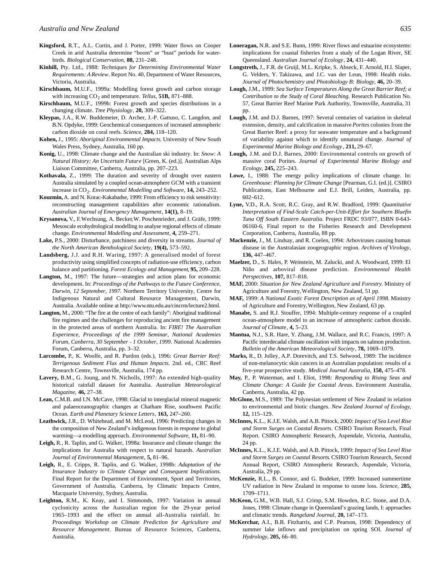- **Kingsford,** R.T., A.L. Curtin, and J. Porter, 1999: Water flows on Cooper Creek in arid Australia determine "boom" or "bust" periods for waterbirds. *Biological Conservation*, **88,** 231–248.
- **Kinhill,** Pty. Ltd., 1988: *Techniques for Determining Environmental Water Requirements: A Review*. Report No. 40, Department of Water Resources, Victoria, Australia.
- **Kirschbaum,** M.U.F., 1999a: Modelling forest growth and carbon storage with increasing CO<sub>2</sub> and temperature. *Tellus*, **51B**, 871–888.
- **Kirschbaum,** M.U.F., 1999b: Forest growth and species distributions in a changing climate. *Tree Physiology*, **20,** 309–322.
- **Kleypas,** J.A., R.W. Buddemeier, D. Archer, J.-P. Gattuso, C. Langdon, and B.N. Opdyke, 1999: Geochemical consequences of increased atmospheric carbon dioxide on coral reefs. *Science*, **284,** 118–120.
- **Kohen,** J., 1995: *Aboriginal Environmental Impacts*. University of New South Wales Press, Sydney, Australia, 160 pp.
- **Konig,** U., 1998: Climate change and the Australian ski industry. In: *Snow: A Natural History; An Uncertain Future* [Green, K. (ed.)]. Australian Alps Liaison Committee, Canberra, Australia, pp. 207–223.
- **Kothavala,** Z., 1999: The duration and severity of drought over eastern Australia simulated by a coupled ocean-atmosphere GCM with a transient increase in CO<sub>2</sub>. *Environmental Modelling and Software*, **14,** 243–252.
- Kouzmin, A. and N. Korac-Kakabadse, 1999: From efficiency to risk sensitivity: reconstructing management capabilities after economic rationalism. *Australian Journal of Emergency Management*, **14(1),** 8–19.
- **Krysanova,** V., F.Wechsung, A. Becker,W. Poschenrieder, and J. Gräfe, 1999: Mesoscale ecohydrological modelling to analyse regional effects of climate change. *Environmental Modelling and Assessment*, **4,** 259–271.
- **Lake,** P.S., 2000: Disturbance, patchiness and diversity in streams. *Journal of the North American Benthological Society*, **19(4),** 573–592.
- Landsberg, J.J. and R.H. Waring, 1997: A generalised model of forest productivity using simplified concepts of radiation-use efficiency, carbon balance and partitioning. *Forest Ecology and Management*, **95,** 209–228.
- **Langton,** M., 1997: The future—strategies and action plans for economic development. In: *Proceedings of the Pathways to the Future Conference, Darwin, 12 September, 1997*. Northern Territory University, Centre for Indigenous Natural and Cultural Resource Management, Darwin, Australia. Available online at http://www.ntu.edu.au/cincrm/lecture2.html.
- Langton, M., 2000: "The fire at the centre of each family": Aboriginal traditional fire regimes and the challenges for reproducing ancient fire management in the protected areas of northern Australia. In: *FIRE! The Australian Experience, Proceedings of the 1999 Seminar, National Academies Forum, Canberra, 30 September - 1 October, 1999*. National Academies Forum, Canberra, Australia, pp. 3–32.
- **Larcombe,** P., K. Woolfe, and R. Purdon (eds.), 1996: *Great Barrier Reef: Terrigenous Sediment Flux and Human Impacts*. 2nd. ed., CRC Reef Research Centre, Townsville, Australia, 174 pp.
- Lavery, B.M., G. Joung, and N. Nicholls, 1997: An extended high-quality historical rainfall dataset for Australia. *Australian Meteorological Magazine*, **46,** 27–38.
- Lean, C.M.B. and I.N. McCave, 1998: Glacial to interglacial mineral magnetic and palaeoceanographic changes at Chatham Rise, southwest Pacific Ocean. *Earth and Planetary Science Letters*, **163,** 247–260.
- **Leathwick,** J.R., D. Whitehead, and M. McLeod, 1996: Predicting changes in the composition of New Zealand's indigenous forests in response to global warming—a modelling approach. *Environmental Software*, **11,** 81–90.
- **Leigh,** R., R. Taplin, and G. Walker, 1998a: Insurance and climate change: the implications for Australia with respect to natural hazards. *Australian Journal of Environmental Management*, **5,** 81–96.
- **Leigh,** R., E. Cripps, R. Taplin, and G. Walker, 1998b: *Adaptation of the Insurance Industry to Climate Change and Consequent Implications.* Final Report for the Department of Environment, Sport and Territories, Government of Australia, Canberra, by Climatic Impacts Centre, Macquarie University, Sydney, Australia.
- **Leighton,** R.M., K. Keay, and I. Simmonds, 1997: Variation in annual cyclonicity across the Australian region for the 29-year period 1965–1993 and the effect on annual all-Australia rainfall. In: *Proceedings Workshop on Climate Prediction for Agriculture and Resource Management*. Bureau of Resource Sciences, Canberra, Australia.
- **Longstreth,** J., F.R. de Gruijl, M.L. Kripke, S. Abseck, F. Arnold, H.I. Slaper, G. Velders, Y. Takizawa, and J.C. van der Leun, 1998: Health risks. *Journal of Photochemistry and Photobiology B: Biology*, **46,** 20–39.
- **Lough,** J.M., 1999: *Sea Surface Temperatures Along the Great Barrier Reef; a Contribution to the Study of Coral Bleaching*. Research Publication No. 57, Great Barrier Reef Marine Park Authority, Townsville, Australia, 31 pp.
- **Lough,** J.M. and D.J. Barnes, 1997: Several centuries of variation in skeletal extension, density, and calcification in massive *Porites* colonies from the Great Barrier Reef: a proxy for seawater temperature and a background of variability against which to identify unnatural change. *Journal of Experimental Marine Biology and Ecology*, **211,** 29–67.
- Lough, J.M. and D.J. Barnes, 2000: Environmental controls on growth of massive coral Porites. Journal of Experimental Marine Biology and *Ecology*, **245,** 225–243.
- **Lowe,** I., 1988: The energy policy implications of climate change. In: *Greenhouse: Planning for Climate Change* [Pearman, G.I. (ed.)]. CSIRO Publications, East Melbourne and E.J. Brill, Leiden, Australia, pp. 602–612.
- **Lyne,** V.D., R.A. Scott, R.C. Gray, and R.W. Bradford, 1999: *Quantitative Interpretation of Find-Scale Catch-per-Unit-Effort for Southern Bluefin Tuna Off South Eastern Australia*. Project FRDC 93/077, ISBN 0-643- 06160-6, Final report to the Fisheries Research and Development Corporation, Canberra, Australia, 88 pp.
- **Mackenzie,** J., M. Lindsay, and R. Coelen, 1994: Arboviruses causing human disease in the Australasian zoogeographic region. *Archives of Virology*, **136,** 447–467.
- **Maelzer,** D., S. Hales, P. Weinstein, M. Zalucki, and A. Woodward, 1999: El Niño and arboviral disease prediction. *Environmental Health Perspectives*, **107,** 817–818.
- **MAF,** 2000: *Situation for New Zealand Agriculture and Forestry*. Ministry of Agriculture and Forestry, Wellington, New Zealand, 51 pp.
- **MAF,** 1999: *A National Exotic Forest Description as of April 1998*. Ministry of Agriculture and Forestry, Wellington, New Zealand, 63 pp.
- **Manabe,** S. and R.J. Stouffer, 1994: Multiple-century response of a coupled ocean-atmosphere model to an increase of atmospheric carbon dioxide. *Journal of Climate*, **4,** 5–23.
- **Mantua,** N.J., S.R. Hare, Y. Zhang, J.M. Wallace, and R.C. Francis, 1997: A Pacific interdecadal climate oscillation with impacts on salmon production. *Bulletin of the American Meteorological Society*, **78,** 1069–1079.
- **Marks,** R., D. Jolley, A.P. Dorevitch, and T.S. Selwood, 1989: The incidence of non-melanocytic skin cancers in an Australian population: results of a five-year prospective study. *Medical Journal Australia*, **150,** 475–478.
- **May,** P., P. Waterman, and I. Eliot, 1998*: Responding to Rising Seas and Climate Change: A Guide for Coastal Areas*. Environment Australia, Canberra, Australia, 42 pp.
- **McGlone,** M.S., 1989: The Polynesian settlement of New Zealand in relation to environmental and biotic changes. *New Zealand Journal of Ecology*, **12,** 115–129.
- **McInnes,** K.L., K.J.E. Walsh, and A.B. Pittock, 2000: *Impact of Sea Level Rise and Storm Surges on Coastal Resorts*. CSIRO Tourism Research, Final Report. CSIRO Atmospheric Research, Aspendale, Victoria, Australia, 24 pp.
- **McInnes,** K.L., K.J.E. Walsh, and A.B. Pittock, 1999: *Impact of Sea Level Rise and Storm Surges on Coastal Resorts*. CSIRO Tourism Research, Second Annual Report, CSIRO Atmospheric Research, Aspendale, Victoria, Australia, 29 pp.
- **McKenzie,** R.L., B. Connor, and G. Bodeker, 1999: Increased summertime UV radiation in New Zealand in response to ozone loss. *Science*, **285,** 1709–1711.
- **McKeon,** G.M., W.B. Hall, S.J. Crimp, S.M. Howden, R.C. Stone, and D.A. Jones, 1998: Climate change in Queensland's grazing lands, I: approaches and climatic trends. *Rangeland Journal*, **20,** 147–173.
- **McKerchar,** A.I., B.B. Fitzharris, and C.P. Pearson, 1998: Dependency of summer lake inflows and precipitation on spring SOI. *Journal of Hydrology*, **205,** 66–80.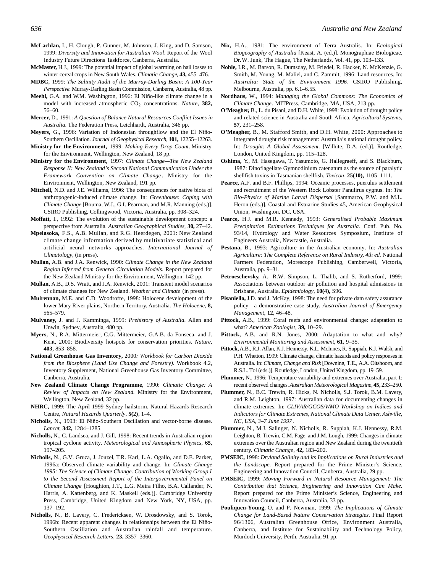- **McLachlan,** I., H. Clough, P. Gunner, M. Johnson, J. King, and D. Samson, 1999: *Diversity and Innovation for Australian Wool*. Report of the Wool Industry Future Directions Taskforce, Canberra, Australia.
- McMaster, H.J., 1999: The potential impact of global warming on hail losses to winter cereal crops in New South Wales. *Climatic Change*, **43**, 455–476.
- **MDBC,** 1999: *The Salinity Audit of the Murray-Darling Basin: A 100-Year Perspective.* Murray-Darling Basin Commission, Canberra, Australia, 48 pp.
- **Meehl,** G.A. and W.M. Washington, 1996: El Niño-like climate change in a model with increased atmospheric CO<sub>2</sub> concentrations. Nature, 382, 56–60.
- **Mercer,** D., 1991: *A Question of Balance Natural Resources Conflict Issues in Australia*. The Federation Press, Leichhardt, Australia, 346 pp.
- **Meyers,** G., 1996: Variation of Indonesian throughflow and the El Niño-Southern Oscillation. *Journal of Geophysical Research*, **101**, 12255-12263.
- **Ministry for the Environment,** 1999: *Making Every Drop Count*. Ministry for the Environment, Wellington, New Zealand, 18 pp.
- **Ministry for the Environment,** 1997: *Climate Change—The New Zealand Response II: New Zealand's Second National Communication Under the Framework Convention on Climate Change* . Ministry for the Environment, Wellington, New Zealand, 191 pp.
- **Mitchell,** N.D. and J.E. Williams, 1996: The consequences for native biota of anthropogenic-induced climate change. In: *Greenhouse: Coping with Climate Change* [Bouma, W.J., G.I. Pearman, and M.R. Manning (eds.)]. CSIRO Publishing, Collingwood, Victoria, Australia, pp. 308–324.
- **Moffatt,** I., 1992: The evolution of the sustainable development concept: a perspective from Australia. *Australian Geographical Studies*, **30,** 27–42.
- Mpelasoka, F.S., A.B. Mullan, and R.G. Heerdegen, 2001: New Zealand climate change information derived by multivariate statistical and artificial neural networks approaches. *International Journal of Climatology*, (in press).
- **Mullan,** A.B. and J.A. Renwick, 1990: *Climate Change in the New Zealand Region Inferred from General Circulation Models*. Report prepared for the New Zealand Ministry for the Environment, Wellington, 142 pp.
- **Mullan**, A.B., D.S. Wratt, and J.A. Renwick, 2001: Transient model scenarios of climate changes for New Zealand. *Weather and Climate* (in press).
- **Mulrennan,** M.E. and C.D. Woodroffe, 1998: Holocene development of the lower Mary River plains, Northern Territory, Australia. *The Holocene*, **8,** 565–579.
- **Mulvaney,** J. and J. Kamminga, 1999: *Prehistory of Australia*. Allen and Unwin, Sydney, Australia, 480 pp.
- **Myers,** N., R.A. Mittermeier, C.G. Mittermeier, G.A.B. da Fonseca, and J. Kent, 2000: Biodiversity hotspots for conservation priorities. *Nature*, **403,** 853–858.
- **National Greenhouse Gas Inventory,** 2000*: Workbook for Carbon Dioxide from the Biosphere (Land Use Change and Forestry).* Workbook 4.2, Inventory Supplement, National Greenhouse Gas Inventory Committee, Canberra, Australia.
- **New Zealand Climate Change Programme,** 1990: *Climatic Change: A Review of Impacts on New Zealand.* Ministry for the Environment, Wellington, New Zealand, 32 pp.
- **NHRC,** 1999: The April 1999 Sydney hailstorm. Natural Hazards Research Centre, *Natural Hazards Quarterly*, **5(2)**, 1–4.
- **Nicholls,** N., 1993: El Niño-Southern Oscillation and vector-borne disease. *Lancet*, **342,** 1284–1285.
- **Nicholls,** N., C. Landsea, and J. Gill, 1998: Recent trends in Australian region tropical cyclone activity. *Meteorological and Atmospheric Physics*, **65,** 197–205.
- **Nicholls,** N., G.V. Gruza, J. Jouzel, T.R. Karl, L.A. Ogallo, and D.E. Parker, 1996a: Observed climate variability and change. In: *Climate Change 1995: The Science of Climate Change. Contribution of Working Group I to the Second Assessment Report of the Intergovernmental Panel on Climate Change* [Houghton, J.T., L.G. Meira Filho, B.A. Callander, N. Harris, A. Kattenberg, and K. Maskell (eds.)]. Cambridge University Press, Cambridge, United Kingdom and New York, NY, USA, pp. 137–192.
- **Nicholls,** N., B. Lavery, C. Fredericksen, W. Drosdowsky, and S. Torok, 1996b: Recent apparent changes in relationships between the El Niño-Southern Oscillation and Australian rainfall and temperature. *Geophysical Research Letters*, **23,** 3357–3360.
- Nix, H.A., 1981: The environment of Terra Australis. In: *Ecological Biogeography of Australia* [Keast, A. (ed.)]. Monographiae Biologicae, Dr. W. Junk, The Hague, The Netherlands, Vol. 41, pp. 103–133.
- **Noble,** I.R., M. Barson, R. Dumsday, M. Friedel, R. Hacker, N. McKenzie, G. Smith, M. Young, M. Maliel, and C. Zammit, 1996: Land resources. In: *Australia: State of the Environment 1996*. CSIRO Publishing, Melbourne, Australia, pp. 6.1–6.55.
- **Nordhaus,** W., 1994: *Managing the Global Commons: The Economics of Climate Change*. MITPress, Cambridge, MA, USA, 213 pp.
- **O'Meagher, B., L. du Pisani, and D.H. White, 1998: Evolution of drought policy** and related science in Australia and South Africa. *Agricultural Systems*, **57,** 231–258.
- **O'Meagher, B., M. Stafford Smith, and D.H. White, 2000: Approaches to** integrated drought risk management: Australia's national drought policy. In: *Drought: A Global Assessment.* [Wilhite, D.A. (ed.)]. Routledge, London, United Kingdom, pp. 115–128.
- **Oshima,** Y., M. Hasegawa, T. Yasumoto, G. Hallegraeff, and S. Blackburn, 1987: Dinoflagellate Gymnodinium catenatum as the source of paralytic shellfish toxins in Tasmanian shellfish. *Toxicon*, **25(10),** 1105–1111.
- **Pearce,** A.F. and B.F. Phillips, 1994: Oceanic processes, puerulus settlement and recruitment of the Western Rock Lobster Panulirus cygnus. In: *The Bio-Physics of Marine Larval Dispersal* [Sammarco, P.W. and M.L. Heron (eds.)]. Coastal and Estuarine Studies 45, American Geophysical Union, Washington, DC, USA.
- **Pearce,** H.J. and M.R. Kennedy, 1993: *Generalised Probable Maximum Precipitation Estimations Techniques for Australia*. Conf. Pub. No. 93/14, Hydrology and Water Resources Symposium, Institute of Engineers Australia, Newcastle, Australia.
- **Pestana,** B., 1993: Agriculture in the Australian economy. In: *Australian Agriculture: The Complete Reference on Rural Industry, 4th ed.* National Farmers Federation, Morescope Publishing, Camberwell, Victoria, Australia, pp. 9–31.
- **Petroeschevsky,** A., R.W. Simpson, L. Thalib, and S. Rutherford, 1999: Associations between outdoor air pollution and hospital admissions in Brisbane, Australia. *Epidemiology*, **10(4),** S96.
- Pisaniello, J.D. and J. McKay, 1998: The need for private dam safety assurance policy—a demonstrative case study. *Australian Journal of Emergency Management*, **12,** 46–48.
- **Pittock,** A.B., 1999: Coral reefs and environmental change: adaptation to what? *American Zoologist*, **39,** 10–29.
- Pittock, A.B. and R.N. Jones, 2000: Adaptation to what and why? *Environmental Monitoring and Assessment*, **61,** 9–35.
- Pittock, A.B., R.J. Allan, K.J. Hennessy, K.L. McInnes, R. Suppiah, K.J. Walsh, and P.H. Whetton, 1999: Climate change, climatic hazards and policy responses in Australia. In: *Climate, Change and Risk* [Downing, T.E., A.A. Oltshoorn, and R.S.L. Tol (eds.)]. Routledge, London, United Kingdom, pp. 19–59.
- **Plummer,** N., 1996: Temperature variability and extremes over Australia, part 1: recent observed changes. *Australian Meteorological Magazine*, **45**, 233-250.
- **Plummer,** N., B.C. Trewin, R. Hicks, N. Nicholls, S.J. Torok, B.M. Lavery, and R.M. Leighton, 1997: Australian data for documenting changes in climate extremes. In: *CLIVAR/GCOS/WMO Workshop on Indices and Indicators for Climate Extremes, National Climate Data Center, Ashville, NC, USA, 3–7 June 1997*.
- **Plummer,** N., M.J. Salinger, N. Nicholls, R. Suppiah, K.J. Hennessy, R.M. Leighton, B. Trewin, C.M. Page, and J.M. Lough, 1999: Changes in climate extremes over the Australian region and New Zealand during the twentieth century. *Climatic Change*, **42,** 183–202.
- **PMSEIC,** 1998: *Dryland Salinity and its Implications on Rural Industries and the Landscape*. Report prepared for the Prime Minister's Science, Engineering and Innovation Council, Canberra, Australia, 29 pp.
- **PMSEIC,** 1999: *Moving Forward in Natural Resource Management: The Contribution that Science, Engineering and Innovation Can Make*. Report prepared for the Prime Minister's Science, Engineering and Innovation Council, Canberra, Australia, 33 pp.
- **Pouliquen-Young,** O. and P. Newman, 1999: *The Implications of Climate Change for Land-Based Nature Conservation Strategies*. Final Report 96/1306, Australian Greenhouse Office, Environment Australia, Canberra, and Institute for Sustainability and Technology Policy, Murdoch University, Perth, Australia, 91 pp.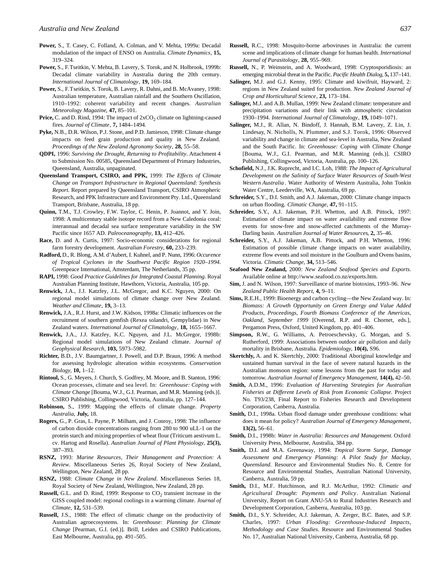- **Power,** S., T. Casey, C. Folland, A. Colman, and V. Mehta, 1999a: Decadal modulation of the impact of ENSO on Australia. *Climate Dynamics*, **15,** 319–324.
- **Power,** S., F.Tseitkin, V. Mehta, B. Lavery, S. Torok, and N. Holbrook, 1999b: Decadal climate variability in Australia during the 20th century. *International Journal of Climatology*, **19,** 169–184.
- **Power,** S., F.Tseitkin, S. Torok, B. Lavery, R. Dahni, and B. McAvaney, 1998: Australian temperature, Australian rainfall and the Southern Oscillation, 1910–1992: coherent variability and recent changes. Australian *Meteorology Magazine*, **47,** 85–101.
- **Price,** C. and D. Rind, 1994: The impact of  $2xCO_2$  climate on lightning-caused fires*. Journal of Climate*, **7,** 1484–1494.
- **Pyke,** N.B., D.R. Wilson, P.J. Stone, and P.D. Jamieson, 1998: Climate change impacts on feed grain production and quality in New Zealand. *Proceedings of the New Zealand Agronomy Society*, **28,** 55–58.
- **QDPI,** 1996: *Surviving the Drought, Returning to Profitability*. Attachment 4 to Submission No. 00585, Queensland Department of Primary Industries, Queensland, Australia, unpaginated.
- **Queensland Transport, CSIRO, and PPK,** 1999: *The Effects of Climate Change on Transport Infrastructure in Regional Queensland: Synthesis Report.* Report prepared by Queensland Transport, CSIRO Atmospheric Research, and PPK Infrastructure and Environment Pty. Ltd., Queensland Transport, Brisbane, Australia, 18 pp.
- **Quinn,** T.M., T.J. Crowley, F.W. Taylor, C. Henin, P. Joannot, and Y. Join, 1998: A multicentury stable isotope record from a New Caledonia coral: interannual and decadal sea surface temperature variability in the SW Pacific since 1657 AD. *Paleoceanography*, **13,** 412–426.
- **Race,** D. and A. Curtis, 1997: Socio-economic considerations for regional farm forestry development. *Australian Forestry*, **60,** 233–239.
- Radford, D., R. Blong, A.M. d'Aubert, I. Kuhnel, and P. Nunn, 1996: Occurence *of Tropical Cyclones in the Southwest Pacific Region 1920–1994*. Greenpeace International, Amsterdam, The Netherlands, 35 pp.
- **R A P I ,** 1998: *Good Practice Guidelines for Integrated Coastal Planning*. Royal Australian Planning Institute, Hawthorn, Victoria, Australia, 105 pp.
- **Renwick,** J.A., J.J. Katzfey, J.L. McGregor, and K.C. Nguyen, 2000: On regional model simulations of climate change over New Zealand. *Weather and Climate*, **19,** 3–13.
- **Renwick,** J.A., R.J. Hurst, and J.W. Kidson, 1998a: Climatic influences on the recruitment of southern gemfish (Rexea solandri, Gempylidae) in New Zealand waters. *International Journal of Climatology*, **18,** 1655–1667.
- **Renwick,** J.A., J.J. Katzfey, K.C. Nguyen, and J.L. McGregor, 1998b: Regional model simulations of New Zealand climate. *Journal of Geophysical Research*, **103,** 5973–5982.
- **Richter,** B.D., J.V. Baumgartner, J. Powell, and D.P. Braun, 1996: A method for assessing hydrologic alteration within ecosystems. *Conservation Biology*, **10,** 1–12.
- Rintoul, S., G. Meyers, J. Church, S. Godfrey, M. Moore, and B. Stanton, 1996: Ocean processes, climate and sea level. In: *Greenhouse: Coping with Climate Change* [Bouma, W.J., G.I. Pearman, and M.R. Manning (eds.)]. CSIRO Publishing, Collingwood, Victoria, Australia, pp. 127–144.
- **Robinson,** S., 1999: Mapping the effects of climate change. *Property Australia*, **July,** 18.
- **Rogers,** G., P. Gras, L. Payne, P. Milham, and J. Conroy, 1998: The influence of carbon dioxide concentrations ranging from 280 to 900 uLL-1 on the protein starch and mixing properties of wheat flour (Triticum aestivum L. cv. Hartog and Rosella). *Australian Journal of Plant Physiology*, **25(3),** 387–393.
- **RSNZ,** 1993: *Marine Resources, Their Management and Protection: A Review*. Miscellaneous Series 26, Royal Society of New Zealand, Wellington, New Zealand, 28 pp.
- **RSNZ,** 1988: *Climate Change in New Zealand*. Miscellaneous Series 18, Royal Society of New Zealand, Wellington, New Zealand, 28 pp.
- **Russell,** G.L. and D. Rind, 1999: Response to  $CO<sub>2</sub>$  transient increase in the GISS coupled model: regional coolings in a warming climate. *Journal of Climate*, **12,** 531–539.
- **Russell,** J.S., 1988: The effect of climatic change on the productivity of Australian agroecosystems. In: *Greenhouse: Planning for Climate Change* [Pearman, G.I. (ed.)]. Brill, Leiden and CSIRO Publications, East Melbourne, Australia, pp. 491–505.
- **Russell,** R.C., 1998: Mosquito-borne arboviruses in Australia: the current scene and implications of climate change for human health. *International Journal of Parasitology*, **28,** 955–969.
- **Russell,** N., P. Weinstein, and A. Woodward, 1998: Cryptosporidiosis: an emerging microbial threat in the Pacific. *Pacific Health Dialog*, **5**, 137–141.
- **Salinger,** M.J. and G.J. Kenny, 1995: Climate and kiwifruit, Hayward, 2: regions in New Zealand suited for production. *New Zealand Journal of Crop and Horticultural Science*, **23,** 173–184.
- **Salinger,** M.J. and A.B. Mullan, 1999: New Zealand climate: temperature and precipitation variations and their link with atmospheric circulation 1930–1994. *International Journal of Climatology*, **19,** 1049–1071.
- **Salinger,** M.J., R. Allan, N. Bindoff, J. Hannah, B.M. Lavery, Z. Lin, J. Lindesay, N. Nicholls, N. Plummer, and S.J. Torok, 1996: Observed variability and change in climate and sea-level in Australia, New Zealand and the South Pacific. In: *Greenhouse: Coping with Climate Change* [Bouma, W.J., G.I. Pearman, and M.R. Manning (eds.)]. CSIRO Publishing, Collingwood, Victoria, Australia, pp. 100–126.
- **Schofield,** N.J., J.K. Ruprecht, and I.C. Loh, 1988: *The Impact of Agricultural Development on the Salinity of Surface Water Resources of South-West Western Australia*. Water Authority of Western Australia, John Tonkin Water Centre, Leederville, WA, Australia, 69 pp.
- **Schreider,** S.Y., D.I. Smith, and A.J. Jakeman, 2000: Climate change impacts on urban flooding. *Climatic Change*, **47,** 91–115.
- Schreider, S.Y., A.J. Jakeman, P.H. Whetton, and A.B. Pittock, 1997: Estimation of climate impact on water availability and extreme flow events for snow-free and snow-affected catchments of the Murray-Darling basin. *Australian Journal of Water Resources*, **2,** 35–46.
- Schreider, S.Y., A.J. Jakeman, A.B. Pittock, and P.H. Whetton, 1996: Estimation of possible climate change impacts on water availability, extreme flow events and soil moisture in the Goulburn and Ovens basins, Victoria. *Climatic Change*, **34,** 513–546.
- **Seafood New Zealand,** 2000: *New Zealand Seafood Species and Exports*. Available online at http://www.seafood.co.nz/exports.htm.
- **Sim,** J. and N. Wilson, 1997: Surveillance of marine biotoxins, 1993–96. *New Zealand Public Health Report*, **4,** 9–11.
- **Sims,** R.E.H., 1999: Bioenergy and carbon cycling—the New Zealand way. In: *Biomass: A Growth Opportunity on Green Energy and Value Added Products, Proceedings, Fourth Biomass Conference of the Americas, Oakland, September 1999* [Overend, R.P. and R. Chornet, eds.], Pergamon Press, Oxford, United Kingdom, pp. 401–406.
- Simpson, R.W., G. Williams, A. Petroeschevsky, G. Morgan, and S. Rutherford, 1999: Associations between outdoor air pollution and daily mortality in Brisbane, Australia. *Epidemiology*, **10(4),** S96.
- **Skertchly,** A. and K. Skertchly, 2000: Traditional Aboriginal knowledge and sustained human survival in the face of severe natural hazards in the Australian monsoon region: some lessons from the past for today and tomorrow. *Australian Journal of Emergency Management*, **14(4),** 42–50.
- **Smith,** A.D.M., 1996: *Evaluation of Harvesting Strategies for Australian Fisheries at Different Levels of Risk from Economic Collapse.* Project No. T93/238, Final Report to Fisheries Research and Development Corporation, Canberra, Australia.
- **Smith,** D.I., 1998a. Urban flood damage under greenhouse conditions: what does it mean for policy? *Australian Journal of Emergency Management*, **13(2),** 56–61.
- **Smith,** D.I., 1998b: *Water in Australia: Resources and Management*. Oxford University Press, Melbourne, Australia, 384 pp.
- **Smith,** D.I. and M.A. Greenaway, 1994: *Tropical Storm Surge, Damage Assessment and Emergency Planning: A Pilot Study for Mackay, Queensland*. Resource and Environmental Studies No. 8, Centre for Resource and Environmental Studies, Australian National University, Canberra, Australia, 59 pp.
- **Smith,** D.I., M.F. Hutchinson, and R.J. McArthur, 1992: *Climatic and Agricultural Drought: Payments and Policy*. Australian National University, Report on Grant ANU-5A to Rural Industries Research and Development Corporation, Canberra, Australia, 103 pp.
- **Smith,** D.I., S.Y. Schreider, A.J. Jakeman, A. Zerger, B.C. Bates, and S.P. Charles, 1997: *Urban Flooding: Greenhouse-Induced Impacts, Methodology and Case Studies*. Resource and Environmental Studies No. 17, Australian National University, Canberra, Australia, 68 pp.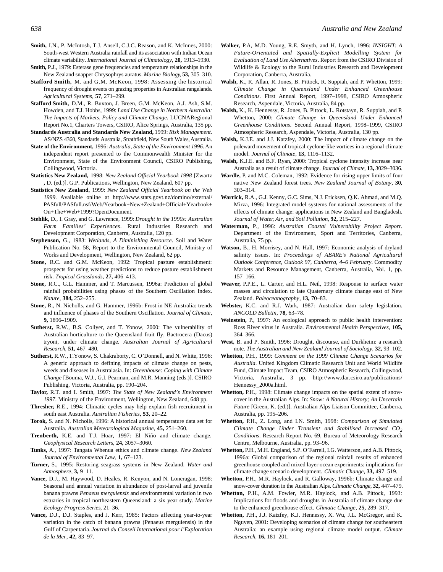**Smith, I.N., P. McIntosh, T.J. Ansell, C.J.C. Reason, and K. McInnes, 2000:** South-west Western Australia rainfall and its association with Indian Ocean climate variability. *International Journal of Climatology*, **20**, 1913-1930.

Smith, P.J., 1979: Esterase gene frequencies and temperature relationships in the New Zealand snapper Chrysophrys auratus. *Marine Biology*, **53**, 305–310.

Stafford Smith, M. and G.M. McKeon, 1998: Assessing the historical frequency of drought events on grazing properties in Australian rangelands. *Agricultural Systems*, **57**, 271–299.

**Stafford Smith,** D.M., R. Buxton, J. Breen, G.M. McKeon, A.J. Ash, S.M. Howden, and T.J. Hobbs, 1999: *Land Use Change in Northern Australia: The Impacts of Markets, Policy and Climate Change.* LUCNARegional Report No.1, Charters Towers, CSIRO, Alice Springs, Australia, 135 pp.

**Standards Australia and Standards New Zealand,** 1999: *Risk Management*. AS/NZS 4360, Standards Australia, Strathfield, New South Wales, Australia.

**State of the Environment,** 1996: *Australia, State of the Environment 1996*. An independent report presented to the Commonwealth Minister for the Environment, State of the Environment Council, CSIRO Publishing, Collingwood, Victoria.

**Statistics New Zealand,** 1998: *New Zealand Official Yearbook 1998* [Zwartz **,** D. (ed.)]. G.P. Publications, Wellington, New Zealand, 607 pp.

**Statistics New Zealand**, 1999: *New Zealand Official Yearbook on the Web* 1999. Available online at http://www.stats.govt.nz/domino/external/ PAS full / PAS full .nsf / Web / Yearbook + New + Zealand + Official + Yearbook + On+The+Web+1999?OpenDocument.

**Stehlik,** D., I. Gray, and G. Lawrence, 1999: *Drought in the 1990s: Australian* Farm Families' Experiences. Rural Industries Research and Development Corporation, Canberra, Australia, 120 pp.

**Stephenson,** G., 1983: *Wetlands, A Diminishing Resource*. Soil and Water Publication No. 58, Report to the Environmental Council, Ministry of Works and Development, Wellington, New Zealand, 62 pp.

Stone, R.C. and G.M. McKeon, 1992: Tropical pasture establishment: prospects for using weather predictions to reduce pasture establishment risk. *Tropical Grasslands*, **27,** 406–413.

**Stone,** R.C., G.L. Hammer, and T. Marcussen, 1996a: Prediction of global rainfall probabilities using phases of the Southern Oscillation Index. *Nature*, **384,** 252–255.

**Stone,** R., N. Nicholls, and G. Hammer, 1996b: Frost in NE Australia: trends and influence of phases of the Southern Oscillation. *Journal of Climate*, **9,** 1896–1909.

**Sutherst,** R.W., B.S. Collyer, and T. Yonow, 2000: The vulnerability of Australian horticulture to the Queensland fruit fly, Bactrocera (Dacus) tryoni, under climate change. Australian Journal of Agricultural *Research*, **51,** 467–480.

**Sutherst,** R.W., T.Yonow, S. Chakraborty, C. O'Donnell, and N. White, 1996: A generic approach to defining impacts of climate change on pests, weeds and diseases in Australasia. In: *Greenhouse: Coping with Climate Change* [Bouma, W.J., G.I. Pearman, and M.R. Manning (eds.)]. CSIRO Publishing, Victoria, Australia, pp. 190–204.

**Taylor,** R.T. and I. Smith, 1997: *The State of New Zealand's Environment 1997*. Ministry of the Environment, Wellington, New Zealand, 648 pp.

**Thresher,** R.E., 1994: Climatic cycles may help explain fish recruitment in south east Australia. *Australian Fisheries*, **53,** 20–22.

**Torok,** S. and N. Nicholls, 1996: A historical annual temperature data set for Australia. *Australian Meteorological Magazine*, **45,** 251–260.

Trenberth, K.E. and T.J. Hoar, 1997: El Niño and climate change. *Geophysical Research Letters*, **24,** 3057–3060.

**Tunks,** A., 1997: Tangata Whenua ethics and climate change. *New Zealand Journal of Environmental Law*, **1,** 67–123.

**Turner,** S., 1995: Restoring seagrass systems in New Zealand. *Water and Atmosphere*, **3,** 9–11.

**Vance,** D.J., M. Haywood, D. Heales, R. Kenyon, and N. Loneragan, 1998: Seasonal and annual variation in abundance of post-larval and juvenile banana prawns *Penaeus merguiensis* and environmental variation in two estuaries in tropical northeastern Queensland: a six year study. *Marine Ecology Progress Series*, 21–36.

**Vance,** D.J., D.J. Staples, and J. Kerr, 1985: Factors affecting year-to-year variation in the catch of banana prawns (Penaeus merguiensis) in the Gulf of Carpentaria*. Journal du Conseil International pour l'Exploration de la Mer*, **42,** 83–97.

**Walker,** P.A, M.D. Young, R.E. Smyth, and H. Lynch, 1996: *INSIGHT: A* Future-Orientated and Spatially-Explicit Modelling System for *Evaluation of Land Use Alternatives*. Report from the CSIRO Division of Wildlife & Ecology to the Rural Industries Research and Development Corporation, Canberra, Australia.

**Walsh,** K., R. Allan, R. Jones, B. Pittock, R. Suppiah, and P. Whetton, 1999: *Climate Change in Queensland Under Enhanced Greenhouse Conditions*. First Annual Report, 1997-1998, CSIRO Atmospheric Research, Aspendale, Victoria, Australia, 84 pp.

**Walsh,** K., K. Hennessy, R. Jones, B. Pittock, L. Rotstayn, R. Suppiah, and P. Whetton, 2000: *Climate Change in Queensland Under Enhanced Greenhouse Conditions*. Second Annual Report, 1998–1999, CSIRO Atmospheric Research, Aspendale, Victoria, Australia, 130 pp.

**Walsh,** K.J.E. and J.J. Katzfey, 2000: The impact of climate change on the poleward movement of tropical cyclone-like vortices in a regional climate model. *Journal of Climate*, **13,** 1116–1132.

**Walsh,** K.J.E. and B.F. Ryan, 2000: Tropical cyclone intensity increase near Australia as a result of climate change. *Journal of Climate*, **13**, 3029-3036.

**Wardle,** P. and M.C. Coleman, 1992: Evidence for rising upper limits of four native New Zealand forest trees. *New Zealand Journal of Botany*, **30***,* 303–314.

**Warrick,** R.A., G.J. Kenny, G.C. Sims, N.J. Ericksen, Q.K. Ahmad, and M.Q. Mirza, 1996: Integrated model systems for national assessments of the effects of climate change: applications in New Zealand and Bangladesh. *Journal of Water, Air, and Soil Pollution*, **92,** 215–227.

Waterman, P., 1996: Australian Coastal Vulnerability Project Report. Department of the Environment, Sport and Territories, Canberra, Australia, 75 pp.

**Watson,** B., H. Morrisey, and N. Hall, 1997: Economic analysis of dryland salinity issues. In: Proceedings of ABARE's National Agricultural *Outlook Conference, Outlook 97, Canberra, 4–6 February*. Commodity Markets and Resource Management, Canberra, Australia, Vol. 1, pp. 157–166.

**Weaver,** P.P.E., L. Carter, and H.L. Neil, 1998: Response to surface water masses and circulation to late Quaternary climate change east of New Zealand. *Paleoceanography*, **13,** 70–83.

**Webster,** K.C. and R.J. Wark, 1987: Australian dam safety legislation. *ANCOLD Bulletin*, **78,** 63–78.

**Weinstein,** P., 1997: An ecological approach to public health intervention: Ross River virus in Australia*. Environmental Health Perspectives*, **105,** 364–366.

**West,** B. and P. Smith, 1996: Drought, discourse, and Durkheim: a research note. *The Australian and New Zealand Journal of Sociology*, **32,** 93–102.

**Whetton,** P.H., 1999: *Comment on the 1999 Climate Change Scenarios for Australia*. United Kingdom Climatic Research Unit and World Wildlife Fund, Climate Impact Team, CSIRO Atmospheric Research, Collingwood, Victoria, Australia, 3 pp. http://www.dar.csiro.au/publications/ Hennessy\_2000a.html.

**Whetton,** P.H., 1998: Climate change impacts on the spatial extent of snowcover in the Australian Alps. In: *Snow: A Natural History; An Uncertain Future* [Green, K. (ed.)]. Australian Alps Liaison Committee, Canberra, Australia, pp. 195–206.

**Whetton,** P.H., Z. Long, and I.N. Smith, 1998: *Comparison of Simulated Climate Change Under Transient and Stabilised Increased CO<sup>2</sup> Conditions*. Research Report No. 69, Bureau of Meteorology Research Centre, Melbourne, Australia, pp. 93–96.

**Whetton,** P.H., M.H. England, S.P. O'Farrell, I.G. Watterson, and A.B. Pittock, 1996a: Global comparison of the regional rainfall results of enhanced greenhouse coupled and mixed layer ocean experiments: implications for climate change scenario development. *Climatic Change*, **33,** 497–519.

**Whetton,** P.H., M.R. Haylock, and R. Galloway, 1996b: Climate change and snow-cover duration in the Australian Alps. *Climatic Change*, 32, 447–479.

Whetton, P.H., A.M. Fowler, M.R. Haylock, and A.B. Pittock, 1993: Implications for floods and droughts in Australia of climate change due to the enhanced greenhouse effect. *Climatic Change*, **25,** 289–317.

**Whetton,** P.H., J.J. Katzfey, K.J. Hennessy, X. Wu, J.L. McGregor, and K. Nguyen, 2001: Developing scenarios of climate change for southeastern Australia: an example using regional climate model output. *Climate Research*, **16,** 181–201.